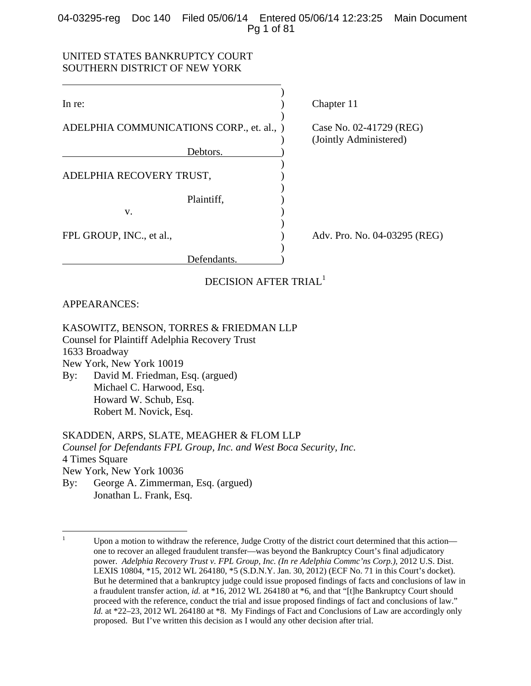# 04-03295-reg Doc 140 Filed 05/06/14 Entered 05/06/14 12:23:25 Main Document Pg 1 of 81

# UNITED STATES BANKRUPTCY COURT SOUTHERN DISTRICT OF NEW YORK

| In re:                                    |  |
|-------------------------------------------|--|
| ADELPHIA COMMUNICATIONS CORP., et. al., ) |  |
|                                           |  |
| Debtors.                                  |  |

 $)$ 

 $)$ 

 $)$ 

ADELPHIA RECOVERY TRUST,

v. (1)

) Chapter 11

 $\text{Case No. } 02\text{-}41729 \text{ (REG)}.$ ) (Jointly Administered)

FPL GROUP, INC., et al.,  $\qquad \qquad$  Adv. Pro. No. 04-03295 (REG)

DECISION AFTER TRIAL<sup>1</sup>

Plaintiff, (a)

Defendants.

# APPEARANCES:

 $\overline{a}$ 

KASOWITZ, BENSON, TORRES & FRIEDMAN LLP

Counsel for Plaintiff Adelphia Recovery Trust

1633 Broadway

New York, New York 10019

By: David M. Friedman, Esq. (argued) Michael C. Harwood, Esq. Howard W. Schub, Esq. Robert M. Novick, Esq.

# SKADDEN, ARPS, SLATE, MEAGHER & FLOM LLP

*Counsel for Defendants FPL Group, Inc. and West Boca Security, Inc.*  4 Times Square New York, New York 10036 By: George A. Zimmerman, Esq. (argued) Jonathan L. Frank, Esq.

 $\frac{1}{1}$  Upon a motion to withdraw the reference, Judge Crotty of the district court determined that this action one to recover an alleged fraudulent transfer—was beyond the Bankruptcy Court's final adjudicatory power. *Adelphia Recovery Trust v. FPL Group, Inc. (In re Adelphia Commc'ns Corp.)*, 2012 U.S. Dist. LEXIS 10804, \*15, 2012 WL 264180, \*5 (S.D.N.Y. Jan. 30, 2012) (ECF No. 71 in this Court's docket). But he determined that a bankruptcy judge could issue proposed findings of facts and conclusions of law in a fraudulent transfer action, *id.* at \*16, 2012 WL 264180 at \*6, and that "[t]he Bankruptcy Court should proceed with the reference, conduct the trial and issue proposed findings of fact and conclusions of law." *Id.* at \*22–23, 2012 WL 264180 at \*8. My Findings of Fact and Conclusions of Law are accordingly only proposed. But I've written this decision as I would any other decision after trial.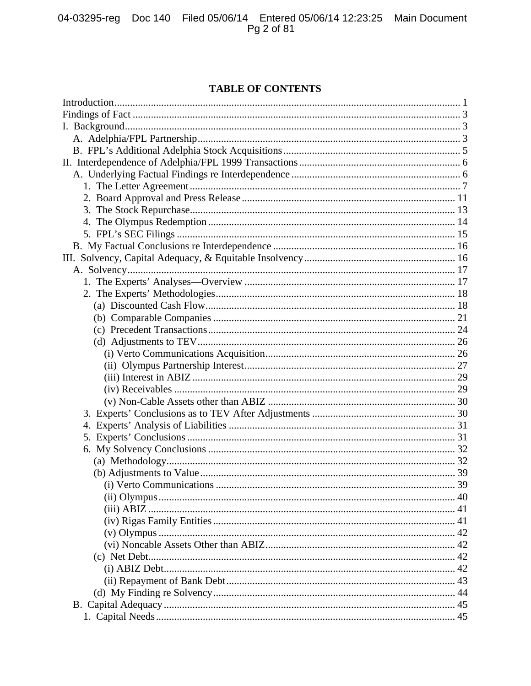# **TABLE OF CONTENTS**

| (i) Verto Communications<br>39 |  |
|--------------------------------|--|
|                                |  |
|                                |  |
|                                |  |
|                                |  |
|                                |  |
|                                |  |
|                                |  |
|                                |  |
|                                |  |
|                                |  |
|                                |  |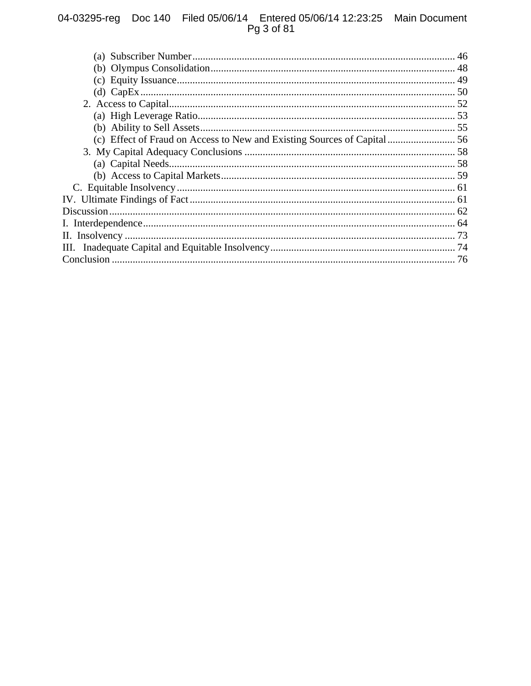# 04-03295-reg Doc 140 Filed 05/06/14 Entered 05/06/14 12:23:25 Main Document<br>Pg 3 of 81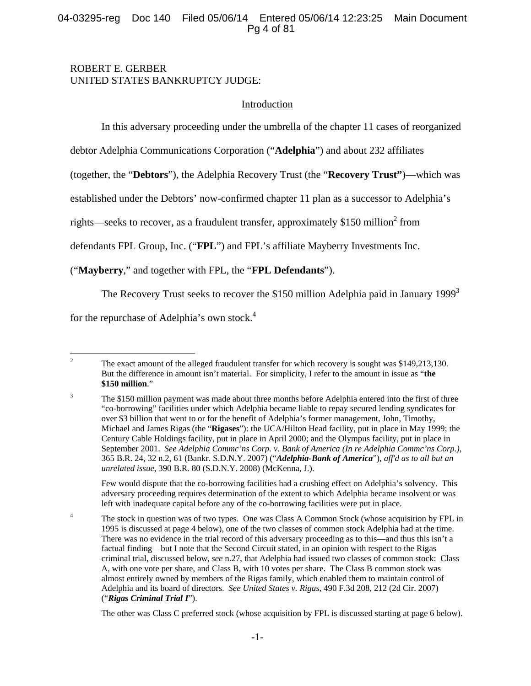# 04-03295-reg Doc 140 Filed 05/06/14 Entered 05/06/14 12:23:25 Main Document Pg 4 of 81

# ROBERT E. GERBER UNITED STATES BANKRUPTCY JUDGE:

# Introduction

In this adversary proceeding under the umbrella of the chapter 11 cases of reorganized

debtor Adelphia Communications Corporation ("**Adelphia**") and about 232 affiliates

(together, the "**Debtors**"), the Adelphia Recovery Trust (the "**Recovery Trust"**)—which was

established under the Debtors' now-confirmed chapter 11 plan as a successor to Adelphia's

rights—seeks to recover, as a fraudulent transfer, approximately \$150 million<sup>2</sup> from

defendants FPL Group, Inc. ("**FPL**") and FPL's affiliate Mayberry Investments Inc.

("**Mayberry**," and together with FPL, the "**FPL Defendants**").

The Recovery Trust seeks to recover the \$150 million Adelphia paid in January 1999<sup>3</sup>

for the repurchase of Adelphia's own stock.4

3

4

 $\frac{1}{2}$  The exact amount of the alleged fraudulent transfer for which recovery is sought was \$149,213,130. But the difference in amount isn't material. For simplicity, I refer to the amount in issue as "**the \$150 million**."

 Few would dispute that the co-borrowing facilities had a crushing effect on Adelphia's solvency. This adversary proceeding requires determination of the extent to which Adelphia became insolvent or was left with inadequate capital before any of the co-borrowing facilities were put in place.

 The stock in question was of two types. One was Class A Common Stock (whose acquisition by FPL in 1995 is discussed at page 4 below), one of the two classes of common stock Adelphia had at the time. There was no evidence in the trial record of this adversary proceeding as to this—and thus this isn't a factual finding—but I note that the Second Circuit stated, in an opinion with respect to the Rigas criminal trial, discussed below, *see* n.27, that Adelphia had issued two classes of common stock: Class A, with one vote per share, and Class B, with 10 votes per share. The Class B common stock was almost entirely owned by members of the Rigas family, which enabled them to maintain control of Adelphia and its board of directors. *See United States v. Rigas*, 490 F.3d 208, 212 (2d Cir. 2007) ("*Rigas Criminal Trial I*").

The other was Class C preferred stock (whose acquisition by FPL is discussed starting at page 6 below).

The \$150 million payment was made about three months before Adelphia entered into the first of three "co-borrowing" facilities under which Adelphia became liable to repay secured lending syndicates for over \$3 billion that went to or for the benefit of Adelphia's former management, John, Timothy, Michael and James Rigas (the "**Rigases**"): the UCA/Hilton Head facility, put in place in May 1999; the Century Cable Holdings facility, put in place in April 2000; and the Olympus facility, put in place in September 2001. *See Adelphia Commc'ns Corp. v. Bank of America (In re Adelphia Commc'ns Corp.),* 365 B.R. 24, 32 n.2, 61 (Bankr. S.D.N.Y. 2007) ("*Adelphia-Bank of America*"), *aff'd as to all but an unrelated issue*, 390 B.R. 80 (S.D.N.Y. 2008) (McKenna, J.).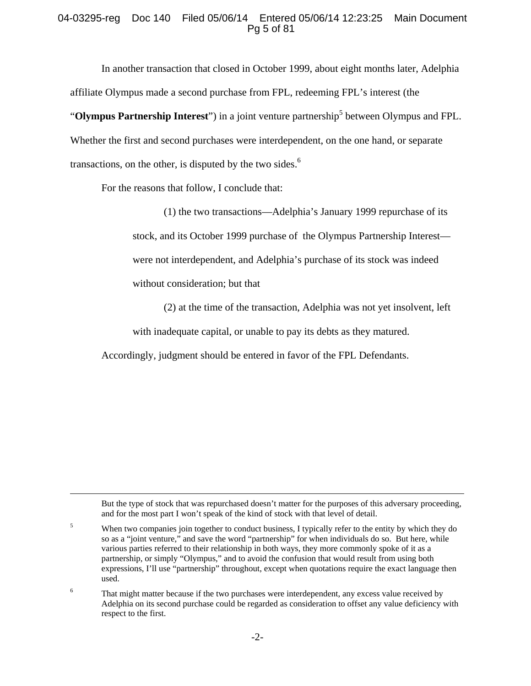# 04-03295-reg Doc 140 Filed 05/06/14 Entered 05/06/14 12:23:25 Main Document Pg 5 of 81

In another transaction that closed in October 1999, about eight months later, Adelphia affiliate Olympus made a second purchase from FPL, redeeming FPL's interest (the "Olympus Partnership Interest") in a joint venture partnership<sup>5</sup> between Olympus and FPL. Whether the first and second purchases were interdependent, on the one hand, or separate transactions, on the other, is disputed by the two sides. $<sup>6</sup>$ </sup>

For the reasons that follow, I conclude that:

(1) the two transactions—Adelphia's January 1999 repurchase of its stock, and its October 1999 purchase of the Olympus Partnership Interest were not interdependent, and Adelphia's purchase of its stock was indeed without consideration; but that

(2) at the time of the transaction, Adelphia was not yet insolvent, left

with inadequate capital, or unable to pay its debts as they matured.

Accordingly, judgment should be entered in favor of the FPL Defendants.

 But the type of stock that was repurchased doesn't matter for the purposes of this adversary proceeding, and for the most part I won't speak of the kind of stock with that level of detail.

5 When two companies join together to conduct business, I typically refer to the entity by which they do so as a "joint venture," and save the word "partnership" for when individuals do so. But here, while various parties referred to their relationship in both ways, they more commonly spoke of it as a partnership, or simply "Olympus," and to avoid the confusion that would result from using both expressions, I'll use "partnership" throughout, except when quotations require the exact language then used.

6 That might matter because if the two purchases were interdependent, any excess value received by Adelphia on its second purchase could be regarded as consideration to offset any value deficiency with respect to the first.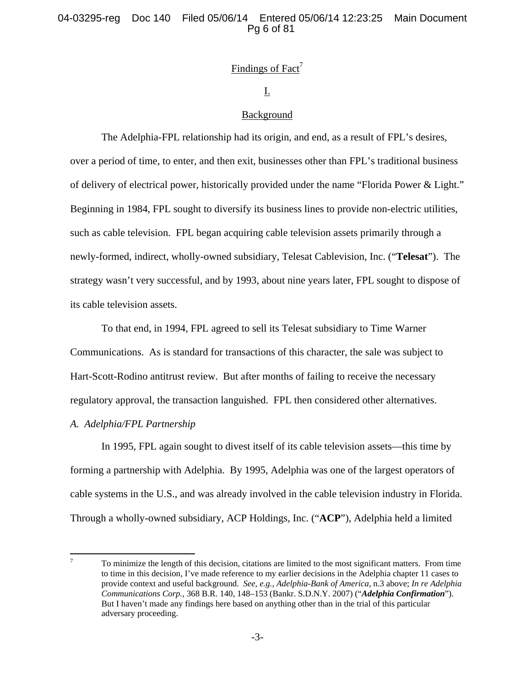# Findings of Fact<sup>7</sup>

# I.

### Background

The Adelphia-FPL relationship had its origin, and end, as a result of FPL's desires, over a period of time, to enter, and then exit, businesses other than FPL's traditional business of delivery of electrical power, historically provided under the name "Florida Power & Light." Beginning in 1984, FPL sought to diversify its business lines to provide non-electric utilities, such as cable television. FPL began acquiring cable television assets primarily through a newly-formed, indirect, wholly-owned subsidiary, Telesat Cablevision, Inc. ("**Telesat**"). The strategy wasn't very successful, and by 1993, about nine years later, FPL sought to dispose of its cable television assets.

To that end, in 1994, FPL agreed to sell its Telesat subsidiary to Time Warner Communications. As is standard for transactions of this character, the sale was subject to Hart-Scott-Rodino antitrust review. But after months of failing to receive the necessary regulatory approval, the transaction languished. FPL then considered other alternatives.

#### *A. Adelphia/FPL Partnership*

In 1995, FPL again sought to divest itself of its cable television assets—this time by forming a partnership with Adelphia. By 1995, Adelphia was one of the largest operators of cable systems in the U.S., and was already involved in the cable television industry in Florida. Through a wholly-owned subsidiary, ACP Holdings, Inc. ("**ACP**"), Adelphia held a limited

<sup>-&</sup>lt;br>7 To minimize the length of this decision, citations are limited to the most significant matters. From time to time in this decision, I've made reference to my earlier decisions in the Adelphia chapter 11 cases to provide context and useful background. *See, e.g.*, *Adelphia-Bank of America*, n.3 above; *In re Adelphia Communications Corp.*, 368 B.R. 140, 148–153 (Bankr. S.D.N.Y. 2007) ("*Adelphia Confirmation*"). But I haven't made any findings here based on anything other than in the trial of this particular adversary proceeding.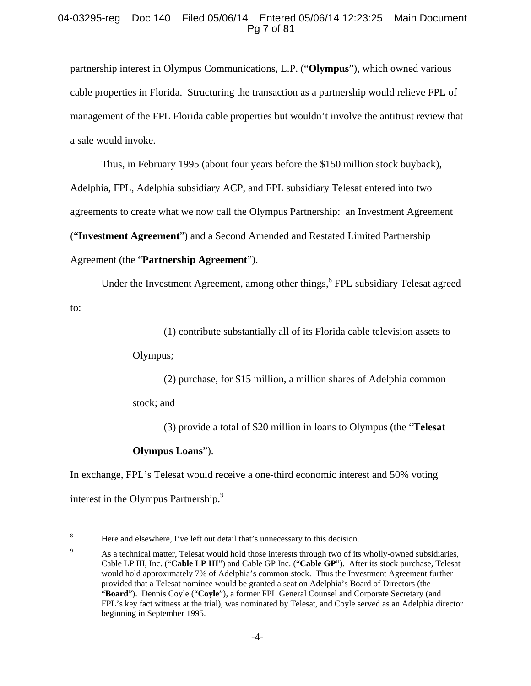## 04-03295-reg Doc 140 Filed 05/06/14 Entered 05/06/14 12:23:25 Main Document Pg 7 of 81

partnership interest in Olympus Communications, L.P. ("**Olympus**"), which owned various cable properties in Florida. Structuring the transaction as a partnership would relieve FPL of management of the FPL Florida cable properties but wouldn't involve the antitrust review that a sale would invoke.

Thus, in February 1995 (about four years before the \$150 million stock buyback), Adelphia, FPL, Adelphia subsidiary ACP, and FPL subsidiary Telesat entered into two agreements to create what we now call the Olympus Partnership: an Investment Agreement ("**Investment Agreement**") and a Second Amended and Restated Limited Partnership Agreement (the "**Partnership Agreement**").

Under the Investment Agreement, among other things,<sup>8</sup> FPL subsidiary Telesat agreed to:

(1) contribute substantially all of its Florida cable television assets to

Olympus;

(2) purchase, for \$15 million, a million shares of Adelphia common

stock; and

(3) provide a total of \$20 million in loans to Olympus (the "**Telesat** 

# **Olympus Loans**").

In exchange, FPL's Telesat would receive a one-third economic interest and 50% voting interest in the Olympus Partnership.<sup>9</sup>

 8 Here and elsewhere, I've left out detail that's unnecessary to this decision.

<sup>9</sup> As a technical matter, Telesat would hold those interests through two of its wholly-owned subsidiaries, Cable LP III, Inc. ("**Cable LP III**") and Cable GP Inc. ("**Cable GP**"). After its stock purchase, Telesat would hold approximately 7% of Adelphia's common stock. Thus the Investment Agreement further provided that a Telesat nominee would be granted a seat on Adelphia's Board of Directors (the "**Board**"). Dennis Coyle ("**Coyle**"), a former FPL General Counsel and Corporate Secretary (and FPL's key fact witness at the trial), was nominated by Telesat, and Coyle served as an Adelphia director beginning in September 1995.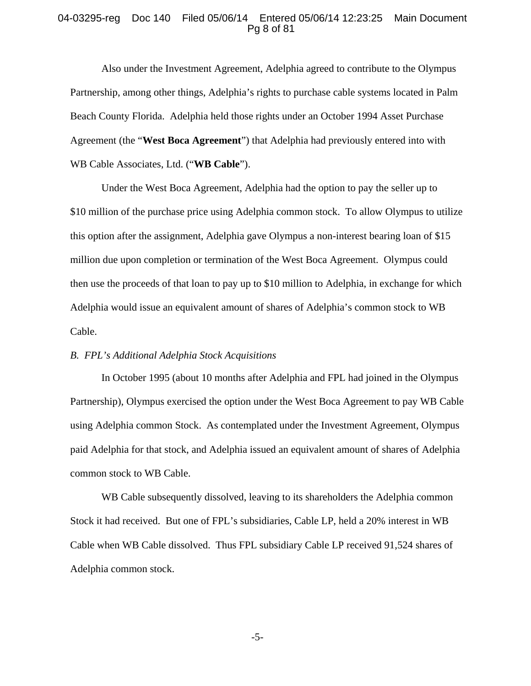#### 04-03295-reg Doc 140 Filed 05/06/14 Entered 05/06/14 12:23:25 Main Document Pg 8 of 81

Also under the Investment Agreement, Adelphia agreed to contribute to the Olympus Partnership, among other things, Adelphia's rights to purchase cable systems located in Palm Beach County Florida. Adelphia held those rights under an October 1994 Asset Purchase Agreement (the "**West Boca Agreement**") that Adelphia had previously entered into with WB Cable Associates, Ltd. ("**WB Cable**").

Under the West Boca Agreement, Adelphia had the option to pay the seller up to \$10 million of the purchase price using Adelphia common stock. To allow Olympus to utilize this option after the assignment, Adelphia gave Olympus a non-interest bearing loan of \$15 million due upon completion or termination of the West Boca Agreement. Olympus could then use the proceeds of that loan to pay up to \$10 million to Adelphia, in exchange for which Adelphia would issue an equivalent amount of shares of Adelphia's common stock to WB Cable.

#### *B. FPL's Additional Adelphia Stock Acquisitions*

In October 1995 (about 10 months after Adelphia and FPL had joined in the Olympus Partnership), Olympus exercised the option under the West Boca Agreement to pay WB Cable using Adelphia common Stock. As contemplated under the Investment Agreement, Olympus paid Adelphia for that stock, and Adelphia issued an equivalent amount of shares of Adelphia common stock to WB Cable.

WB Cable subsequently dissolved, leaving to its shareholders the Adelphia common Stock it had received. But one of FPL's subsidiaries, Cable LP, held a 20% interest in WB Cable when WB Cable dissolved. Thus FPL subsidiary Cable LP received 91,524 shares of Adelphia common stock.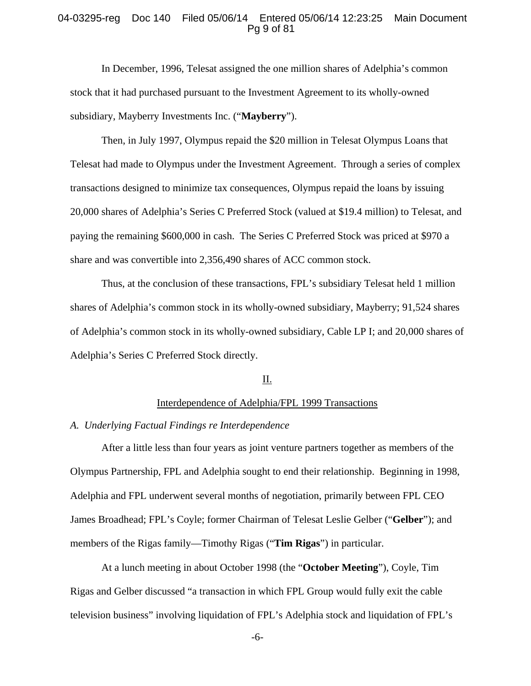#### 04-03295-reg Doc 140 Filed 05/06/14 Entered 05/06/14 12:23:25 Main Document Pg 9 of 81

In December, 1996, Telesat assigned the one million shares of Adelphia's common stock that it had purchased pursuant to the Investment Agreement to its wholly-owned subsidiary, Mayberry Investments Inc. ("**Mayberry**").

Then, in July 1997, Olympus repaid the \$20 million in Telesat Olympus Loans that Telesat had made to Olympus under the Investment Agreement. Through a series of complex transactions designed to minimize tax consequences, Olympus repaid the loans by issuing 20,000 shares of Adelphia's Series C Preferred Stock (valued at \$19.4 million) to Telesat, and paying the remaining \$600,000 in cash. The Series C Preferred Stock was priced at \$970 a share and was convertible into 2,356,490 shares of ACC common stock.

Thus, at the conclusion of these transactions, FPL's subsidiary Telesat held 1 million shares of Adelphia's common stock in its wholly-owned subsidiary, Mayberry; 91,524 shares of Adelphia's common stock in its wholly-owned subsidiary, Cable LP I; and 20,000 shares of Adelphia's Series C Preferred Stock directly.

## II.

#### Interdependence of Adelphia/FPL 1999 Transactions

#### *A. Underlying Factual Findings re Interdependence*

After a little less than four years as joint venture partners together as members of the Olympus Partnership, FPL and Adelphia sought to end their relationship. Beginning in 1998, Adelphia and FPL underwent several months of negotiation, primarily between FPL CEO James Broadhead; FPL's Coyle; former Chairman of Telesat Leslie Gelber ("**Gelber**"); and members of the Rigas family—Timothy Rigas ("**Tim Rigas**") in particular.

At a lunch meeting in about October 1998 (the "**October Meeting**"), Coyle, Tim Rigas and Gelber discussed "a transaction in which FPL Group would fully exit the cable television business" involving liquidation of FPL's Adelphia stock and liquidation of FPL's

-6-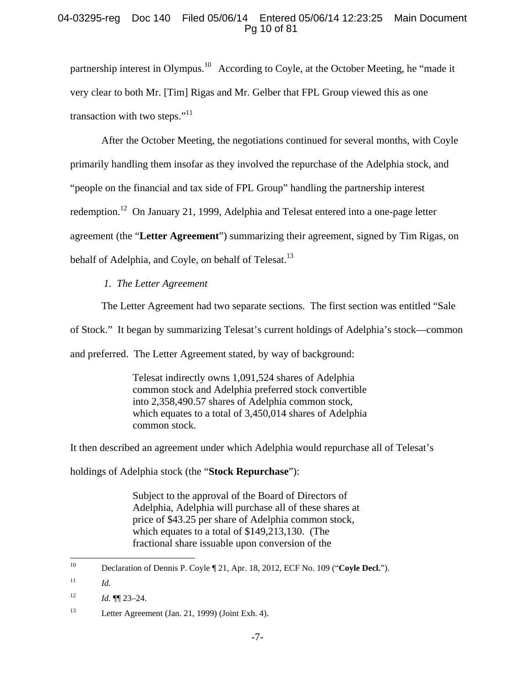# 04-03295-reg Doc 140 Filed 05/06/14 Entered 05/06/14 12:23:25 Main Document Pg 10 of 81

partnership interest in Olympus.<sup>10</sup> According to Coyle, at the October Meeting, he "made it very clear to both Mr. [Tim] Rigas and Mr. Gelber that FPL Group viewed this as one transaction with two steps." $11$ 

After the October Meeting, the negotiations continued for several months, with Coyle primarily handling them insofar as they involved the repurchase of the Adelphia stock, and "people on the financial and tax side of FPL Group" handling the partnership interest redemption.<sup>12</sup> On January 21, 1999, Adelphia and Telesat entered into a one-page letter agreement (the "**Letter Agreement**") summarizing their agreement, signed by Tim Rigas, on behalf of Adelphia, and Coyle, on behalf of Telesat.<sup>13</sup>

# *1. The Letter Agreement*

The Letter Agreement had two separate sections. The first section was entitled "Sale

of Stock." It began by summarizing Telesat's current holdings of Adelphia's stock—common

and preferred. The Letter Agreement stated, by way of background:

Telesat indirectly owns 1,091,524 shares of Adelphia common stock and Adelphia preferred stock convertible into 2,358,490.57 shares of Adelphia common stock, which equates to a total of 3,450,014 shares of Adelphia common stock.

It then described an agreement under which Adelphia would repurchase all of Telesat's

holdings of Adelphia stock (the "**Stock Repurchase**"):

Subject to the approval of the Board of Directors of Adelphia, Adelphia will purchase all of these shares at price of \$43.25 per share of Adelphia common stock, which equates to a total of \$149,213,130. (The fractional share issuable upon conversion of the

 $10\,$ 10 Declaration of Dennis P. Coyle ¶ 21, Apr. 18, 2012, ECF No. 109 ("**Coyle Decl.**").

 $11$  *Id.* 

 $12$  *Id.*  $\P\P$  23–24.

<sup>13</sup> Letter Agreement (Jan. 21, 1999) (Joint Exh. 4).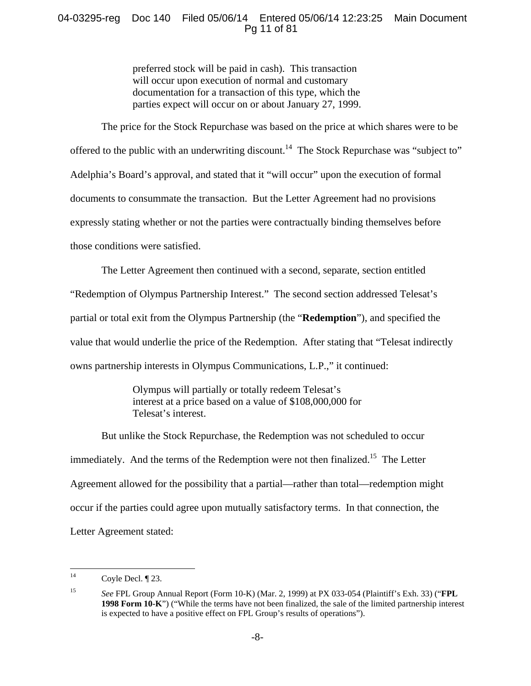# 04-03295-reg Doc 140 Filed 05/06/14 Entered 05/06/14 12:23:25 Main Document Pg 11 of 81

preferred stock will be paid in cash). This transaction will occur upon execution of normal and customary documentation for a transaction of this type, which the parties expect will occur on or about January 27, 1999.

The price for the Stock Repurchase was based on the price at which shares were to be offered to the public with an underwriting discount.<sup>14</sup> The Stock Repurchase was "subject to" Adelphia's Board's approval, and stated that it "will occur" upon the execution of formal documents to consummate the transaction. But the Letter Agreement had no provisions expressly stating whether or not the parties were contractually binding themselves before those conditions were satisfied.

The Letter Agreement then continued with a second, separate, section entitled

"Redemption of Olympus Partnership Interest." The second section addressed Telesat's partial or total exit from the Olympus Partnership (the "**Redemption**"), and specified the value that would underlie the price of the Redemption. After stating that "Telesat indirectly owns partnership interests in Olympus Communications, L.P.," it continued:

> Olympus will partially or totally redeem Telesat's interest at a price based on a value of \$108,000,000 for Telesat's interest.

But unlike the Stock Repurchase, the Redemption was not scheduled to occur immediately. And the terms of the Redemption were not then finalized.<sup>15</sup> The Letter Agreement allowed for the possibility that a partial—rather than total—redemption might occur if the parties could agree upon mutually satisfactory terms. In that connection, the Letter Agreement stated:

 $14<sup>14</sup>$ Coyle Decl. ¶ 23.

<sup>15</sup> *See* FPL Group Annual Report (Form 10-K) (Mar. 2, 1999) at PX 033-054 (Plaintiff's Exh. 33) ("**FPL 1998 Form 10-K**") ("While the terms have not been finalized, the sale of the limited partnership interest is expected to have a positive effect on FPL Group's results of operations").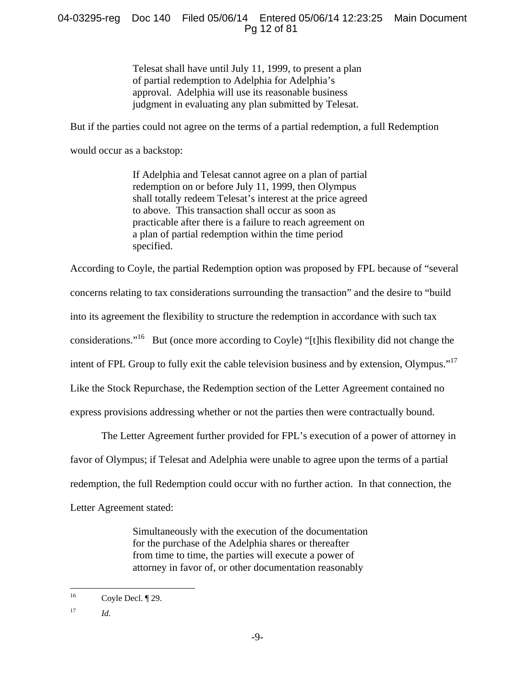# 04-03295-reg Doc 140 Filed 05/06/14 Entered 05/06/14 12:23:25 Main Document Pg 12 of 81

Telesat shall have until July 11, 1999, to present a plan of partial redemption to Adelphia for Adelphia's approval. Adelphia will use its reasonable business judgment in evaluating any plan submitted by Telesat.

But if the parties could not agree on the terms of a partial redemption, a full Redemption

would occur as a backstop:

If Adelphia and Telesat cannot agree on a plan of partial redemption on or before July 11, 1999, then Olympus shall totally redeem Telesat's interest at the price agreed to above. This transaction shall occur as soon as practicable after there is a failure to reach agreement on a plan of partial redemption within the time period specified.

According to Coyle, the partial Redemption option was proposed by FPL because of "several concerns relating to tax considerations surrounding the transaction" and the desire to "build into its agreement the flexibility to structure the redemption in accordance with such tax considerations."16 But (once more according to Coyle) "[t]his flexibility did not change the intent of FPL Group to fully exit the cable television business and by extension, Olympus."<sup>17</sup> Like the Stock Repurchase, the Redemption section of the Letter Agreement contained no express provisions addressing whether or not the parties then were contractually bound.

The Letter Agreement further provided for FPL's execution of a power of attorney in favor of Olympus; if Telesat and Adelphia were unable to agree upon the terms of a partial redemption, the full Redemption could occur with no further action. In that connection, the Letter Agreement stated:

> Simultaneously with the execution of the documentation for the purchase of the Adelphia shares or thereafter from time to time, the parties will execute a power of attorney in favor of, or other documentation reasonably

 $16$ Coyle Decl. ¶ 29.

<sup>17</sup> *Id.*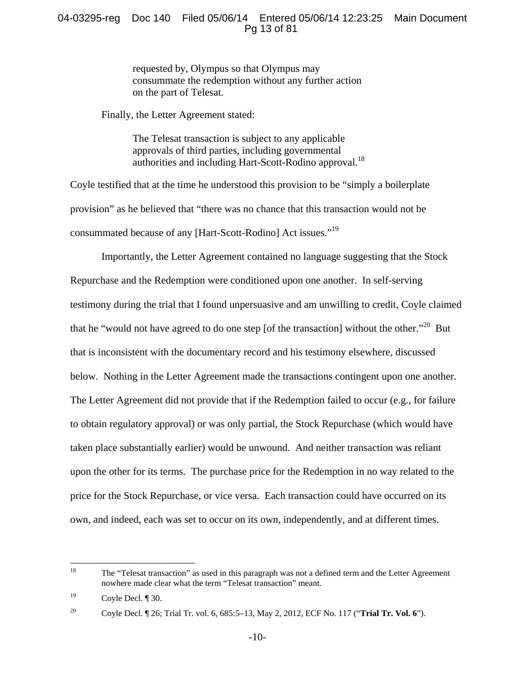# 04-03295-reg Doc 140 Filed 05/06/14 Entered 05/06/14 12:23:25 Main Document Pg 13 of 81

requested by, Olympus so that Olympus may consummate the redemption without any further action on the part of Telesat.

Finally, the Letter Agreement stated:

The Telesat transaction is subject to any applicable approvals of third parties, including governmental authorities and including Hart-Scott-Rodino approval.<sup>18</sup>

Coyle testified that at the time he understood this provision to be "simply a boilerplate provision" as he believed that "there was no chance that this transaction would not be consummated because of any [Hart-Scott-Rodino] Act issues."19

Importantly, the Letter Agreement contained no language suggesting that the Stock Repurchase and the Redemption were conditioned upon one another. In self-serving testimony during the trial that I found unpersuasive and am unwilling to credit, Coyle claimed that he "would not have agreed to do one step [of the transaction] without the other."<sup>20</sup> But that is inconsistent with the documentary record and his testimony elsewhere, discussed below. Nothing in the Letter Agreement made the transactions contingent upon one another. The Letter Agreement did not provide that if the Redemption failed to occur (e.g., for failure to obtain regulatory approval) or was only partial, the Stock Repurchase (which would have taken place substantially earlier) would be unwound. And neither transaction was reliant upon the other for its terms. The purchase price for the Redemption in no way related to the price for the Stock Repurchase, or vice versa. Each transaction could have occurred on its own, and indeed, each was set to occur on its own, independently, and at different times.

<sup>18</sup> The "Telesat transaction" as used in this paragraph was not a defined term and the Letter Agreement nowhere made clear what the term "Telesat transaction" meant.

 $^{19}$  Coyle Decl.  $\P$  30.

<sup>20</sup> Coyle Decl. ¶ 26; Trial Tr. vol. 6, 685:5–13, May 2, 2012, ECF No. 117 ("**Trial Tr. Vol. 6**").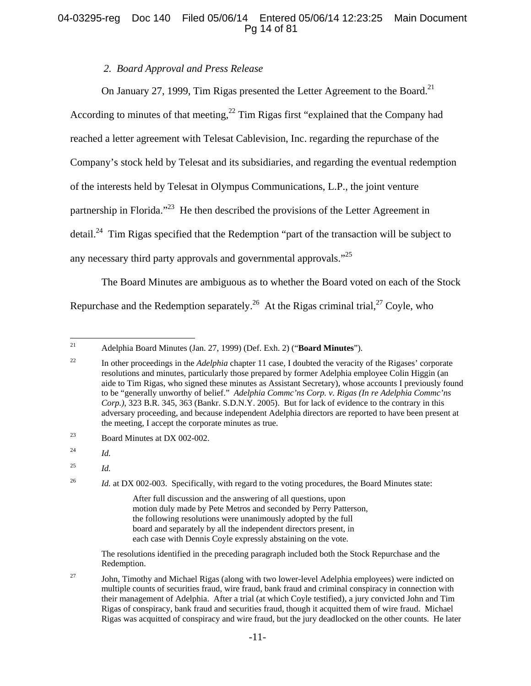# 04-03295-reg Doc 140 Filed 05/06/14 Entered 05/06/14 12:23:25 Main Document Pg 14 of 81

# *2. Board Approval and Press Release*

On January 27, 1999, Tim Rigas presented the Letter Agreement to the Board.<sup>21</sup> According to minutes of that meeting,  $^{22}$  Tim Rigas first "explained that the Company had reached a letter agreement with Telesat Cablevision, Inc. regarding the repurchase of the Company's stock held by Telesat and its subsidiaries, and regarding the eventual redemption of the interests held by Telesat in Olympus Communications, L.P., the joint venture partnership in Florida."23 He then described the provisions of the Letter Agreement in detail.<sup>24</sup> Tim Rigas specified that the Redemption "part of the transaction will be subject to any necessary third party approvals and governmental approvals."<sup>25</sup>

The Board Minutes are ambiguous as to whether the Board voted on each of the Stock Repurchase and the Redemption separately.<sup>26</sup> At the Rigas criminal trial,<sup>27</sup> Coyle, who

 The resolutions identified in the preceding paragraph included both the Stock Repurchase and the Redemption.

<sup>27</sup> John, Timothy and Michael Rigas (along with two lower-level Adelphia employees) were indicted on multiple counts of securities fraud, wire fraud, bank fraud and criminal conspiracy in connection with their management of Adelphia. After a trial (at which Coyle testified), a jury convicted John and Tim Rigas of conspiracy, bank fraud and securities fraud, though it acquitted them of wire fraud. Michael Rigas was acquitted of conspiracy and wire fraud, but the jury deadlocked on the other counts. He later

 $21$ 21 Adelphia Board Minutes (Jan. 27, 1999) (Def. Exh. 2) ("**Board Minutes**").

<sup>&</sup>lt;sup>22</sup> In other proceedings in the *Adelphia* chapter 11 case, I doubted the veracity of the Rigases' corporate resolutions and minutes, particularly those prepared by former Adelphia employee Colin Higgin (an aide to Tim Rigas, who signed these minutes as Assistant Secretary), whose accounts I previously found to be "generally unworthy of belief." *Adelphia Commc'ns Corp. v. Rigas (In re Adelphia Commc'ns Corp.)*, 323 B.R. 345, 363 (Bankr. S.D.N.Y. 2005). But for lack of evidence to the contrary in this adversary proceeding, and because independent Adelphia directors are reported to have been present at the meeting, I accept the corporate minutes as true.

<sup>23</sup> Board Minutes at DX 002-002.

<sup>24</sup> *Id.*

<sup>25</sup> *Id.*

<sup>&</sup>lt;sup>26</sup> *Id.* at DX 002-003. Specifically, with regard to the voting procedures, the Board Minutes state:

After full discussion and the answering of all questions, upon motion duly made by Pete Metros and seconded by Perry Patterson, the following resolutions were unanimously adopted by the full board and separately by all the independent directors present, in each case with Dennis Coyle expressly abstaining on the vote.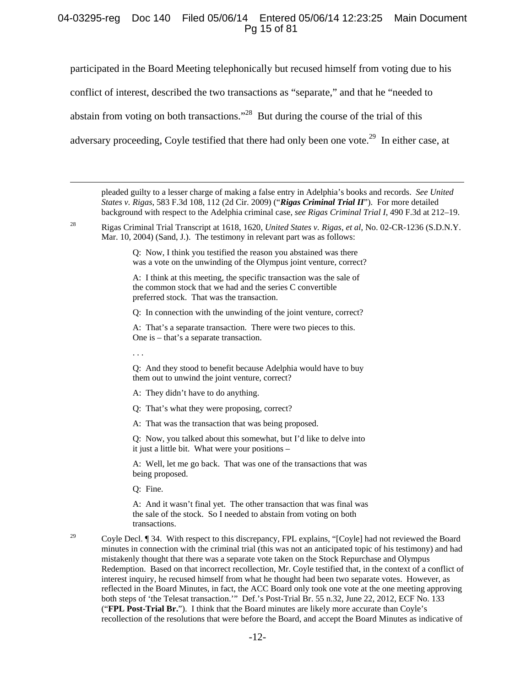## 04-03295-reg Doc 140 Filed 05/06/14 Entered 05/06/14 12:23:25 Main Document Pg 15 of 81

participated in the Board Meeting telephonically but recused himself from voting due to his conflict of interest, described the two transactions as "separate," and that he "needed to abstain from voting on both transactions."<sup>28</sup> But during the course of the trial of this adversary proceeding, Coyle testified that there had only been one vote.<sup>29</sup> In either case, at

 pleaded guilty to a lesser charge of making a false entry in Adelphia's books and records. *See United States v. Rigas*, 583 F.3d 108, 112 (2d Cir. 2009) ("*Rigas Criminal Trial II*"). For more detailed background with respect to the Adelphia criminal case, *see Rigas Criminal Trial I*, 490 F.3d at 212–19.

28 Rigas Criminal Trial Transcript at 1618, 1620, *United States v. Rigas, et al*, No. 02-CR-1236 (S.D.N.Y. Mar. 10, 2004) (Sand, J.). The testimony in relevant part was as follows:

> Q: Now, I think you testified the reason you abstained was there was a vote on the unwinding of the Olympus joint venture, correct?

A: I think at this meeting, the specific transaction was the sale of the common stock that we had and the series C convertible preferred stock. That was the transaction.

Q: In connection with the unwinding of the joint venture, correct?

A: That's a separate transaction. There were two pieces to this. One is – that's a separate transaction.

. . .

Q: And they stood to benefit because Adelphia would have to buy them out to unwind the joint venture, correct?

A: They didn't have to do anything.

Q: That's what they were proposing, correct?

A: That was the transaction that was being proposed.

Q: Now, you talked about this somewhat, but I'd like to delve into it just a little bit. What were your positions –

A: Well, let me go back. That was one of the transactions that was being proposed.

Q: Fine.

A: And it wasn't final yet. The other transaction that was final was the sale of the stock. So I needed to abstain from voting on both transactions.

<sup>29</sup> Coyle Decl. ¶ 34. With respect to this discrepancy, FPL explains, "[Coyle] had not reviewed the Board minutes in connection with the criminal trial (this was not an anticipated topic of his testimony) and had mistakenly thought that there was a separate vote taken on the Stock Repurchase and Olympus Redemption. Based on that incorrect recollection, Mr. Coyle testified that, in the context of a conflict of interest inquiry, he recused himself from what he thought had been two separate votes. However, as reflected in the Board Minutes, in fact, the ACC Board only took one vote at the one meeting approving both steps of 'the Telesat transaction.'" Def.'s Post-Trial Br. 55 n.32, June 22, 2012, ECF No. 133 ("**FPL Post-Trial Br.**"). I think that the Board minutes are likely more accurate than Coyle's recollection of the resolutions that were before the Board, and accept the Board Minutes as indicative of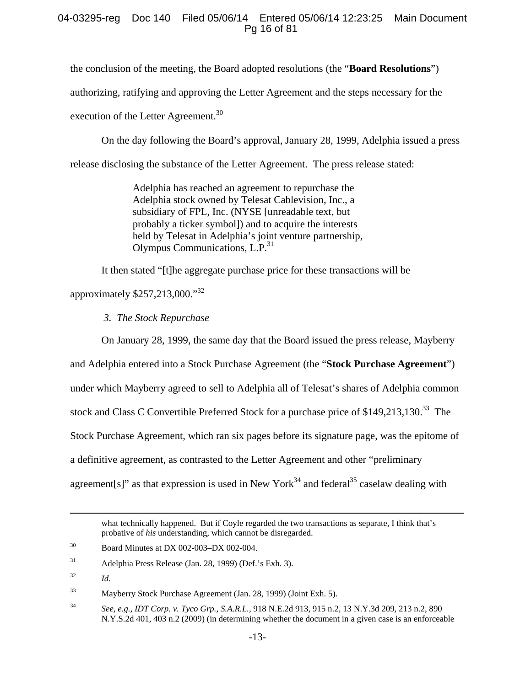# 04-03295-reg Doc 140 Filed 05/06/14 Entered 05/06/14 12:23:25 Main Document Pg 16 of 81

the conclusion of the meeting, the Board adopted resolutions (the "**Board Resolutions**")

authorizing, ratifying and approving the Letter Agreement and the steps necessary for the

execution of the Letter Agreement.<sup>30</sup>

On the day following the Board's approval, January 28, 1999, Adelphia issued a press

release disclosing the substance of the Letter Agreement. The press release stated:

Adelphia has reached an agreement to repurchase the Adelphia stock owned by Telesat Cablevision, Inc., a subsidiary of FPL, Inc. (NYSE [unreadable text, but probably a ticker symbol]) and to acquire the interests held by Telesat in Adelphia's joint venture partnership, Olympus Communications, L.P.<sup>31</sup>

It then stated "[t]he aggregate purchase price for these transactions will be

approximately  $$257,213,000.^{32}$ 

*3. The Stock Repurchase* 

On January 28, 1999, the same day that the Board issued the press release, Mayberry

and Adelphia entered into a Stock Purchase Agreement (the "**Stock Purchase Agreement**")

under which Mayberry agreed to sell to Adelphia all of Telesat's shares of Adelphia common

stock and Class C Convertible Preferred Stock for a purchase price of \$149,213,130.<sup>33</sup> The

Stock Purchase Agreement, which ran six pages before its signature page, was the epitome of

a definitive agreement, as contrasted to the Letter Agreement and other "preliminary

agreement[s]" as that expression is used in New York<sup>34</sup> and federal<sup>35</sup> caselaw dealing with

what technically happened. But if Coyle regarded the two transactions as separate, I think that's probative of *his* understanding, which cannot be disregarded.

<sup>&</sup>lt;sup>30</sup> Board Minutes at DX 002-003-DX 002-004.

<sup>31</sup> Adelphia Press Release (Jan. 28, 1999) (Def.'s Exh. 3).

<sup>32</sup> *Id.*

<sup>33</sup> Mayberry Stock Purchase Agreement (Jan. 28, 1999) (Joint Exh. 5).

<sup>34</sup> *See, e.g.*, *IDT Corp. v. Tyco Grp., S.A.R.L.*, 918 N.E.2d 913, 915 n.2, 13 N.Y.3d 209, 213 n.2, 890 N.Y.S.2d 401, 403 n.2 (2009) (in determining whether the document in a given case is an enforceable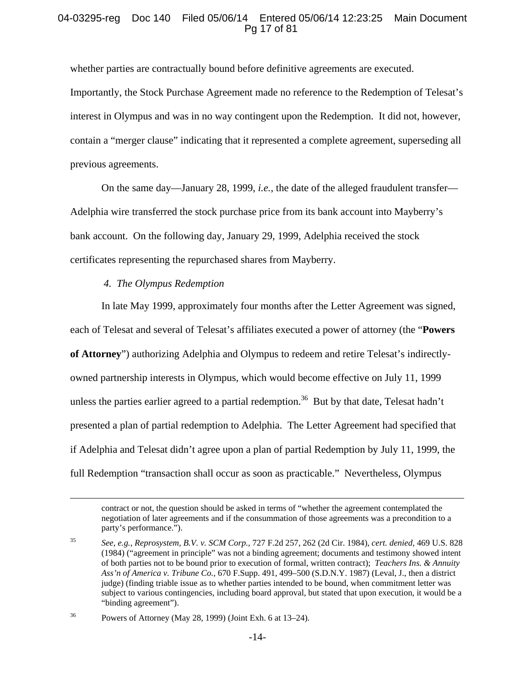# 04-03295-reg Doc 140 Filed 05/06/14 Entered 05/06/14 12:23:25 Main Document Pg 17 of 81

whether parties are contractually bound before definitive agreements are executed. Importantly, the Stock Purchase Agreement made no reference to the Redemption of Telesat's interest in Olympus and was in no way contingent upon the Redemption. It did not, however, contain a "merger clause" indicating that it represented a complete agreement, superseding all previous agreements.

On the same day—January 28, 1999, *i.e.*, the date of the alleged fraudulent transfer— Adelphia wire transferred the stock purchase price from its bank account into Mayberry's bank account. On the following day, January 29, 1999, Adelphia received the stock certificates representing the repurchased shares from Mayberry.

#### *4. The Olympus Redemption*

In late May 1999, approximately four months after the Letter Agreement was signed, each of Telesat and several of Telesat's affiliates executed a power of attorney (the "**Powers of Attorney**") authorizing Adelphia and Olympus to redeem and retire Telesat's indirectlyowned partnership interests in Olympus, which would become effective on July 11, 1999 unless the parties earlier agreed to a partial redemption.<sup>36</sup> But by that date, Telesat hadn't presented a plan of partial redemption to Adelphia. The Letter Agreement had specified that if Adelphia and Telesat didn't agree upon a plan of partial Redemption by July 11, 1999, the full Redemption "transaction shall occur as soon as practicable." Nevertheless, Olympus

36 Powers of Attorney (May 28, 1999) (Joint Exh. 6 at 13–24).

contract or not, the question should be asked in terms of "whether the agreement contemplated the negotiation of later agreements and if the consummation of those agreements was a precondition to a party's performance.").

<sup>35</sup> *See, e.g.*, *Reprosystem, B.V. v. SCM Corp.*, 727 F.2d 257, 262 (2d Cir. 1984), *cert. denied*, 469 U.S. 828 (1984) ("agreement in principle" was not a binding agreement; documents and testimony showed intent of both parties not to be bound prior to execution of formal, written contract); *Teachers Ins. & Annuity Ass'n of America v. Tribune Co.*, 670 F.Supp. 491, 499–500 (S.D.N.Y. 1987) (Leval, J., then a district judge) (finding triable issue as to whether parties intended to be bound, when commitment letter was subject to various contingencies, including board approval, but stated that upon execution, it would be a "binding agreement").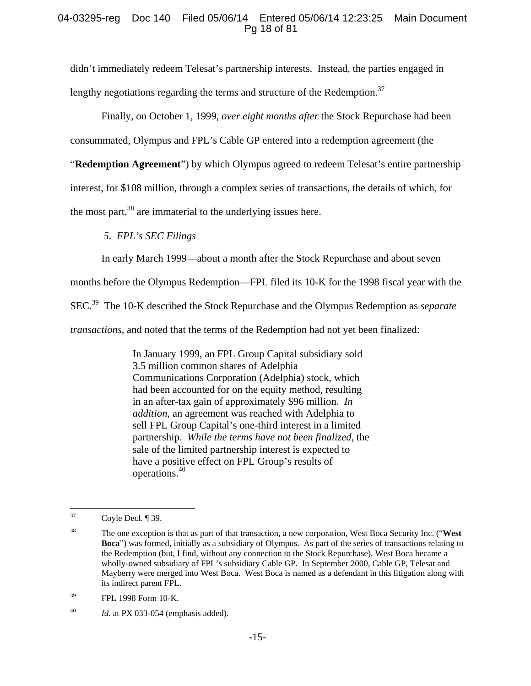# 04-03295-reg Doc 140 Filed 05/06/14 Entered 05/06/14 12:23:25 Main Document Pg 18 of 81

didn't immediately redeem Telesat's partnership interests. Instead, the parties engaged in lengthy negotiations regarding the terms and structure of the Redemption.<sup>37</sup>

Finally, on October 1, 1999, *over eight months after* the Stock Repurchase had been

consummated, Olympus and FPL's Cable GP entered into a redemption agreement (the

"**Redemption Agreement**") by which Olympus agreed to redeem Telesat's entire partnership

interest, for \$108 million, through a complex series of transactions, the details of which, for

the most part, $38$  are immaterial to the underlying issues here.

*5. FPL's SEC Filings* 

In early March 1999—about a month after the Stock Repurchase and about seven

months before the Olympus Redemption—FPL filed its 10-K for the 1998 fiscal year with the

SEC.39 The 10-K described the Stock Repurchase and the Olympus Redemption as *separate* 

*transactions*, and noted that the terms of the Redemption had not yet been finalized:

In January 1999, an FPL Group Capital subsidiary sold 3.5 million common shares of Adelphia Communications Corporation (Adelphia) stock, which had been accounted for on the equity method, resulting in an after-tax gain of approximately \$96 million. *In addition,* an agreement was reached with Adelphia to sell FPL Group Capital's one-third interest in a limited partnership. *While the terms have not been finalized,* the sale of the limited partnership interest is expected to have a positive effect on FPL Group's results of operations.40

 $37$ Coyle Decl. ¶ 39.

<sup>38</sup> The one exception is that as part of that transaction, a new corporation, West Boca Security Inc. ("**West Boca**") was formed, initially as a subsidiary of Olympus. As part of the series of transactions relating to the Redemption (but, I find, without any connection to the Stock Repurchase), West Boca became a wholly-owned subsidiary of FPL's subsidiary Cable GP. In September 2000, Cable GP, Telesat and Mayberry were merged into West Boca. West Boca is named as a defendant in this litigation along with its indirect parent FPL.

<sup>39</sup> FPL 1998 Form 10-K.

<sup>&</sup>lt;sup>40</sup> *Id.* at PX 033-054 (emphasis added).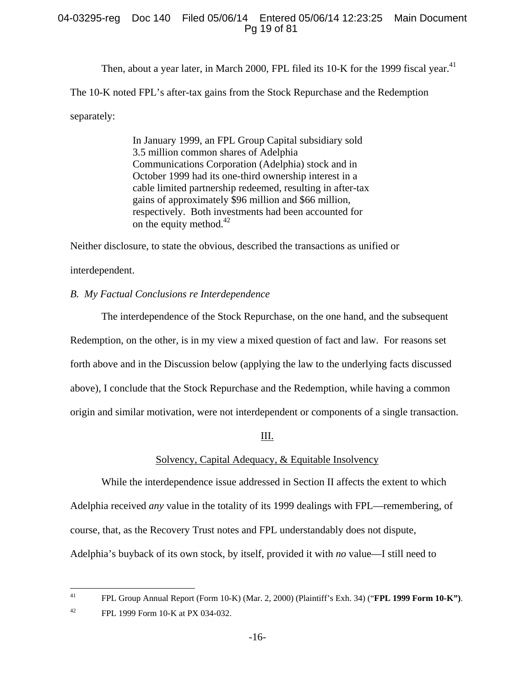# 04-03295-reg Doc 140 Filed 05/06/14 Entered 05/06/14 12:23:25 Main Document Pg 19 of 81

Then, about a year later, in March 2000, FPL filed its 10-K for the 1999 fiscal year.<sup>41</sup> The 10-K noted FPL's after-tax gains from the Stock Repurchase and the Redemption separately:

> In January 1999, an FPL Group Capital subsidiary sold 3.5 million common shares of Adelphia Communications Corporation (Adelphia) stock and in October 1999 had its one-third ownership interest in a cable limited partnership redeemed, resulting in after-tax gains of approximately \$96 million and \$66 million, respectively. Both investments had been accounted for on the equity method. $42$

Neither disclosure, to state the obvious, described the transactions as unified or

interdependent.

## *B. My Factual Conclusions re Interdependence*

The interdependence of the Stock Repurchase, on the one hand, and the subsequent Redemption, on the other, is in my view a mixed question of fact and law. For reasons set forth above and in the Discussion below (applying the law to the underlying facts discussed above), I conclude that the Stock Repurchase and the Redemption, while having a common origin and similar motivation, were not interdependent or components of a single transaction.

III.

#### Solvency, Capital Adequacy, & Equitable Insolvency

While the interdependence issue addressed in Section II affects the extent to which Adelphia received *any* value in the totality of its 1999 dealings with FPL—remembering, of course, that, as the Recovery Trust notes and FPL understandably does not dispute, Adelphia's buyback of its own stock, by itself, provided it with *no* value—I still need to

 $41$ 41 FPL Group Annual Report (Form 10-K) (Mar. 2, 2000) (Plaintiff's Exh. 34) ("**FPL 1999 Form 10-K")**.

<sup>42</sup> FPL 1999 Form 10-K at PX 034-032.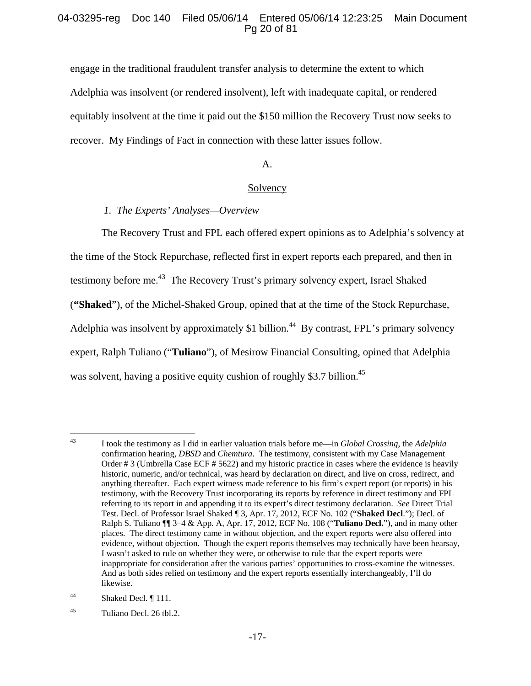## 04-03295-reg Doc 140 Filed 05/06/14 Entered 05/06/14 12:23:25 Main Document Pg 20 of 81

engage in the traditional fraudulent transfer analysis to determine the extent to which Adelphia was insolvent (or rendered insolvent), left with inadequate capital, or rendered equitably insolvent at the time it paid out the \$150 million the Recovery Trust now seeks to recover. My Findings of Fact in connection with these latter issues follow.

# A.

#### **Solvency**

#### *1. The Experts' Analyses—Overview*

The Recovery Trust and FPL each offered expert opinions as to Adelphia's solvency at the time of the Stock Repurchase, reflected first in expert reports each prepared, and then in testimony before me.<sup>43</sup> The Recovery Trust's primary solvency expert, Israel Shaked (**"Shaked**"), of the Michel-Shaked Group, opined that at the time of the Stock Repurchase, Adelphia was insolvent by approximately \$1 billion.<sup>44</sup> By contrast, FPL's primary solvency expert, Ralph Tuliano ("**Tuliano**"), of Mesirow Financial Consulting, opined that Adelphia was solvent, having a positive equity cushion of roughly \$3.7 billion.<sup>45</sup>

<sup>43</sup> 43 I took the testimony as I did in earlier valuation trials before me—in *Global Crossing*, the *Adelphia* confirmation hearing, *DBSD* and *Chemtura*. The testimony, consistent with my Case Management Order # 3 (Umbrella Case ECF # 5622) and my historic practice in cases where the evidence is heavily historic, numeric, and/or technical, was heard by declaration on direct, and live on cross, redirect, and anything thereafter. Each expert witness made reference to his firm's expert report (or reports) in his testimony, with the Recovery Trust incorporating its reports by reference in direct testimony and FPL referring to its report in and appending it to its expert's direct testimony declaration. *See* Direct Trial Test. Decl. of Professor Israel Shaked ¶ 3, Apr. 17, 2012, ECF No. 102 ("**Shaked Decl**."); Decl. of Ralph S. Tuliano ¶¶ 3–4 & App. A, Apr. 17, 2012, ECF No. 108 ("**Tuliano Decl.**"), and in many other places.The direct testimony came in without objection, and the expert reports were also offered into evidence, without objection.Though the expert reports themselves may technically have been hearsay, I wasn't asked to rule on whether they were, or otherwise to rule that the expert reports were inappropriate for consideration after the various parties' opportunities to cross-examine the witnesses. And as both sides relied on testimony and the expert reports essentially interchangeably, I'll do likewise.

<sup>&</sup>lt;sup>44</sup> Shaked Decl. ¶ 111.

<sup>45</sup> Tuliano Decl. 26 tbl.2.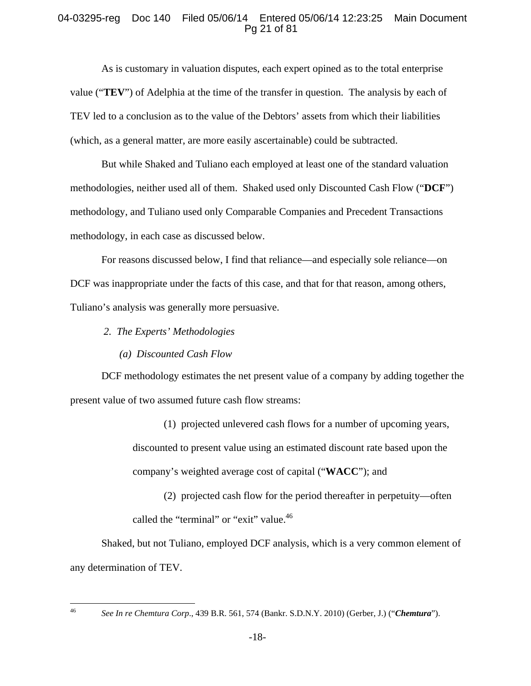# 04-03295-reg Doc 140 Filed 05/06/14 Entered 05/06/14 12:23:25 Main Document Pg 21 of 81

As is customary in valuation disputes, each expert opined as to the total enterprise value ("**TEV**") of Adelphia at the time of the transfer in question. The analysis by each of TEV led to a conclusion as to the value of the Debtors' assets from which their liabilities (which, as a general matter, are more easily ascertainable) could be subtracted.

But while Shaked and Tuliano each employed at least one of the standard valuation methodologies, neither used all of them. Shaked used only Discounted Cash Flow ("**DCF**") methodology, and Tuliano used only Comparable Companies and Precedent Transactions methodology, in each case as discussed below.

For reasons discussed below, I find that reliance—and especially sole reliance—on DCF was inappropriate under the facts of this case, and that for that reason, among others, Tuliano's analysis was generally more persuasive.

- *2. The Experts' Methodologies* 
	- *(a) Discounted Cash Flow*

DCF methodology estimates the net present value of a company by adding together the present value of two assumed future cash flow streams:

> (1) projected unlevered cash flows for a number of upcoming years, discounted to present value using an estimated discount rate based upon the company's weighted average cost of capital ("**WACC**"); and

(2) projected cash flow for the period thereafter in perpetuity—often called the "terminal" or "exit" value.<sup>46</sup>

Shaked, but not Tuliano, employed DCF analysis, which is a very common element of any determination of TEV.

 $46$ 

<sup>46</sup> *See In re Chemtura Corp*., 439 B.R. 561, 574 (Bankr. S.D.N.Y. 2010) (Gerber, J.) ("*Chemtura*").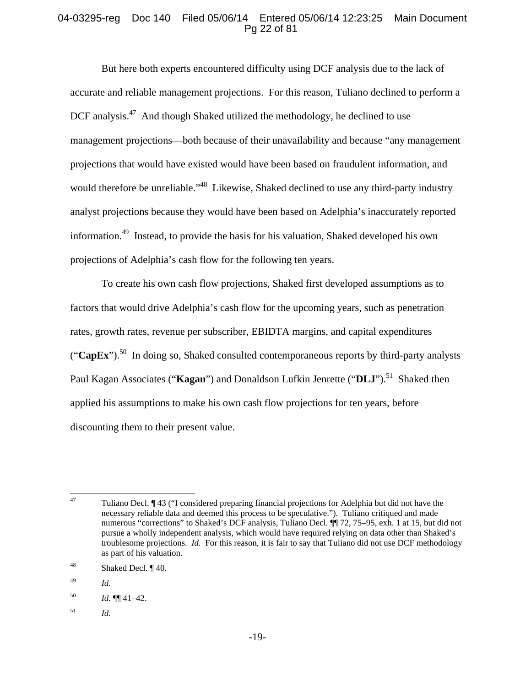# 04-03295-reg Doc 140 Filed 05/06/14 Entered 05/06/14 12:23:25 Main Document Pg 22 of 81

But here both experts encountered difficulty using DCF analysis due to the lack of accurate and reliable management projections. For this reason, Tuliano declined to perform a DCF analysis.<sup>47</sup> And though Shaked utilized the methodology, he declined to use management projections—both because of their unavailability and because "any management projections that would have existed would have been based on fraudulent information, and would therefore be unreliable."<sup>48</sup> Likewise, Shaked declined to use any third-party industry analyst projections because they would have been based on Adelphia's inaccurately reported information.49 Instead, to provide the basis for his valuation, Shaked developed his own projections of Adelphia's cash flow for the following ten years.

To create his own cash flow projections, Shaked first developed assumptions as to factors that would drive Adelphia's cash flow for the upcoming years, such as penetration rates, growth rates, revenue per subscriber, EBIDTA margins, and capital expenditures (" $\text{CapEx"}$ ).<sup>50</sup> In doing so, Shaked consulted contemporaneous reports by third-party analysts Paul Kagan Associates ("**Kagan**") and Donaldson Lufkin Jenrette ("**DLJ**").<sup>51</sup> Shaked then applied his assumptions to make his own cash flow projections for ten years, before discounting them to their present value.

51 *Id.*

<sup>47</sup> 47 Tuliano Decl. ¶ 43 ("I considered preparing financial projections for Adelphia but did not have the necessary reliable data and deemed this process to be speculative."). Tuliano critiqued and made numerous "corrections" to Shaked's DCF analysis, Tuliano Decl. ¶¶ 72, 75–95, exh. 1 at 15, but did not pursue a wholly independent analysis, which would have required relying on data other than Shaked's troublesome projections. *Id.* For this reason, it is fair to say that Tuliano did not use DCF methodology as part of his valuation.

<sup>48</sup> Shaked Decl. ¶ 40.

<sup>49</sup> *Id.* 

 $Id. \P\P\P 41-42.$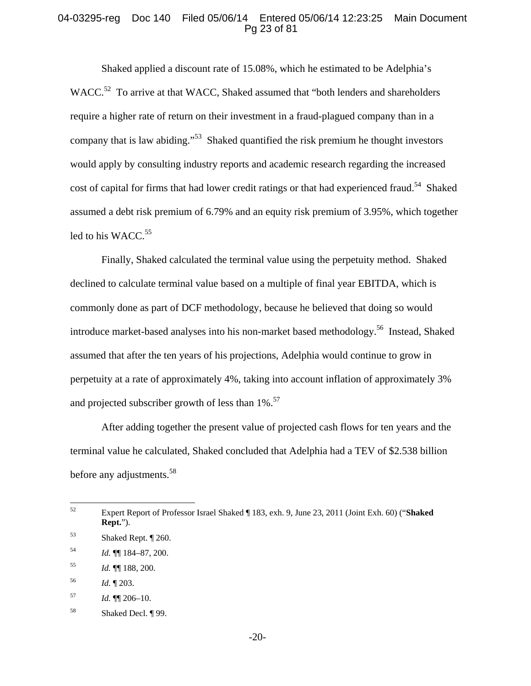### 04-03295-reg Doc 140 Filed 05/06/14 Entered 05/06/14 12:23:25 Main Document Pg 23 of 81

Shaked applied a discount rate of 15.08%, which he estimated to be Adelphia's WACC.<sup>52</sup> To arrive at that WACC, Shaked assumed that "both lenders and shareholders" require a higher rate of return on their investment in a fraud-plagued company than in a company that is law abiding."<sup>53</sup> Shaked quantified the risk premium he thought investors would apply by consulting industry reports and academic research regarding the increased cost of capital for firms that had lower credit ratings or that had experienced fraud.<sup>54</sup> Shaked assumed a debt risk premium of 6.79% and an equity risk premium of 3.95%, which together led to his WACC.<sup>55</sup>

Finally, Shaked calculated the terminal value using the perpetuity method. Shaked declined to calculate terminal value based on a multiple of final year EBITDA, which is commonly done as part of DCF methodology, because he believed that doing so would introduce market-based analyses into his non-market based methodology.<sup>56</sup> Instead, Shaked assumed that after the ten years of his projections, Adelphia would continue to grow in perpetuity at a rate of approximately 4%, taking into account inflation of approximately 3% and projected subscriber growth of less than  $1\%$ .<sup>57</sup>

After adding together the present value of projected cash flows for ten years and the terminal value he calculated, Shaked concluded that Adelphia had a TEV of \$2.538 billion before any adjustments.<sup>58</sup>

<sup>52</sup> 52 Expert Report of Professor Israel Shaked ¶ 183, exh. 9, June 23, 2011 (Joint Exh. 60) ("**Shaked Rept.**").

<sup>53</sup> Shaked Rept. ¶ 260.

<sup>54</sup> *Id.* ¶¶ 184–87, 200.

<sup>55</sup> *Id.* ¶¶ 188, 200.

<sup>56</sup> *Id.* ¶ 203.

<sup>57</sup> *Id.* ¶¶ 206–10.

<sup>58</sup> Shaked Decl. ¶ 99.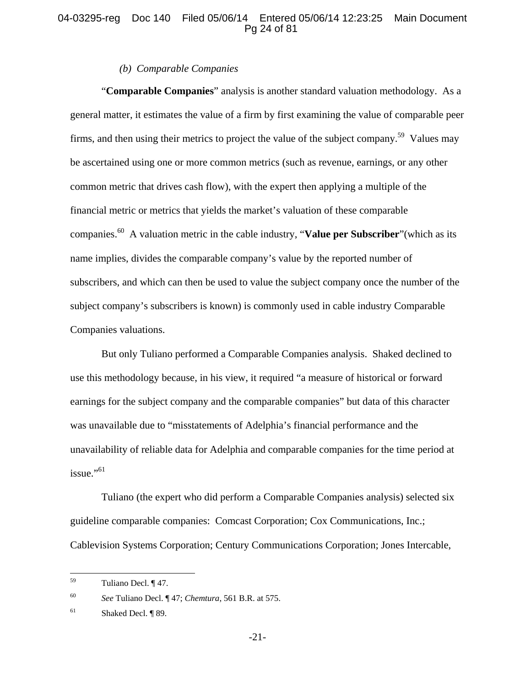## 04-03295-reg Doc 140 Filed 05/06/14 Entered 05/06/14 12:23:25 Main Document Pg 24 of 81

#### *(b) Comparable Companies*

"**Comparable Companies**" analysis is another standard valuation methodology. As a general matter, it estimates the value of a firm by first examining the value of comparable peer firms, and then using their metrics to project the value of the subject company.<sup>59</sup> Values may be ascertained using one or more common metrics (such as revenue, earnings, or any other common metric that drives cash flow), with the expert then applying a multiple of the financial metric or metrics that yields the market's valuation of these comparable companies.60 A valuation metric in the cable industry, "**Value per Subscriber**"(which as its name implies, divides the comparable company's value by the reported number of subscribers, and which can then be used to value the subject company once the number of the subject company's subscribers is known) is commonly used in cable industry Comparable Companies valuations.

But only Tuliano performed a Comparable Companies analysis. Shaked declined to use this methodology because, in his view, it required "a measure of historical or forward earnings for the subject company and the comparable companies" but data of this character was unavailable due to "misstatements of Adelphia's financial performance and the unavailability of reliable data for Adelphia and comparable companies for the time period at  $i$ ssue."<sup>61</sup>

Tuliano (the expert who did perform a Comparable Companies analysis) selected six guideline comparable companies: Comcast Corporation; Cox Communications, Inc.; Cablevision Systems Corporation; Century Communications Corporation; Jones Intercable,

<sup>59</sup> Tuliano Decl. ¶ 47.

<sup>60</sup> *See* Tuliano Decl. ¶ 47; *Chemtura*, 561 B.R. at 575.

<sup>61</sup> Shaked Decl. ¶ 89.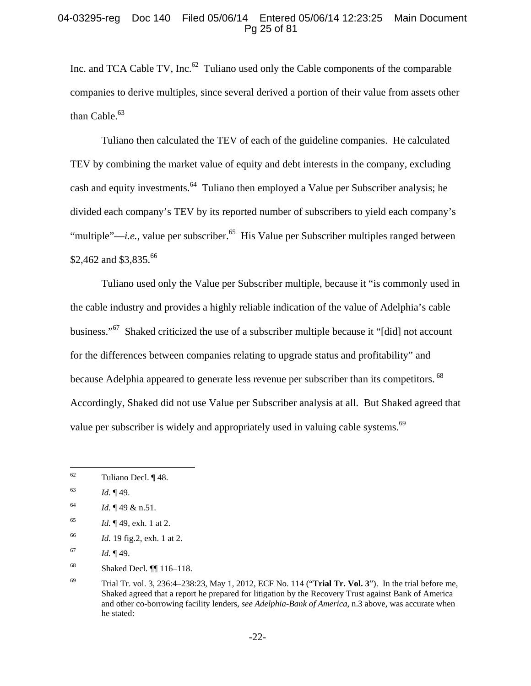## 04-03295-reg Doc 140 Filed 05/06/14 Entered 05/06/14 12:23:25 Main Document Pg 25 of 81

Inc. and TCA Cable TV, Inc. $62$  Tuliano used only the Cable components of the comparable companies to derive multiples, since several derived a portion of their value from assets other than Cable. $63$ 

Tuliano then calculated the TEV of each of the guideline companies. He calculated TEV by combining the market value of equity and debt interests in the company, excluding cash and equity investments.<sup>64</sup> Tuliano then employed a Value per Subscriber analysis; he divided each company's TEV by its reported number of subscribers to yield each company's "multiple"—*i.e.*, value per subscriber.<sup>65</sup> His Value per Subscriber multiples ranged between \$2,462 and \$3,835.<sup>66</sup>

Tuliano used only the Value per Subscriber multiple, because it "is commonly used in the cable industry and provides a highly reliable indication of the value of Adelphia's cable business."<sup>67</sup> Shaked criticized the use of a subscriber multiple because it "[did] not account for the differences between companies relating to upgrade status and profitability" and because Adelphia appeared to generate less revenue per subscriber than its competitors. <sup>68</sup> Accordingly, Shaked did not use Value per Subscriber analysis at all. But Shaked agreed that value per subscriber is widely and appropriately used in valuing cable systems.<sup>69</sup>

66 *Id.* 19 fig.2, exh. 1 at 2.

68 Shaked Decl. ¶¶ 116–118.

<sup>62</sup> Tuliano Decl. ¶ 48.

<sup>63</sup> *Id.* ¶ 49.

 $1d. \P 49 \& n.51.$ 

<sup>65</sup> *Id.* ¶ 49, exh. 1 at 2.

<sup>67</sup> *Id.* ¶ 49.

<sup>69</sup> Trial Tr. vol. 3, 236:4–238:23, May 1, 2012, ECF No. 114 ("**Trial Tr. Vol. 3**"). In the trial before me, Shaked agreed that a report he prepared for litigation by the Recovery Trust against Bank of America and other co-borrowing facility lenders, *see Adelphia-Bank of America*, n.3 above, was accurate when he stated: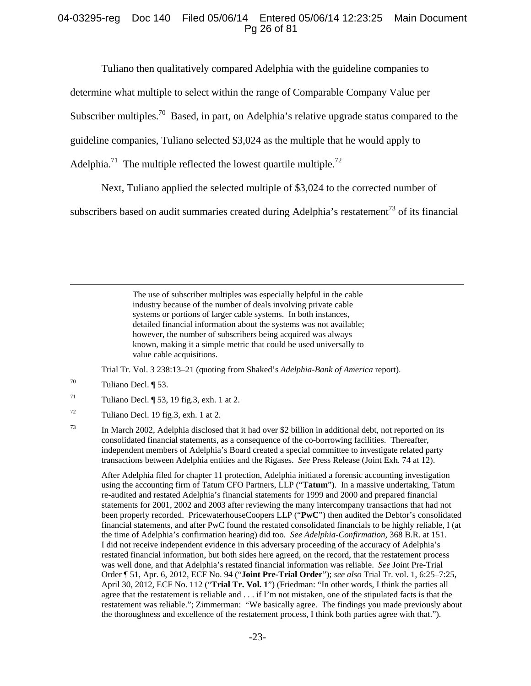## 04-03295-reg Doc 140 Filed 05/06/14 Entered 05/06/14 12:23:25 Main Document Pg 26 of 81

Tuliano then qualitatively compared Adelphia with the guideline companies to

determine what multiple to select within the range of Comparable Company Value per

Subscriber multiples.<sup>70</sup> Based, in part, on Adelphia's relative upgrade status compared to the

guideline companies, Tuliano selected \$3,024 as the multiple that he would apply to

Adelphia.<sup>71</sup> The multiple reflected the lowest quartile multiple.<sup>72</sup>

Next, Tuliano applied the selected multiple of \$3,024 to the corrected number of

subscribers based on audit summaries created during Adelphia's restatement<sup>73</sup> of its financial

 The use of subscriber multiples was especially helpful in the cable industry because of the number of deals involving private cable systems or portions of larger cable systems. In both instances, detailed financial information about the systems was not available; however, the number of subscribers being acquired was always known, making it a simple metric that could be used universally to value cable acquisitions.

Trial Tr. Vol. 3 238:13–21 (quoting from Shaked's *Adelphia-Bank of America* report).

 $70$  Tuliano Decl.  $\sqrt{ }$  53.

 $71$  Tuliano Decl.  $\sqrt{ }$  53, 19 fig.3, exh. 1 at 2.

 $72$  Tuliano Decl. 19 fig.3, exh. 1 at 2.

73 In March 2002, Adelphia disclosed that it had over \$2 billion in additional debt, not reported on its consolidated financial statements, as a consequence of the co-borrowing facilities. Thereafter, independent members of Adelphia's Board created a special committee to investigate related party transactions between Adelphia entities and the Rigases. *See* Press Release (Joint Exh. 74 at 12).

 After Adelphia filed for chapter 11 protection, Adelphia initiated a forensic accounting investigation using the accounting firm of Tatum CFO Partners, LLP ("**Tatum**"). In a massive undertaking, Tatum re-audited and restated Adelphia's financial statements for 1999 and 2000 and prepared financial statements for 2001, 2002 and 2003 after reviewing the many intercompany transactions that had not been properly recorded. PricewaterhouseCoopers LLP ("**PwC**") then audited the Debtor's consolidated financial statements, and after PwC found the restated consolidated financials to be highly reliable, I (at the time of Adelphia's confirmation hearing) did too. *See Adelphia-Confirmation*, 368 B.R. at 151. I did not receive independent evidence in this adversary proceeding of the accuracy of Adelphia's restated financial information, but both sides here agreed, on the record, that the restatement process was well done, and that Adelphia's restated financial information was reliable. *See* Joint Pre-Trial Order ¶ 51, Apr. 6, 2012, ECF No. 94 ("**Joint Pre-Trial Order**"); *see also* Trial Tr. vol. 1, 6:25–7:25, April 30, 2012, ECF No. 112 ("**Trial Tr. Vol. 1**") (Friedman: "In other words, I think the parties all agree that the restatement is reliable and . . . if I'm not mistaken, one of the stipulated facts is that the restatement was reliable."; Zimmerman: "We basically agree. The findings you made previously about the thoroughness and excellence of the restatement process, I think both parties agree with that.").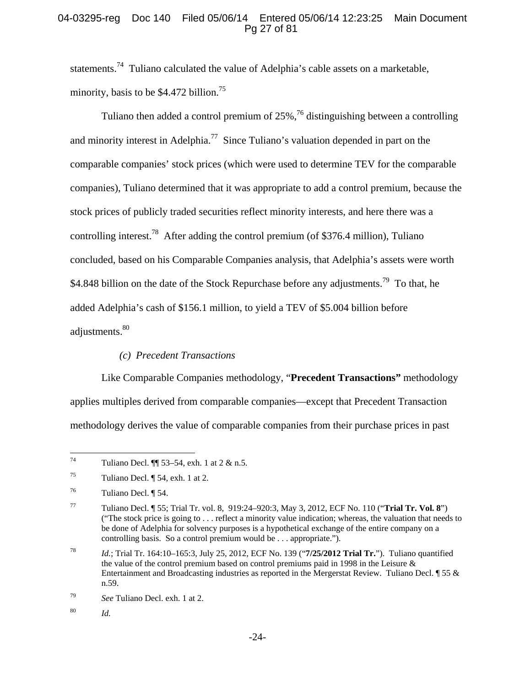# 04-03295-reg Doc 140 Filed 05/06/14 Entered 05/06/14 12:23:25 Main Document Pg 27 of 81

statements.74 Tuliano calculated the value of Adelphia's cable assets on a marketable, minority, basis to be  $$4.472$  billion.<sup>75</sup>

Tuliano then added a control premium of  $25\%$ ,  $^{76}$  distinguishing between a controlling and minority interest in Adelphia.<sup>77</sup> Since Tuliano's valuation depended in part on the comparable companies' stock prices (which were used to determine TEV for the comparable companies), Tuliano determined that it was appropriate to add a control premium, because the stock prices of publicly traded securities reflect minority interests, and here there was a controlling interest.<sup>78</sup> After adding the control premium (of \$376.4 million), Tuliano concluded, based on his Comparable Companies analysis, that Adelphia's assets were worth \$4.848 billion on the date of the Stock Repurchase before any adjustments.<sup>79</sup> To that, he added Adelphia's cash of \$156.1 million, to yield a TEV of \$5.004 billion before adjustments.<sup>80</sup>

# *(c) Precedent Transactions*

Like Comparable Companies methodology, "**Precedent Transactions"** methodology applies multiples derived from comparable companies—except that Precedent Transaction methodology derives the value of comparable companies from their purchase prices in past

 $74$ Tuliano Decl.  $\P$  53–54, exh. 1 at 2 & n.5.

 $^{75}$  Tuliano Decl.  $\P$  54, exh. 1 at 2.

<sup>76</sup> Tuliano Decl. ¶ 54.

<sup>77</sup> Tuliano Decl. ¶ 55; Trial Tr. vol. 8, 919:24–920:3, May 3, 2012, ECF No. 110 ("**Trial Tr. Vol. 8**") ("The stock price is going to . . . reflect a minority value indication; whereas, the valuation that needs to be done of Adelphia for solvency purposes is a hypothetical exchange of the entire company on a controlling basis. So a control premium would be . . . appropriate.").

<sup>78</sup> *Id.*; Trial Tr. 164:10–165:3, July 25, 2012, ECF No. 139 ("**7/25/2012 Trial Tr.**"). Tuliano quantified the value of the control premium based on control premiums paid in 1998 in the Leisure & Entertainment and Broadcasting industries as reported in the Mergerstat Review. Tuliano Decl. ¶ 55 & n.59.

<sup>79</sup> *See* Tuliano Decl. exh. 1 at 2.

<sup>80</sup> *Id.*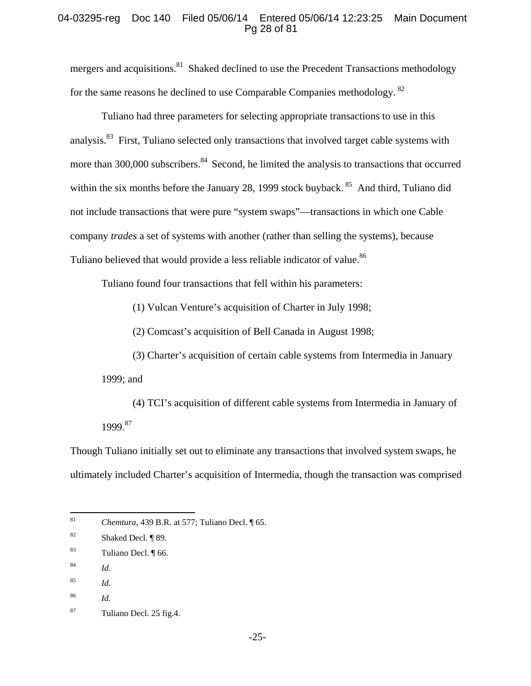## 04-03295-reg Doc 140 Filed 05/06/14 Entered 05/06/14 12:23:25 Main Document Pg 28 of 81

mergers and acquisitions.<sup>81</sup> Shaked declined to use the Precedent Transactions methodology for the same reasons he declined to use Comparable Companies methodology.<sup>82</sup>

Tuliano had three parameters for selecting appropriate transactions to use in this analysis.<sup>83</sup> First, Tuliano selected only transactions that involved target cable systems with more than 300,000 subscribers.<sup>84</sup> Second, he limited the analysis to transactions that occurred within the six months before the January 28, 1999 stock buyback. <sup>85</sup> And third, Tuliano did not include transactions that were pure "system swaps"—transactions in which one Cable company *trades* a set of systems with another (rather than selling the systems), because Tuliano believed that would provide a less reliable indicator of value.<sup>86</sup>

Tuliano found four transactions that fell within his parameters:

(1) Vulcan Venture's acquisition of Charter in July 1998;

(2) Comcast's acquisition of Bell Canada in August 1998;

(3) Charter's acquisition of certain cable systems from Intermedia in January 1999; and

(4) TCI's acquisition of different cable systems from Intermedia in January of 1999.87

Though Tuliano initially set out to eliminate any transactions that involved system swaps, he ultimately included Charter's acquisition of Intermedia, though the transaction was comprised

 $81$ *Chemtura*, 439 B.R. at 577; Tuliano Decl. ¶ 65.

<sup>82</sup> Shaked Decl. ¶ 89.

<sup>83</sup> Tuliano Decl. ¶ 66.

<sup>84</sup> *Id.*

<sup>85</sup> *Id.*

<sup>86</sup> *Id.*

<sup>87</sup> Tuliano Decl. 25 fig.4.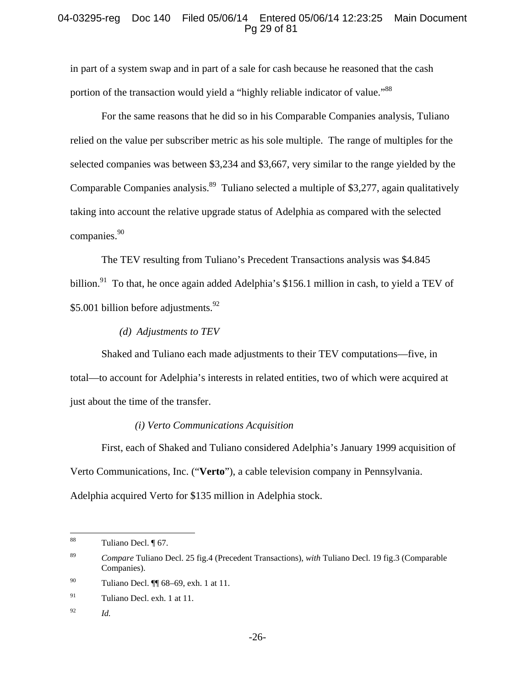# 04-03295-reg Doc 140 Filed 05/06/14 Entered 05/06/14 12:23:25 Main Document Pg 29 of 81

in part of a system swap and in part of a sale for cash because he reasoned that the cash portion of the transaction would yield a "highly reliable indicator of value."<sup>88</sup>

For the same reasons that he did so in his Comparable Companies analysis, Tuliano relied on the value per subscriber metric as his sole multiple. The range of multiples for the selected companies was between \$3,234 and \$3,667, very similar to the range yielded by the Comparable Companies analysis.<sup>89</sup> Tuliano selected a multiple of \$3,277, again qualitatively taking into account the relative upgrade status of Adelphia as compared with the selected companies.<sup>90</sup>

The TEV resulting from Tuliano's Precedent Transactions analysis was \$4.845 billion.<sup>91</sup> To that, he once again added Adelphia's \$156.1 million in cash, to yield a TEV of \$5.001 billion before adjustments.<sup>92</sup>

## *(d) Adjustments to TEV*

Shaked and Tuliano each made adjustments to their TEV computations—five, in total—to account for Adelphia's interests in related entities, two of which were acquired at just about the time of the transfer.

#### *(i) Verto Communications Acquisition*

First, each of Shaked and Tuliano considered Adelphia's January 1999 acquisition of Verto Communications, Inc. ("**Verto**"), a cable television company in Pennsylvania. Adelphia acquired Verto for \$135 million in Adelphia stock.

92 *Id.* 

 $88\,$ Tuliano Decl. ¶ 67.

<sup>89</sup> *Compare* Tuliano Decl. 25 fig.4 (Precedent Transactions), *with* Tuliano Decl. 19 fig.3 (Comparable Companies).

<sup>90</sup> Tuliano Decl. ¶¶ 68–69, exh. 1 at 11.

 $91$  Tuliano Decl. exh. 1 at 11.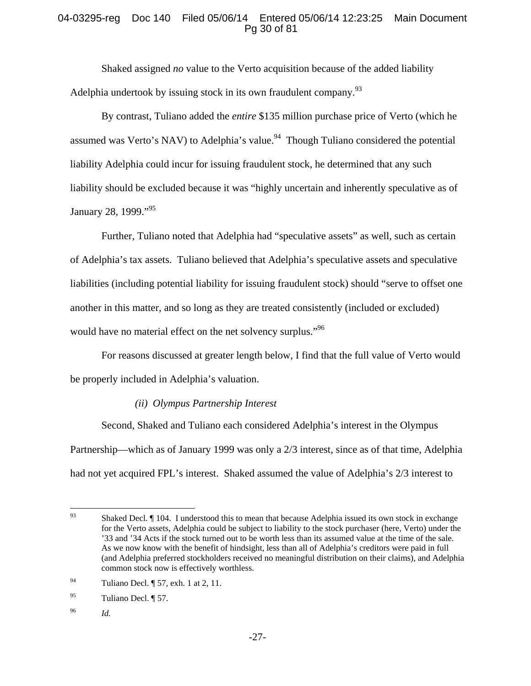# 04-03295-reg Doc 140 Filed 05/06/14 Entered 05/06/14 12:23:25 Main Document Pg 30 of 81

Shaked assigned *no* value to the Verto acquisition because of the added liability Adelphia undertook by issuing stock in its own fraudulent company.<sup>93</sup>

By contrast, Tuliano added the *entire* \$135 million purchase price of Verto (which he assumed was Verto's NAV) to Adelphia's value.<sup>94</sup> Though Tuliano considered the potential liability Adelphia could incur for issuing fraudulent stock, he determined that any such liability should be excluded because it was "highly uncertain and inherently speculative as of January 28, 1999."<sup>95</sup>

Further, Tuliano noted that Adelphia had "speculative assets" as well, such as certain of Adelphia's tax assets. Tuliano believed that Adelphia's speculative assets and speculative liabilities (including potential liability for issuing fraudulent stock) should "serve to offset one another in this matter, and so long as they are treated consistently (included or excluded) would have no material effect on the net solvency surplus."<sup>96</sup>

For reasons discussed at greater length below, I find that the full value of Verto would be properly included in Adelphia's valuation.

# *(ii) Olympus Partnership Interest*

Second, Shaked and Tuliano each considered Adelphia's interest in the Olympus Partnership—which as of January 1999 was only a 2/3 interest, since as of that time, Adelphia had not yet acquired FPL's interest. Shaked assumed the value of Adelphia's 2/3 interest to

96 *Id.*

<sup>93</sup> Shaked Decl.  $\P$  104. I understood this to mean that because Adelphia issued its own stock in exchange for the Verto assets, Adelphia could be subject to liability to the stock purchaser (here, Verto) under the '33 and '34 Acts if the stock turned out to be worth less than its assumed value at the time of the sale. As we now know with the benefit of hindsight, less than all of Adelphia's creditors were paid in full (and Adelphia preferred stockholders received no meaningful distribution on their claims), and Adelphia common stock now is effectively worthless.

<sup>94</sup> Tuliano Decl. ¶ 57, exh. 1 at 2, 11.

<sup>95</sup> Tuliano Decl. ¶ 57.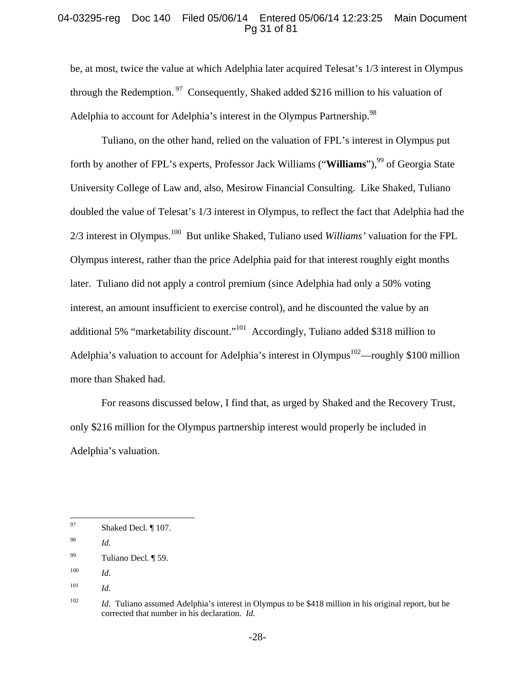## 04-03295-reg Doc 140 Filed 05/06/14 Entered 05/06/14 12:23:25 Main Document Pg 31 of 81

be, at most, twice the value at which Adelphia later acquired Telesat's 1/3 interest in Olympus through the Redemption.<sup>97</sup> Consequently, Shaked added \$216 million to his valuation of Adelphia to account for Adelphia's interest in the Olympus Partnership.  $98$ 

Tuliano, on the other hand, relied on the valuation of FPL's interest in Olympus put forth by another of FPL's experts, Professor Jack Williams ("**Williams**"),<sup>99</sup> of Georgia State University College of Law and, also, Mesirow Financial Consulting. Like Shaked, Tuliano doubled the value of Telesat's 1/3 interest in Olympus, to reflect the fact that Adelphia had the 2/3 interest in Olympus.100 But unlike Shaked, Tuliano used *Williams'* valuation for the FPL Olympus interest, rather than the price Adelphia paid for that interest roughly eight months later. Tuliano did not apply a control premium (since Adelphia had only a 50% voting interest, an amount insufficient to exercise control), and he discounted the value by an additional 5% "marketability discount."<sup>101</sup> Accordingly, Tuliano added \$318 million to Adelphia's valuation to account for Adelphia's interest in Olympus<sup>102</sup>—roughly \$100 million more than Shaked had.

For reasons discussed below, I find that, as urged by Shaked and the Recovery Trust, only \$216 million for the Olympus partnership interest would properly be included in Adelphia's valuation.

<sup>97</sup> Shaked Decl. ¶ 107.

<sup>98</sup> *Id.*

<sup>99</sup> Tuliano Decl. ¶ 59.

<sup>100</sup> *Id.*

<sup>101</sup> *Id.*

<sup>&</sup>lt;sup>102</sup> *Id.* Tuliano assumed Adelphia's interest in Olympus to be \$418 million in his original report, but he corrected that number in his declaration. *Id.*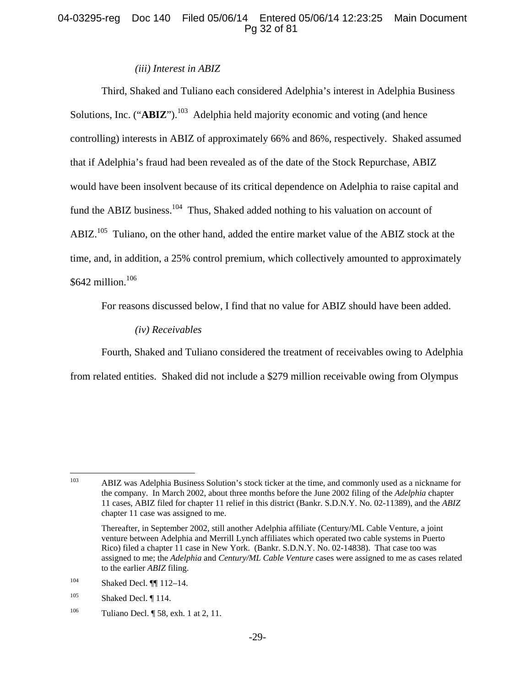# 04-03295-reg Doc 140 Filed 05/06/14 Entered 05/06/14 12:23:25 Main Document Pg 32 of 81

#### *(iii) Interest in ABIZ*

Third, Shaked and Tuliano each considered Adelphia's interest in Adelphia Business Solutions, Inc. ("**ABIZ**").<sup>103</sup> Adelphia held majority economic and voting (and hence controlling) interests in ABIZ of approximately 66% and 86%, respectively. Shaked assumed that if Adelphia's fraud had been revealed as of the date of the Stock Repurchase, ABIZ would have been insolvent because of its critical dependence on Adelphia to raise capital and fund the ABIZ business.<sup>104</sup> Thus, Shaked added nothing to his valuation on account of ABIZ.<sup>105</sup> Tuliano, on the other hand, added the entire market value of the ABIZ stock at the time, and, in addition, a 25% control premium, which collectively amounted to approximately \$642 million.<sup>106</sup>

For reasons discussed below, I find that no value for ABIZ should have been added.

*(iv) Receivables* 

Fourth, Shaked and Tuliano considered the treatment of receivables owing to Adelphia from related entities. Shaked did not include a \$279 million receivable owing from Olympus

<sup>103</sup> 103 ABIZ was Adelphia Business Solution's stock ticker at the time, and commonly used as a nickname for the company. In March 2002, about three months before the June 2002 filing of the *Adelphia* chapter 11 cases, ABIZ filed for chapter 11 relief in this district (Bankr. S.D.N.Y. No. 02-11389), and the *ABIZ* chapter 11 case was assigned to me.

Thereafter, in September 2002, still another Adelphia affiliate (Century/ML Cable Venture, a joint venture between Adelphia and Merrill Lynch affiliates which operated two cable systems in Puerto Rico) filed a chapter 11 case in New York. (Bankr. S.D.N.Y. No. 02-14838). That case too was assigned to me; the *Adelphia* and *Century/ML Cable Venture* cases were assigned to me as cases related to the earlier *ABIZ* filing.

<sup>104</sup> Shaked Decl. ¶¶ 112–14.

 $^{105}$  Shaked Decl. [114.]

<sup>&</sup>lt;sup>106</sup> Tuliano Decl.  $\sqrt{58}$ , exh. 1 at 2, 11.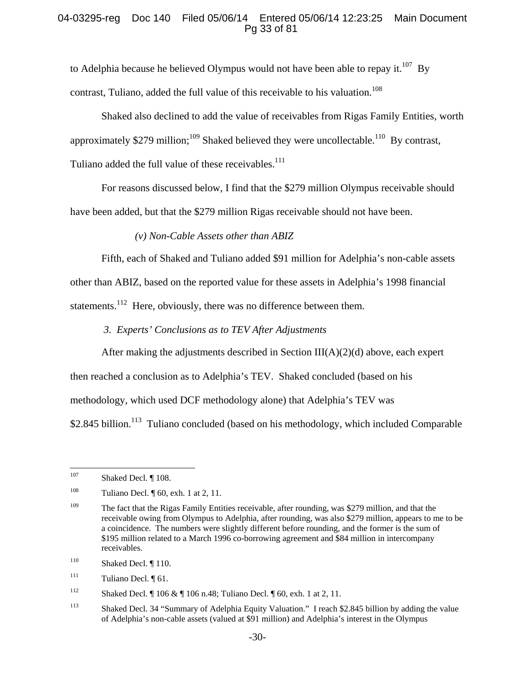## 04-03295-reg Doc 140 Filed 05/06/14 Entered 05/06/14 12:23:25 Main Document Pg 33 of 81

to Adelphia because he believed Olympus would not have been able to repay it.<sup>107</sup> By contrast, Tuliano, added the full value of this receivable to his valuation.<sup>108</sup>

Shaked also declined to add the value of receivables from Rigas Family Entities, worth

approximately \$279 million;<sup>109</sup> Shaked believed they were uncollectable.<sup>110</sup> By contrast,

Tuliano added the full value of these receivables.<sup>111</sup>

For reasons discussed below, I find that the \$279 million Olympus receivable should

have been added, but that the \$279 million Rigas receivable should not have been.

*(v) Non-Cable Assets other than ABIZ* 

Fifth, each of Shaked and Tuliano added \$91 million for Adelphia's non-cable assets

other than ABIZ, based on the reported value for these assets in Adelphia's 1998 financial

statements.<sup>112</sup> Here, obviously, there was no difference between them.

*3. Experts' Conclusions as to TEV After Adjustments* 

After making the adjustments described in Section  $III(A)(2)(d)$  above, each expert

then reached a conclusion as to Adelphia's TEV. Shaked concluded (based on his

methodology, which used DCF methodology alone) that Adelphia's TEV was

\$2.845 billion.<sup>113</sup> Tuliano concluded (based on his methodology, which included Comparable

<sup>107</sup> Shaked Decl. ¶ 108.

<sup>&</sup>lt;sup>108</sup> Tuliano Decl. ¶ 60, exh. 1 at 2, 11.

<sup>&</sup>lt;sup>109</sup> The fact that the Rigas Family Entities receivable, after rounding, was \$279 million, and that the receivable owing from Olympus to Adelphia, after rounding, was also \$279 million, appears to me to be a coincidence. The numbers were slightly different before rounding, and the former is the sum of \$195 million related to a March 1996 co-borrowing agreement and \$84 million in intercompany receivables.

 $110$  Shaked Decl. [110.]

 $111$  Tuliano Decl.  $\sqrt[6]{61}$ .

<sup>112</sup> Shaked Decl. ¶ 106 & ¶ 106 n.48; Tuliano Decl. ¶ 60, exh. 1 at 2, 11.

<sup>113</sup> Shaked Decl. 34 "Summary of Adelphia Equity Valuation." I reach \$2.845 billion by adding the value of Adelphia's non-cable assets (valued at \$91 million) and Adelphia's interest in the Olympus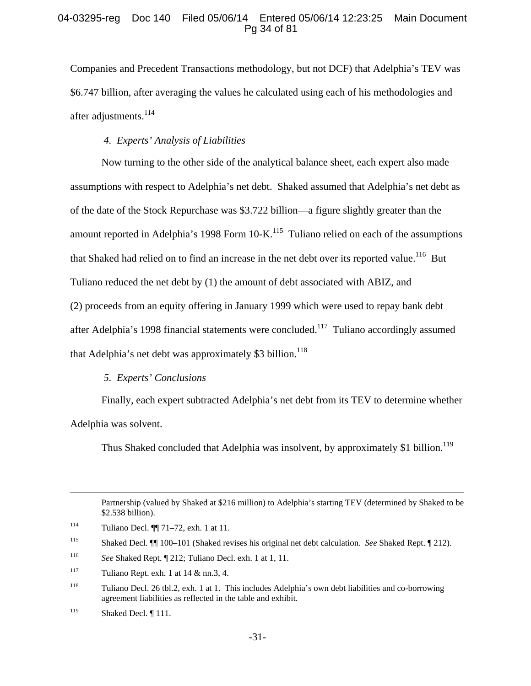## 04-03295-reg Doc 140 Filed 05/06/14 Entered 05/06/14 12:23:25 Main Document Pg 34 of 81

Companies and Precedent Transactions methodology, but not DCF) that Adelphia's TEV was \$6.747 billion, after averaging the values he calculated using each of his methodologies and after adjustments.<sup>114</sup>

# *4. Experts' Analysis of Liabilities*

Now turning to the other side of the analytical balance sheet, each expert also made assumptions with respect to Adelphia's net debt. Shaked assumed that Adelphia's net debt as of the date of the Stock Repurchase was \$3.722 billion—a figure slightly greater than the amount reported in Adelphia's 1998 Form  $10\text{-K}$ .<sup>115</sup> Tuliano relied on each of the assumptions that Shaked had relied on to find an increase in the net debt over its reported value.<sup>116</sup> But Tuliano reduced the net debt by (1) the amount of debt associated with ABIZ, and (2) proceeds from an equity offering in January 1999 which were used to repay bank debt after Adelphia's 1998 financial statements were concluded.<sup>117</sup> Tuliano accordingly assumed that Adelphia's net debt was approximately \$3 billion.<sup>118</sup>

## *5. Experts' Conclusions*

Finally, each expert subtracted Adelphia's net debt from its TEV to determine whether Adelphia was solvent.

Thus Shaked concluded that Adelphia was insolvent, by approximately \$1 billion.<sup>119</sup>

 Partnership (valued by Shaked at \$216 million) to Adelphia's starting TEV (determined by Shaked to be \$2.538 billion).

<sup>114</sup> Tuliano Decl. ¶¶ 71–72, exh. 1 at 11.

<sup>115</sup> Shaked Decl. ¶¶ 100–101 (Shaked revises his original net debt calculation. *See* Shaked Rept. ¶ 212).

<sup>116</sup> *See* Shaked Rept. ¶ 212; Tuliano Decl. exh. 1 at 1, 11.

<sup>&</sup>lt;sup>117</sup> Tuliano Rept. exh. 1 at  $14 \& \text{nn.3}, 4$ .

<sup>118</sup> Tuliano Decl. 26 tbl.2, exh. 1 at 1. This includes Adelphia's own debt liabilities and co-borrowing agreement liabilities as reflected in the table and exhibit.

<sup>&</sup>lt;sup>119</sup> Shaked Decl.  $\P$  111.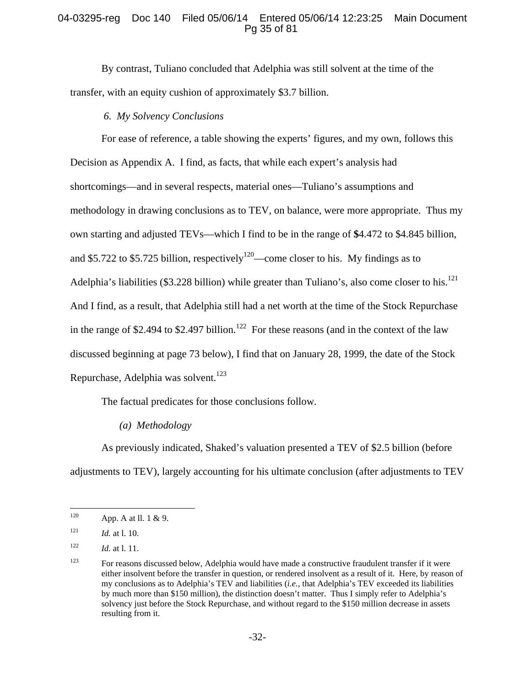# 04-03295-reg Doc 140 Filed 05/06/14 Entered 05/06/14 12:23:25 Main Document Pg 35 of 81

By contrast, Tuliano concluded that Adelphia was still solvent at the time of the transfer, with an equity cushion of approximately \$3.7 billion.

# *6. My Solvency Conclusions*

For ease of reference, a table showing the experts' figures, and my own, follows this Decision as Appendix A. I find, as facts, that while each expert's analysis had shortcomings—and in several respects, material ones—Tuliano's assumptions and methodology in drawing conclusions as to TEV, on balance, were more appropriate. Thus my own starting and adjusted TEVs—which I find to be in the range of **\$**4.472 to \$4.845 billion, and \$5.722 to \$5.725 billion, respectively<sup>120</sup>—come closer to his. My findings as to Adelphia's liabilities (\$3.228 billion) while greater than Tuliano's, also come closer to his.<sup>121</sup> And I find, as a result, that Adelphia still had a net worth at the time of the Stock Repurchase in the range of \$2.494 to \$2.497 billion.<sup>122</sup> For these reasons (and in the context of the law discussed beginning at page 73 below), I find that on January 28, 1999, the date of the Stock Repurchase, Adelphia was solvent.<sup>123</sup>

The factual predicates for those conclusions follow.

#### *(a) Methodology*

As previously indicated, Shaked's valuation presented a TEV of \$2.5 billion (before adjustments to TEV), largely accounting for his ultimate conclusion (after adjustments to TEV

<sup>120</sup> App. A at ll. 1 & 9.

<sup>121</sup> *Id.* at l. 10.

<sup>122</sup> *Id.* at l. 11.

<sup>&</sup>lt;sup>123</sup> For reasons discussed below, Adelphia would have made a constructive fraudulent transfer if it were either insolvent before the transfer in question, or rendered insolvent as a result of it. Here, by reason of my conclusions as to Adelphia's TEV and liabilities (*i.e.*, that Adelphia's TEV exceeded its liabilities by much more than \$150 million), the distinction doesn't matter. Thus I simply refer to Adelphia's solvency just before the Stock Repurchase, and without regard to the \$150 million decrease in assets resulting from it.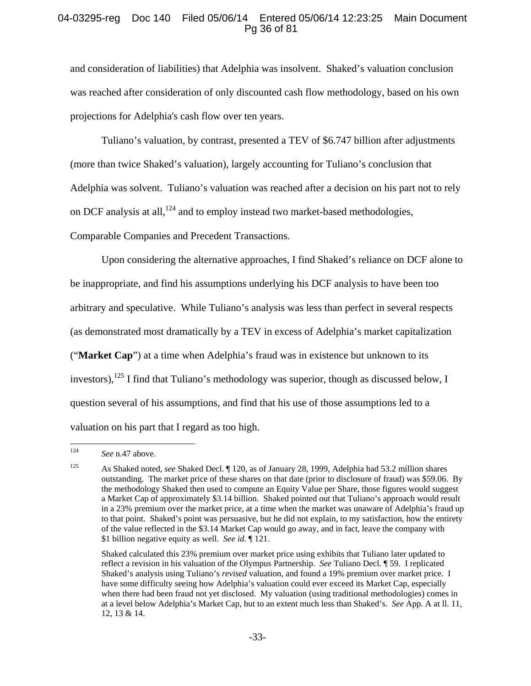# 04-03295-reg Doc 140 Filed 05/06/14 Entered 05/06/14 12:23:25 Main Document Pg 36 of 81

and consideration of liabilities) that Adelphia was insolvent. Shaked's valuation conclusion was reached after consideration of only discounted cash flow methodology, based on his own projections for Adelphia's cash flow over ten years.

Tuliano's valuation, by contrast, presented a TEV of \$6.747 billion after adjustments (more than twice Shaked's valuation), largely accounting for Tuliano's conclusion that Adelphia was solvent. Tuliano's valuation was reached after a decision on his part not to rely on DCF analysis at all, $^{124}$  and to employ instead two market-based methodologies, Comparable Companies and Precedent Transactions.

Upon considering the alternative approaches, I find Shaked's reliance on DCF alone to be inappropriate, and find his assumptions underlying his DCF analysis to have been too arbitrary and speculative. While Tuliano's analysis was less than perfect in several respects (as demonstrated most dramatically by a TEV in excess of Adelphia's market capitalization ("**Market Cap**") at a time when Adelphia's fraud was in existence but unknown to its investors),  $^{125}$  I find that Tuliano's methodology was superior, though as discussed below, I question several of his assumptions, and find that his use of those assumptions led to a valuation on his part that I regard as too high.

<sup>124</sup> See n.47 above.

<sup>125</sup> As Shaked noted, *see* Shaked Decl. ¶ 120, as of January 28, 1999, Adelphia had 53.2 million shares outstanding. The market price of these shares on that date (prior to disclosure of fraud) was \$59.06. By the methodology Shaked then used to compute an Equity Value per Share, those figures would suggest a Market Cap of approximately \$3.14 billion. Shaked pointed out that Tuliano's approach would result in a 23% premium over the market price, at a time when the market was unaware of Adelphia's fraud up to that point. Shaked's point was persuasive, but he did not explain, to my satisfaction, how the entirety of the value reflected in the \$3.14 Market Cap would go away, and in fact, leave the company with \$1 billion negative equity as well. *See id.* ¶ 121.

Shaked calculated this 23% premium over market price using exhibits that Tuliano later updated to reflect a revision in his valuation of the Olympus Partnership. *See* Tuliano Decl. ¶ 59. I replicated Shaked's analysis using Tuliano's *revised* valuation, and found a 19% premium over market price. I have some difficulty seeing how Adelphia's valuation could ever exceed its Market Cap, especially when there had been fraud not yet disclosed. My valuation (using traditional methodologies) comes in at a level below Adelphia's Market Cap, but to an extent much less than Shaked's. *See* App. A at ll. 11, 12, 13 & 14.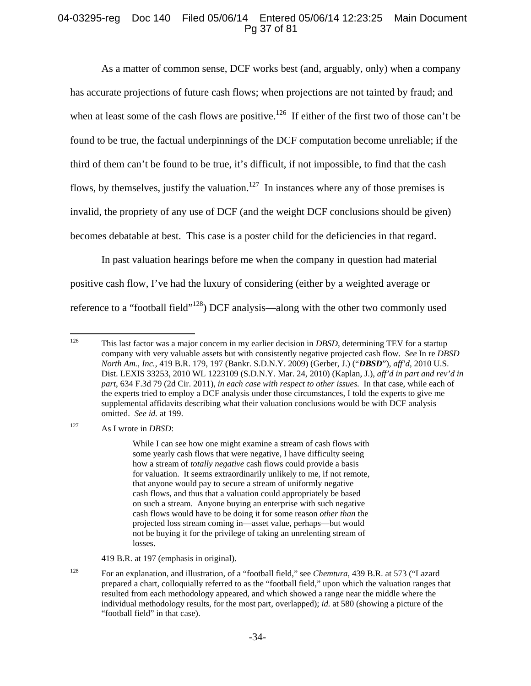# 04-03295-reg Doc 140 Filed 05/06/14 Entered 05/06/14 12:23:25 Main Document Pg 37 of 81

As a matter of common sense, DCF works best (and, arguably, only) when a company has accurate projections of future cash flows; when projections are not tainted by fraud; and when at least some of the cash flows are positive.<sup>126</sup> If either of the first two of those can't be found to be true, the factual underpinnings of the DCF computation become unreliable; if the third of them can't be found to be true, it's difficult, if not impossible, to find that the cash flows, by themselves, justify the valuation.<sup>127</sup> In instances where any of those premises is invalid, the propriety of any use of DCF (and the weight DCF conclusions should be given) becomes debatable at best. This case is a poster child for the deficiencies in that regard.

In past valuation hearings before me when the company in question had material positive cash flow, I've had the luxury of considering (either by a weighted average or reference to a "football field"128) DCF analysis—along with the other two commonly used

127 As I wrote in *DBSD*:

While I can see how one might examine a stream of cash flows with some yearly cash flows that were negative, I have difficulty seeing how a stream of *totally negative* cash flows could provide a basis for valuation. It seems extraordinarily unlikely to me, if not remote, that anyone would pay to secure a stream of uniformly negative cash flows, and thus that a valuation could appropriately be based on such a stream. Anyone buying an enterprise with such negative cash flows would have to be doing it for some reason *other than* the projected loss stream coming in—asset value, perhaps—but would not be buying it for the privilege of taking an unrelenting stream of losses.

419 B.R. at 197 (emphasis in original).

<sup>126</sup> 126 This last factor was a major concern in my earlier decision in *DBSD*, determining TEV for a startup company with very valuable assets but with consistently negative projected cash flow. *See* In re *DBSD North Am., Inc.*, 419 B.R. 179, 197 (Bankr. S.D.N.Y. 2009) (Gerber, J.) ("*DBSD*"), *aff'd*, 2010 U.S. Dist. LEXIS 33253, 2010 WL 1223109 (S.D.N.Y. Mar. 24, 2010) (Kaplan, J.), *aff'd in part and rev'd in part*, 634 F.3d 79 (2d Cir. 2011), *in each case with respect to other issues*. In that case, while each of the experts tried to employ a DCF analysis under those circumstances, I told the experts to give me supplemental affidavits describing what their valuation conclusions would be with DCF analysis omitted. *See id.* at 199.

<sup>128</sup> For an explanation, and illustration, of a "football field," see *Chemtura*, 439 B.R. at 573 ("Lazard prepared a chart, colloquially referred to as the "football field," upon which the valuation ranges that resulted from each methodology appeared, and which showed a range near the middle where the individual methodology results, for the most part, overlapped); *id.* at 580 (showing a picture of the "football field" in that case).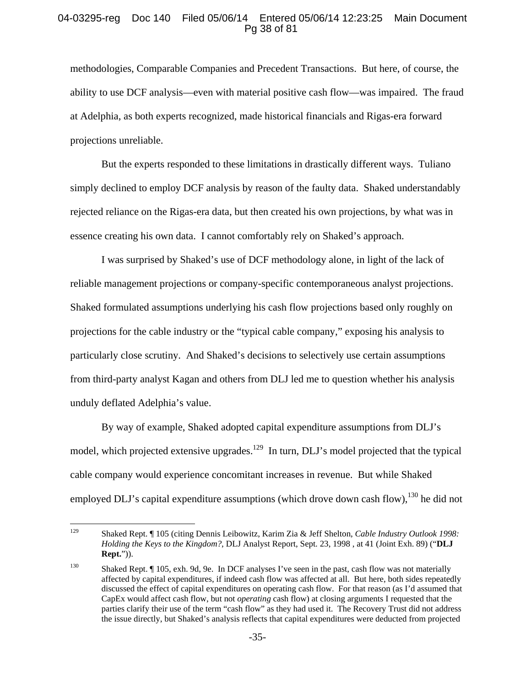## 04-03295-reg Doc 140 Filed 05/06/14 Entered 05/06/14 12:23:25 Main Document Pg 38 of 81

methodologies, Comparable Companies and Precedent Transactions. But here, of course, the ability to use DCF analysis—even with material positive cash flow—was impaired. The fraud at Adelphia, as both experts recognized, made historical financials and Rigas-era forward projections unreliable.

But the experts responded to these limitations in drastically different ways. Tuliano simply declined to employ DCF analysis by reason of the faulty data. Shaked understandably rejected reliance on the Rigas-era data, but then created his own projections, by what was in essence creating his own data. I cannot comfortably rely on Shaked's approach.

I was surprised by Shaked's use of DCF methodology alone, in light of the lack of reliable management projections or company-specific contemporaneous analyst projections. Shaked formulated assumptions underlying his cash flow projections based only roughly on projections for the cable industry or the "typical cable company," exposing his analysis to particularly close scrutiny. And Shaked's decisions to selectively use certain assumptions from third-party analyst Kagan and others from DLJ led me to question whether his analysis unduly deflated Adelphia's value.

By way of example, Shaked adopted capital expenditure assumptions from DLJ's model, which projected extensive upgrades.<sup>129</sup> In turn, DLJ's model projected that the typical cable company would experience concomitant increases in revenue. But while Shaked employed DLJ's capital expenditure assumptions (which drove down cash flow),  $^{130}$  he did not

<sup>129</sup> 129 Shaked Rept. ¶ 105 (citing Dennis Leibowitz, Karim Zia & Jeff Shelton, *Cable Industry Outlook 1998: Holding the Keys to the Kingdom?*, DLJ Analyst Report, Sept. 23, 1998 , at 41 (Joint Exh. 89) ("**DLJ Rept.**")).

<sup>130</sup> Shaked Rept. ¶ 105, exh. 9d, 9e. In DCF analyses I've seen in the past, cash flow was not materially affected by capital expenditures, if indeed cash flow was affected at all. But here, both sides repeatedly discussed the effect of capital expenditures on operating cash flow. For that reason (as I'd assumed that CapEx would affect cash flow, but not *operating* cash flow) at closing arguments I requested that the parties clarify their use of the term "cash flow" as they had used it. The Recovery Trust did not address the issue directly, but Shaked's analysis reflects that capital expenditures were deducted from projected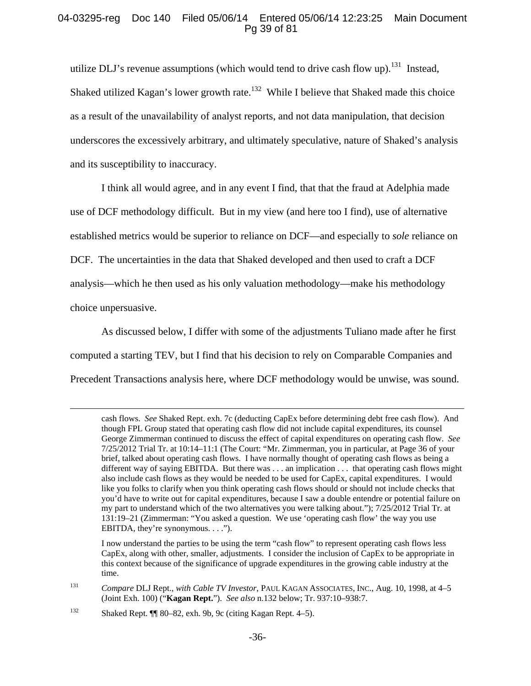# 04-03295-reg Doc 140 Filed 05/06/14 Entered 05/06/14 12:23:25 Main Document Pg 39 of 81

utilize DLJ's revenue assumptions (which would tend to drive cash flow up).<sup>131</sup> Instead, Shaked utilized Kagan's lower growth rate.<sup>132</sup> While I believe that Shaked made this choice as a result of the unavailability of analyst reports, and not data manipulation, that decision underscores the excessively arbitrary, and ultimately speculative, nature of Shaked's analysis and its susceptibility to inaccuracy.

I think all would agree, and in any event I find, that that the fraud at Adelphia made use of DCF methodology difficult. But in my view (and here too I find), use of alternative established metrics would be superior to reliance on DCF—and especially to *sole* reliance on DCF. The uncertainties in the data that Shaked developed and then used to craft a DCF analysis—which he then used as his only valuation methodology—make his methodology choice unpersuasive.

As discussed below, I differ with some of the adjustments Tuliano made after he first computed a starting TEV, but I find that his decision to rely on Comparable Companies and Precedent Transactions analysis here, where DCF methodology would be unwise, was sound.

 I now understand the parties to be using the term "cash flow" to represent operating cash flows less CapEx, along with other, smaller, adjustments. I consider the inclusion of CapEx to be appropriate in this context because of the significance of upgrade expenditures in the growing cable industry at the time.

132 Shaked Rept. ¶¶ 80–82, exh. 9b, 9c (citing Kagan Rept. 4–5).

cash flows. *See* Shaked Rept. exh. 7c (deducting CapEx before determining debt free cash flow). And though FPL Group stated that operating cash flow did not include capital expenditures, its counsel George Zimmerman continued to discuss the effect of capital expenditures on operating cash flow. *See* 7/25/2012 Trial Tr. at 10:14–11:1 (The Court: "Mr. Zimmerman, you in particular, at Page 36 of your brief, talked about operating cash flows. I have normally thought of operating cash flows as being a different way of saying EBITDA. But there was . . . an implication . . . that operating cash flows might also include cash flows as they would be needed to be used for CapEx, capital expenditures. I would like you folks to clarify when you think operating cash flows should or should not include checks that you'd have to write out for capital expenditures, because I saw a double entendre or potential failure on my part to understand which of the two alternatives you were talking about."); 7/25/2012 Trial Tr. at 131:19–21 (Zimmerman: "You asked a question. We use 'operating cash flow' the way you use EBITDA, they're synonymous. . . .").

<sup>131</sup> *Compare* DLJ Rept., *with Cable TV Investor*, PAUL KAGAN ASSOCIATES, INC., Aug. 10, 1998, at 4–5 (Joint Exh. 100) ("**Kagan Rept.**"). *See also* n.132 below; Tr. 937:10–938:7.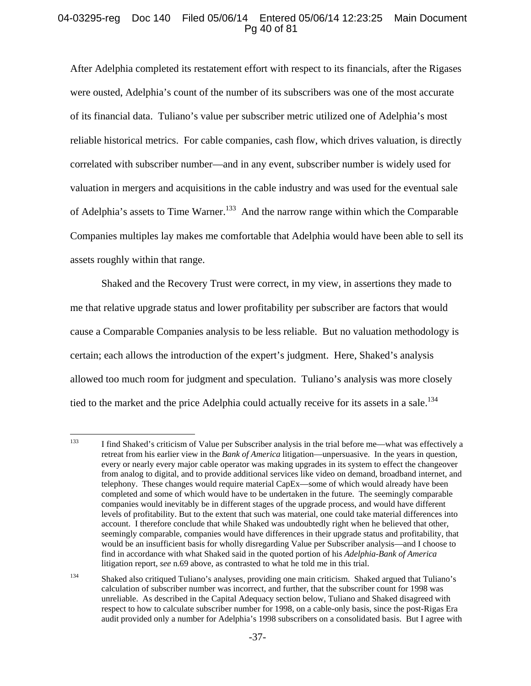# 04-03295-reg Doc 140 Filed 05/06/14 Entered 05/06/14 12:23:25 Main Document Pg 40 of 81

After Adelphia completed its restatement effort with respect to its financials, after the Rigases were ousted, Adelphia's count of the number of its subscribers was one of the most accurate of its financial data. Tuliano's value per subscriber metric utilized one of Adelphia's most reliable historical metrics. For cable companies, cash flow, which drives valuation, is directly correlated with subscriber number—and in any event, subscriber number is widely used for valuation in mergers and acquisitions in the cable industry and was used for the eventual sale of Adelphia's assets to Time Warner.<sup>133</sup> And the narrow range within which the Comparable Companies multiples lay makes me comfortable that Adelphia would have been able to sell its assets roughly within that range.

Shaked and the Recovery Trust were correct, in my view, in assertions they made to me that relative upgrade status and lower profitability per subscriber are factors that would cause a Comparable Companies analysis to be less reliable. But no valuation methodology is certain; each allows the introduction of the expert's judgment. Here, Shaked's analysis allowed too much room for judgment and speculation. Tuliano's analysis was more closely tied to the market and the price Adelphia could actually receive for its assets in a sale.<sup>134</sup>

<sup>133</sup> 133 I find Shaked's criticism of Value per Subscriber analysis in the trial before me—what was effectively a retreat from his earlier view in the *Bank of America* litigation—unpersuasive. In the years in question, every or nearly every major cable operator was making upgrades in its system to effect the changeover from analog to digital, and to provide additional services like video on demand, broadband internet, and telephony. These changes would require material CapEx—some of which would already have been completed and some of which would have to be undertaken in the future. The seemingly comparable companies would inevitably be in different stages of the upgrade process, and would have different levels of profitability. But to the extent that such was material, one could take material differences into account. I therefore conclude that while Shaked was undoubtedly right when he believed that other, seemingly comparable, companies would have differences in their upgrade status and profitability, that would be an insufficient basis for wholly disregarding Value per Subscriber analysis—and I choose to find in accordance with what Shaked said in the quoted portion of his *Adelphia-Bank of America* litigation report, *see* n.69 above, as contrasted to what he told me in this trial.

<sup>134</sup> Shaked also critiqued Tuliano's analyses, providing one main criticism. Shaked argued that Tuliano's calculation of subscriber number was incorrect, and further, that the subscriber count for 1998 was unreliable. As described in the Capital Adequacy section below, Tuliano and Shaked disagreed with respect to how to calculate subscriber number for 1998, on a cable-only basis, since the post-Rigas Era audit provided only a number for Adelphia's 1998 subscribers on a consolidated basis. But I agree with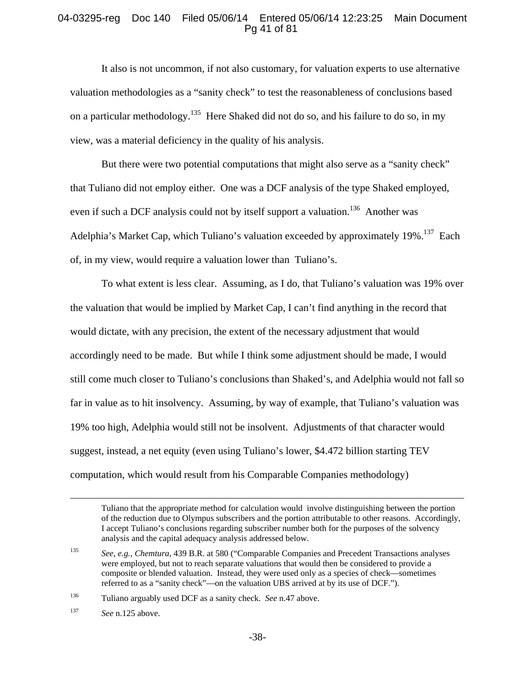## 04-03295-reg Doc 140 Filed 05/06/14 Entered 05/06/14 12:23:25 Main Document Pg 41 of 81

It also is not uncommon, if not also customary, for valuation experts to use alternative valuation methodologies as a "sanity check" to test the reasonableness of conclusions based on a particular methodology.<sup>135</sup> Here Shaked did not do so, and his failure to do so, in my view, was a material deficiency in the quality of his analysis.

But there were two potential computations that might also serve as a "sanity check" that Tuliano did not employ either. One was a DCF analysis of the type Shaked employed, even if such a DCF analysis could not by itself support a valuation.<sup>136</sup> Another was Adelphia's Market Cap, which Tuliano's valuation exceeded by approximately  $19\%$ <sup>137</sup> Each of, in my view, would require a valuation lower than Tuliano's.

To what extent is less clear. Assuming, as I do, that Tuliano's valuation was 19% over the valuation that would be implied by Market Cap, I can't find anything in the record that would dictate, with any precision, the extent of the necessary adjustment that would accordingly need to be made. But while I think some adjustment should be made, I would still come much closer to Tuliano's conclusions than Shaked's, and Adelphia would not fall so far in value as to hit insolvency. Assuming, by way of example, that Tuliano's valuation was 19% too high, Adelphia would still not be insolvent. Adjustments of that character would suggest, instead, a net equity (even using Tuliano's lower, \$4.472 billion starting TEV computation, which would result from his Comparable Companies methodology)

Tuliano that the appropriate method for calculation would involve distinguishing between the portion of the reduction due to Olympus subscribers and the portion attributable to other reasons. Accordingly, I accept Tuliano's conclusions regarding subscriber number both for the purposes of the solvency analysis and the capital adequacy analysis addressed below.

<sup>135</sup> *See, e.g.*, *Chemtura*, 439 B.R. at 580 ("Comparable Companies and Precedent Transactions analyses were employed, but not to reach separate valuations that would then be considered to provide a composite or blended valuation. Instead, they were used only as a species of check—sometimes referred to as a "sanity check"—on the valuation UBS arrived at by its use of DCF.").

<sup>136</sup> Tuliano arguably used DCF as a sanity check.*See* n.47 above.

<sup>137</sup> *See* n.125 above.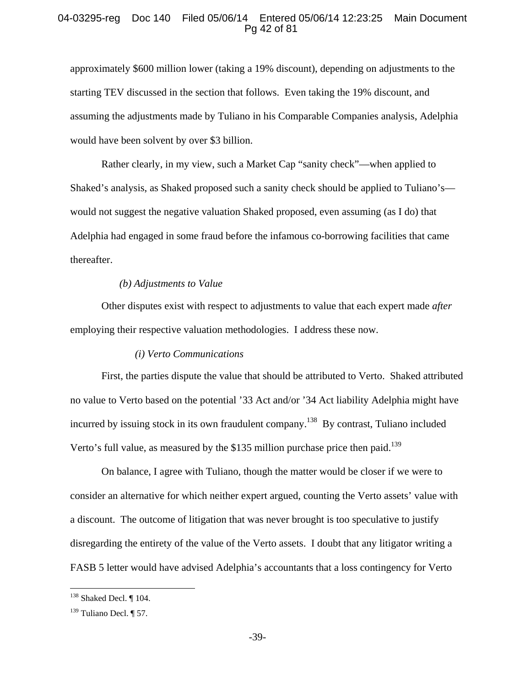## 04-03295-reg Doc 140 Filed 05/06/14 Entered 05/06/14 12:23:25 Main Document Pg 42 of 81

approximately \$600 million lower (taking a 19% discount), depending on adjustments to the starting TEV discussed in the section that follows. Even taking the 19% discount, and assuming the adjustments made by Tuliano in his Comparable Companies analysis, Adelphia would have been solvent by over \$3 billion.

Rather clearly, in my view, such a Market Cap "sanity check"—when applied to Shaked's analysis, as Shaked proposed such a sanity check should be applied to Tuliano's would not suggest the negative valuation Shaked proposed, even assuming (as I do) that Adelphia had engaged in some fraud before the infamous co-borrowing facilities that came thereafter.

#### *(b) Adjustments to Value*

Other disputes exist with respect to adjustments to value that each expert made *after* employing their respective valuation methodologies. I address these now.

## *(i) Verto Communications*

First, the parties dispute the value that should be attributed to Verto. Shaked attributed no value to Verto based on the potential '33 Act and/or '34 Act liability Adelphia might have incurred by issuing stock in its own fraudulent company.<sup>138</sup> By contrast, Tuliano included Verto's full value, as measured by the \$135 million purchase price then paid.<sup>139</sup>

On balance, I agree with Tuliano, though the matter would be closer if we were to consider an alternative for which neither expert argued, counting the Verto assets' value with a discount. The outcome of litigation that was never brought is too speculative to justify disregarding the entirety of the value of the Verto assets. I doubt that any litigator writing a FASB 5 letter would have advised Adelphia's accountants that a loss contingency for Verto

 $\overline{a}$ 

 $138$  Shaked Decl.  $\P$  104.

 $139$  Tuliano Decl. [ 57.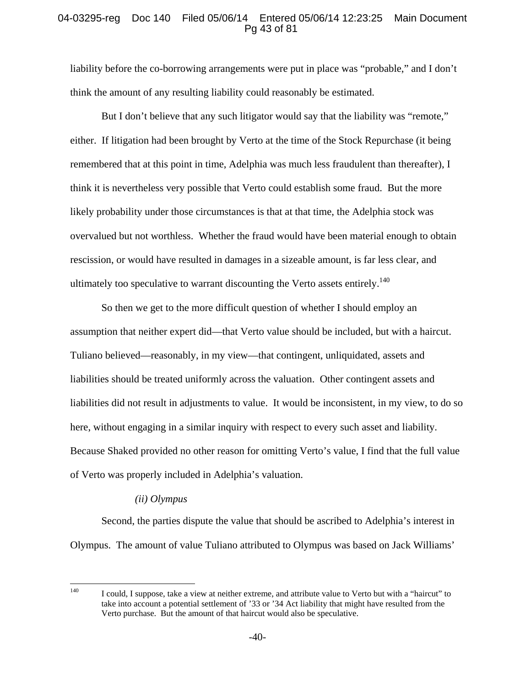# 04-03295-reg Doc 140 Filed 05/06/14 Entered 05/06/14 12:23:25 Main Document Pg 43 of 81

liability before the co-borrowing arrangements were put in place was "probable," and I don't think the amount of any resulting liability could reasonably be estimated.

But I don't believe that any such litigator would say that the liability was "remote," either. If litigation had been brought by Verto at the time of the Stock Repurchase (it being remembered that at this point in time, Adelphia was much less fraudulent than thereafter), I think it is nevertheless very possible that Verto could establish some fraud. But the more likely probability under those circumstances is that at that time, the Adelphia stock was overvalued but not worthless. Whether the fraud would have been material enough to obtain rescission, or would have resulted in damages in a sizeable amount, is far less clear, and ultimately too speculative to warrant discounting the Verto assets entirely.<sup>140</sup>

So then we get to the more difficult question of whether I should employ an assumption that neither expert did—that Verto value should be included, but with a haircut. Tuliano believed—reasonably, in my view—that contingent, unliquidated, assets and liabilities should be treated uniformly across the valuation. Other contingent assets and liabilities did not result in adjustments to value. It would be inconsistent, in my view, to do so here, without engaging in a similar inquiry with respect to every such asset and liability. Because Shaked provided no other reason for omitting Verto's value, I find that the full value of Verto was properly included in Adelphia's valuation.

# *(ii) Olympus*

Second, the parties dispute the value that should be ascribed to Adelphia's interest in Olympus. The amount of value Tuliano attributed to Olympus was based on Jack Williams'

<sup>140</sup> 140 I could, I suppose, take a view at neither extreme, and attribute value to Verto but with a "haircut" to take into account a potential settlement of '33 or '34 Act liability that might have resulted from the Verto purchase. But the amount of that haircut would also be speculative.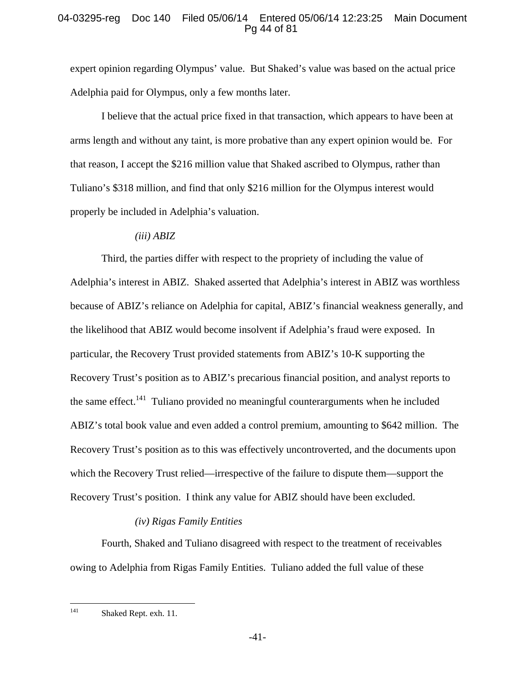# 04-03295-reg Doc 140 Filed 05/06/14 Entered 05/06/14 12:23:25 Main Document Pg 44 of 81

expert opinion regarding Olympus' value. But Shaked's value was based on the actual price Adelphia paid for Olympus, only a few months later.

I believe that the actual price fixed in that transaction, which appears to have been at arms length and without any taint, is more probative than any expert opinion would be. For that reason, I accept the \$216 million value that Shaked ascribed to Olympus, rather than Tuliano's \$318 million, and find that only \$216 million for the Olympus interest would properly be included in Adelphia's valuation.

### *(iii) ABIZ*

Third, the parties differ with respect to the propriety of including the value of Adelphia's interest in ABIZ. Shaked asserted that Adelphia's interest in ABIZ was worthless because of ABIZ's reliance on Adelphia for capital, ABIZ's financial weakness generally, and the likelihood that ABIZ would become insolvent if Adelphia's fraud were exposed. In particular, the Recovery Trust provided statements from ABIZ's 10-K supporting the Recovery Trust's position as to ABIZ's precarious financial position, and analyst reports to the same effect.<sup>141</sup> Tuliano provided no meaningful counterarguments when he included ABIZ's total book value and even added a control premium, amounting to \$642 million. The Recovery Trust's position as to this was effectively uncontroverted, and the documents upon which the Recovery Trust relied—irrespective of the failure to dispute them—support the Recovery Trust's position. I think any value for ABIZ should have been excluded.

# *(iv) Rigas Family Entities*

Fourth, Shaked and Tuliano disagreed with respect to the treatment of receivables owing to Adelphia from Rigas Family Entities. Tuliano added the full value of these

<sup>141</sup> Shaked Rept. exh. 11.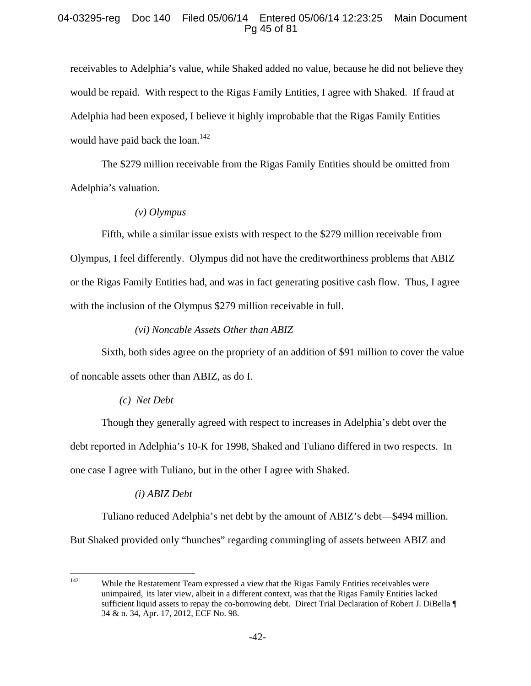# 04-03295-reg Doc 140 Filed 05/06/14 Entered 05/06/14 12:23:25 Main Document Pg 45 of 81

receivables to Adelphia's value, while Shaked added no value, because he did not believe they would be repaid. With respect to the Rigas Family Entities, I agree with Shaked. If fraud at Adelphia had been exposed, I believe it highly improbable that the Rigas Family Entities would have paid back the loan.<sup>142</sup>

The \$279 million receivable from the Rigas Family Entities should be omitted from Adelphia's valuation.

# *(v) Olympus*

Fifth, while a similar issue exists with respect to the \$279 million receivable from Olympus, I feel differently. Olympus did not have the creditworthiness problems that ABIZ or the Rigas Family Entities had, and was in fact generating positive cash flow. Thus, I agree with the inclusion of the Olympus \$279 million receivable in full.

# *(vi) Noncable Assets Other than ABIZ*

Sixth, both sides agree on the propriety of an addition of \$91 million to cover the value of noncable assets other than ABIZ, as do I.

# *(c) Net Debt*

Though they generally agreed with respect to increases in Adelphia's debt over the debt reported in Adelphia's 10-K for 1998, Shaked and Tuliano differed in two respects. In one case I agree with Tuliano, but in the other I agree with Shaked.

# *(i) ABIZ Debt*

Tuliano reduced Adelphia's net debt by the amount of ABIZ's debt—\$494 million. But Shaked provided only "hunches" regarding commingling of assets between ABIZ and

<sup>142</sup> While the Restatement Team expressed a view that the Rigas Family Entities receivables were unimpaired, its later view, albeit in a different context, was that the Rigas Family Entities lacked sufficient liquid assets to repay the co-borrowing debt. Direct Trial Declaration of Robert J. DiBella ¶ 34 & n. 34, Apr. 17, 2012, ECF No. 98.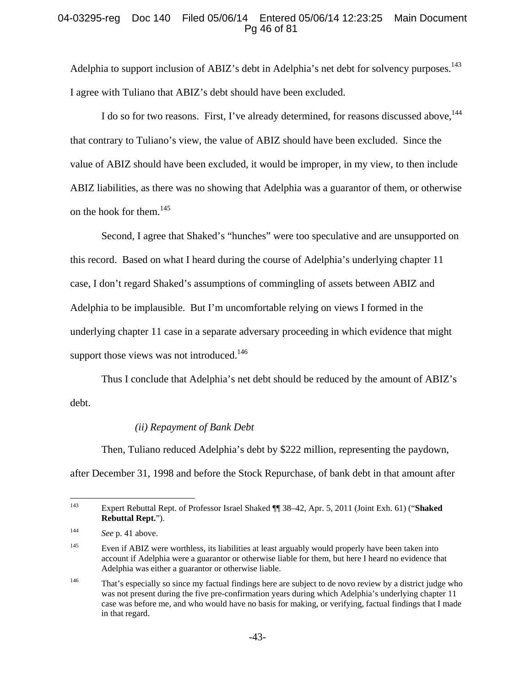# 04-03295-reg Doc 140 Filed 05/06/14 Entered 05/06/14 12:23:25 Main Document Pg 46 of 81

Adelphia to support inclusion of ABIZ's debt in Adelphia's net debt for solvency purposes.<sup>143</sup> I agree with Tuliano that ABIZ's debt should have been excluded.

I do so for two reasons. First, I've already determined, for reasons discussed above, <sup>144</sup> that contrary to Tuliano's view, the value of ABIZ should have been excluded. Since the value of ABIZ should have been excluded, it would be improper, in my view, to then include ABIZ liabilities, as there was no showing that Adelphia was a guarantor of them, or otherwise on the hook for them.<sup>145</sup>

Second, I agree that Shaked's "hunches" were too speculative and are unsupported on this record. Based on what I heard during the course of Adelphia's underlying chapter 11 case, I don't regard Shaked's assumptions of commingling of assets between ABIZ and Adelphia to be implausible. But I'm uncomfortable relying on views I formed in the underlying chapter 11 case in a separate adversary proceeding in which evidence that might support those views was not introduced.<sup>146</sup>

Thus I conclude that Adelphia's net debt should be reduced by the amount of ABIZ's debt.

# *(ii) Repayment of Bank Debt*

Then, Tuliano reduced Adelphia's debt by \$222 million, representing the paydown, after December 31, 1998 and before the Stock Repurchase, of bank debt in that amount after

<sup>143</sup> 143 Expert Rebuttal Rept. of Professor Israel Shaked ¶¶ 38–42, Apr. 5, 2011 (Joint Exh. 61) ("**Shaked Rebuttal Rept.**").

<sup>144</sup> *See* p. 41 above.

<sup>&</sup>lt;sup>145</sup> Even if ABIZ were worthless, its liabilities at least arguably would properly have been taken into account if Adelphia were a guarantor or otherwise liable for them, but here I heard no evidence that Adelphia was either a guarantor or otherwise liable.

<sup>&</sup>lt;sup>146</sup> That's especially so since my factual findings here are subject to de novo review by a district judge who was not present during the five pre-confirmation years during which Adelphia's underlying chapter 11 case was before me, and who would have no basis for making, or verifying, factual findings that I made in that regard.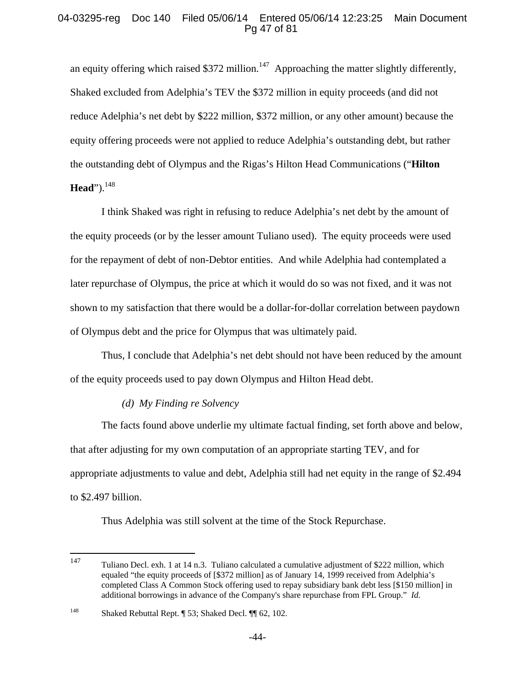# 04-03295-reg Doc 140 Filed 05/06/14 Entered 05/06/14 12:23:25 Main Document Pg 47 of 81

an equity offering which raised \$372 million.<sup>147</sup> Approaching the matter slightly differently, Shaked excluded from Adelphia's TEV the \$372 million in equity proceeds (and did not reduce Adelphia's net debt by \$222 million, \$372 million, or any other amount) because the equity offering proceeds were not applied to reduce Adelphia's outstanding debt, but rather the outstanding debt of Olympus and the Rigas's Hilton Head Communications ("**Hilton Head**").<sup>148</sup>

I think Shaked was right in refusing to reduce Adelphia's net debt by the amount of the equity proceeds (or by the lesser amount Tuliano used). The equity proceeds were used for the repayment of debt of non-Debtor entities. And while Adelphia had contemplated a later repurchase of Olympus, the price at which it would do so was not fixed, and it was not shown to my satisfaction that there would be a dollar-for-dollar correlation between paydown of Olympus debt and the price for Olympus that was ultimately paid.

Thus, I conclude that Adelphia's net debt should not have been reduced by the amount of the equity proceeds used to pay down Olympus and Hilton Head debt.

# *(d) My Finding re Solvency*

The facts found above underlie my ultimate factual finding, set forth above and below, that after adjusting for my own computation of an appropriate starting TEV, and for appropriate adjustments to value and debt, Adelphia still had net equity in the range of \$2.494 to \$2.497 billion.

Thus Adelphia was still solvent at the time of the Stock Repurchase.

<sup>147</sup> 147 Tuliano Decl. exh. 1 at 14 n.3. Tuliano calculated a cumulative adjustment of \$222 million, which equaled "the equity proceeds of [\$372 million] as of January 14, 1999 received from Adelphia's completed Class A Common Stock offering used to repay subsidiary bank debt less [\$150 million] in additional borrowings in advance of the Company's share repurchase from FPL Group." *Id.*

<sup>148</sup> Shaked Rebuttal Rept. ¶ 53; Shaked Decl. ¶¶ 62, 102.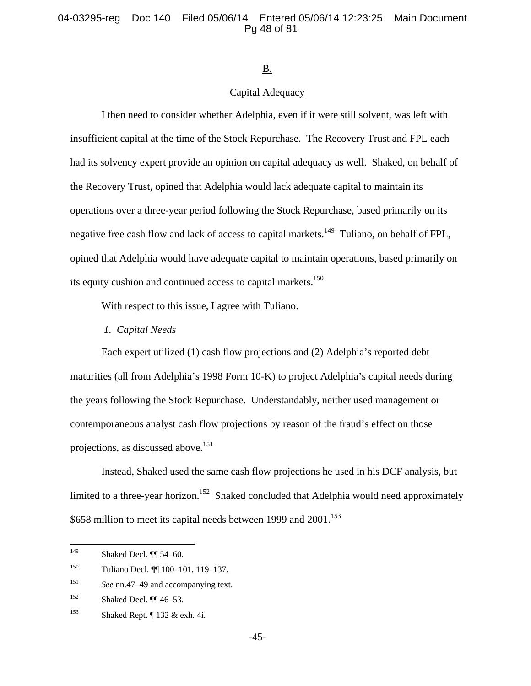### 04-03295-reg Doc 140 Filed 05/06/14 Entered 05/06/14 12:23:25 Main Document Pg 48 of 81

#### B.

## Capital Adequacy

I then need to consider whether Adelphia, even if it were still solvent, was left with insufficient capital at the time of the Stock Repurchase. The Recovery Trust and FPL each had its solvency expert provide an opinion on capital adequacy as well. Shaked, on behalf of the Recovery Trust, opined that Adelphia would lack adequate capital to maintain its operations over a three-year period following the Stock Repurchase, based primarily on its negative free cash flow and lack of access to capital markets.<sup>149</sup> Tuliano, on behalf of FPL, opined that Adelphia would have adequate capital to maintain operations, based primarily on its equity cushion and continued access to capital markets.<sup>150</sup>

With respect to this issue, I agree with Tuliano.

*1. Capital Needs* 

Each expert utilized (1) cash flow projections and (2) Adelphia's reported debt maturities (all from Adelphia's 1998 Form 10-K) to project Adelphia's capital needs during the years following the Stock Repurchase. Understandably, neither used management or contemporaneous analyst cash flow projections by reason of the fraud's effect on those projections, as discussed above.<sup>151</sup>

Instead, Shaked used the same cash flow projections he used in his DCF analysis, but limited to a three-year horizon.<sup>152</sup> Shaked concluded that Adelphia would need approximately  $$658$  million to meet its capital needs between 1999 and 2001.<sup>153</sup>

<sup>149</sup> Shaked Decl. <sup>[1]</sup> 54–60.

<sup>150</sup> Tuliano Decl. ¶¶ 100–101, 119–137.

<sup>151</sup> *See* nn.47–49 and accompanying text.

<sup>&</sup>lt;sup>152</sup> Shaked Decl.  $\P$  46–53.

<sup>&</sup>lt;sup>153</sup> Shaked Rept.  $\parallel$  132 & exh. 4i.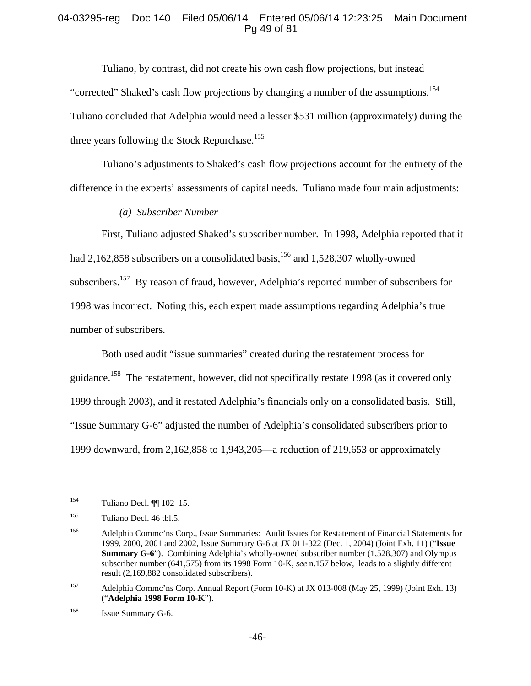# 04-03295-reg Doc 140 Filed 05/06/14 Entered 05/06/14 12:23:25 Main Document Pg 49 of 81

Tuliano, by contrast, did not create his own cash flow projections, but instead "corrected" Shaked's cash flow projections by changing a number of the assumptions.<sup>154</sup> Tuliano concluded that Adelphia would need a lesser \$531 million (approximately) during the three years following the Stock Repurchase.<sup>155</sup>

Tuliano's adjustments to Shaked's cash flow projections account for the entirety of the difference in the experts' assessments of capital needs. Tuliano made four main adjustments:

### *(a) Subscriber Number*

First, Tuliano adjusted Shaked's subscriber number. In 1998, Adelphia reported that it had 2,162,858 subscribers on a consolidated basis, $156$  and 1,528,307 wholly-owned subscribers.<sup>157</sup> By reason of fraud, however, Adelphia's reported number of subscribers for 1998 was incorrect. Noting this, each expert made assumptions regarding Adelphia's true number of subscribers.

Both used audit "issue summaries" created during the restatement process for guidance.158 The restatement, however, did not specifically restate 1998 (as it covered only 1999 through 2003), and it restated Adelphia's financials only on a consolidated basis. Still, "Issue Summary G-6" adjusted the number of Adelphia's consolidated subscribers prior to 1999 downward, from 2,162,858 to 1,943,205—a reduction of 219,653 or approximately

<sup>154</sup> Tuliano Decl. ¶¶ 102–15.

<sup>155</sup> Tuliano Decl. 46 tbl.5.

<sup>156</sup> Adelphia Commc'ns Corp., Issue Summaries: Audit Issues for Restatement of Financial Statements for 1999, 2000, 2001 and 2002, Issue Summary G-6 at JX 011-322 (Dec. 1, 2004) (Joint Exh. 11) ("**Issue Summary G-6**"). Combining Adelphia's wholly-owned subscriber number (1,528,307) and Olympus subscriber number (641,575) from its 1998 Form 10-K, *see* n.157 below, leads to a slightly different result (2,169,882 consolidated subscribers).

<sup>157</sup> Adelphia Commc'ns Corp. Annual Report (Form 10-K) at JX 013-008 (May 25, 1999) (Joint Exh. 13) ("**Adelphia 1998 Form 10-K**").

<sup>158</sup> Issue Summary G-6.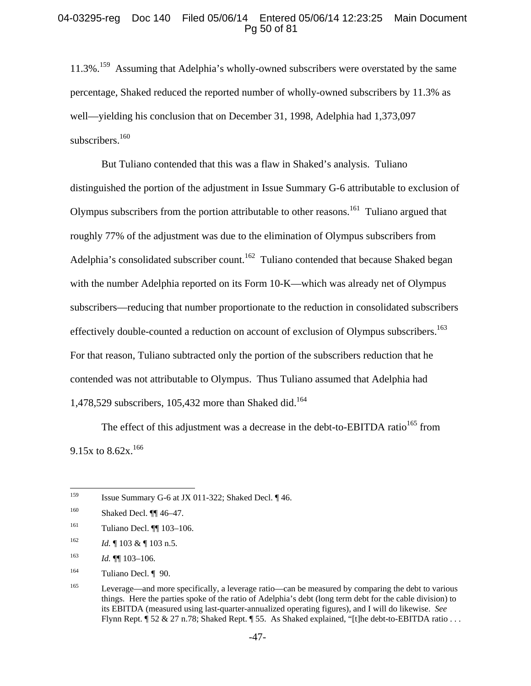## 04-03295-reg Doc 140 Filed 05/06/14 Entered 05/06/14 12:23:25 Main Document Pg 50 of 81

11.3%.<sup>159</sup> Assuming that Adelphia's wholly-owned subscribers were overstated by the same percentage, Shaked reduced the reported number of wholly-owned subscribers by 11.3% as well—yielding his conclusion that on December 31, 1998, Adelphia had 1,373,097 subscribers.<sup>160</sup>

But Tuliano contended that this was a flaw in Shaked's analysis. Tuliano distinguished the portion of the adjustment in Issue Summary G-6 attributable to exclusion of Olympus subscribers from the portion attributable to other reasons.161 Tuliano argued that roughly 77% of the adjustment was due to the elimination of Olympus subscribers from Adelphia's consolidated subscriber count.<sup>162</sup> Tuliano contended that because Shaked began with the number Adelphia reported on its Form 10-K—which was already net of Olympus subscribers—reducing that number proportionate to the reduction in consolidated subscribers effectively double-counted a reduction on account of exclusion of Olympus subscribers.<sup>163</sup> For that reason, Tuliano subtracted only the portion of the subscribers reduction that he contended was not attributable to Olympus. Thus Tuliano assumed that Adelphia had 1,478,529 subscribers, 105,432 more than Shaked did.<sup>164</sup>

The effect of this adjustment was a decrease in the debt-to-EBITDA ratio<sup>165</sup> from 9.15x to  $8.62x$ <sup>166</sup>

<sup>159</sup> Issue Summary G-6 at JX 011-322; Shaked Decl. 146.

<sup>160</sup> Shaked Decl. ¶¶ 46–47.

<sup>161</sup> Tuliano Decl. **[1]** 103–106.

<sup>162</sup> *Id.*  $\sqrt{103 \& \sqrt{103 \, n.5}}$ .

 $163$  *Id.* **¶** 103-106.

<sup>164</sup> Tuliano Decl. ¶ 90.

<sup>165</sup> Leverage—and more specifically, a leverage ratio—can be measured by comparing the debt to various things. Here the parties spoke of the ratio of Adelphia's debt (long term debt for the cable division) to its EBITDA (measured using last-quarter-annualized operating figures), and I will do likewise. *See*  Flynn Rept. ¶ 52 & 27 n.78; Shaked Rept. ¶ 55. As Shaked explained, "[t]he debt-to-EBITDA ratio . . .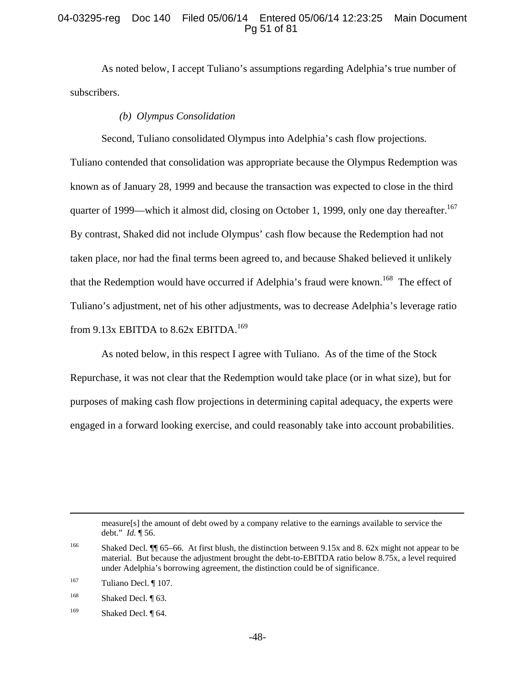## 04-03295-reg Doc 140 Filed 05/06/14 Entered 05/06/14 12:23:25 Main Document Pg 51 of 81

As noted below, I accept Tuliano's assumptions regarding Adelphia's true number of subscribers.

# *(b) Olympus Consolidation*

Second, Tuliano consolidated Olympus into Adelphia's cash flow projections.

Tuliano contended that consolidation was appropriate because the Olympus Redemption was known as of January 28, 1999 and because the transaction was expected to close in the third quarter of 1999—which it almost did, closing on October 1, 1999, only one day thereafter.<sup>167</sup> By contrast, Shaked did not include Olympus' cash flow because the Redemption had not taken place, nor had the final terms been agreed to, and because Shaked believed it unlikely that the Redemption would have occurred if Adelphia's fraud were known.<sup>168</sup> The effect of Tuliano's adjustment, net of his other adjustments, was to decrease Adelphia's leverage ratio from  $9.13x$  EBITDA to  $8.62x$  EBITDA.<sup>169</sup>

As noted below, in this respect I agree with Tuliano. As of the time of the Stock Repurchase, it was not clear that the Redemption would take place (or in what size), but for purposes of making cash flow projections in determining capital adequacy, the experts were engaged in a forward looking exercise, and could reasonably take into account probabilities.

 measure[s] the amount of debt owed by a company relative to the earnings available to service the debt." *Id.* ¶ 56.

167 Tuliano Decl. ¶ 107.

<sup>168</sup> Shaked Decl.  $\P$  63.

<sup>&</sup>lt;sup>166</sup> Shaked Decl. ¶ 65–66. At first blush, the distinction between 9.15x and 8.62x might not appear to be material. But because the adjustment brought the debt-to-EBITDA ratio below 8.75x, a level required under Adelphia's borrowing agreement, the distinction could be of significance.

<sup>&</sup>lt;sup>169</sup> Shaked Decl. ¶ 64.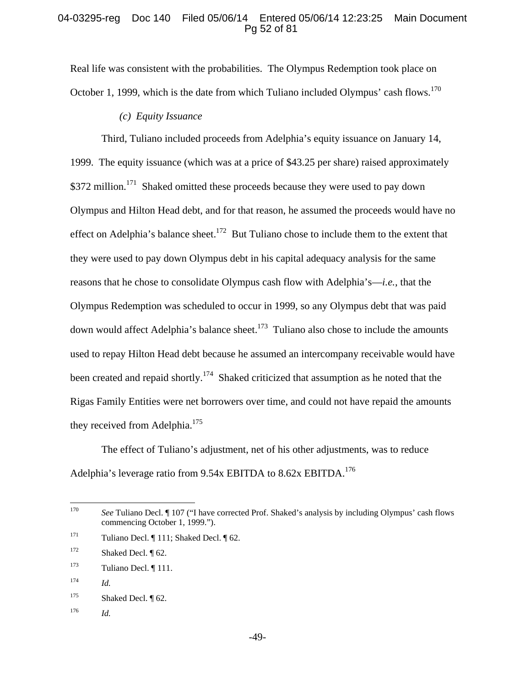### 04-03295-reg Doc 140 Filed 05/06/14 Entered 05/06/14 12:23:25 Main Document Pg 52 of 81

Real life was consistent with the probabilities. The Olympus Redemption took place on October 1, 1999, which is the date from which Tuliano included Olympus' cash flows.<sup>170</sup>

## *(c) Equity Issuance*

Third, Tuliano included proceeds from Adelphia's equity issuance on January 14, 1999. The equity issuance (which was at a price of \$43.25 per share) raised approximately \$372 million.<sup>171</sup> Shaked omitted these proceeds because they were used to pay down Olympus and Hilton Head debt, and for that reason, he assumed the proceeds would have no effect on Adelphia's balance sheet.<sup>172</sup> But Tuliano chose to include them to the extent that they were used to pay down Olympus debt in his capital adequacy analysis for the same reasons that he chose to consolidate Olympus cash flow with Adelphia's—*i.e.*, that the Olympus Redemption was scheduled to occur in 1999, so any Olympus debt that was paid down would affect Adelphia's balance sheet.<sup>173</sup> Tuliano also chose to include the amounts used to repay Hilton Head debt because he assumed an intercompany receivable would have been created and repaid shortly.<sup>174</sup> Shaked criticized that assumption as he noted that the Rigas Family Entities were net borrowers over time, and could not have repaid the amounts they received from Adelphia.<sup>175</sup>

The effect of Tuliano's adjustment, net of his other adjustments, was to reduce Adelphia's leverage ratio from  $9.54x$  EBITDA to  $8.62x$  EBITDA.<sup>176</sup>

176 *Id.*

<sup>170</sup> See Tuliano Decl. ¶ 107 ("I have corrected Prof. Shaked's analysis by including Olympus' cash flows commencing October 1, 1999.").

<sup>&</sup>lt;sup>171</sup> Tuliano Decl.  $\P$  111; Shaked Decl.  $\P$  62.

 $172$  Shaked Decl. [62.]

 $173$  Tuliano Decl.  $\P$  111.

 $174$  *Id.* 

 $175$  Shaked Decl.  $\sqrt{62}$ .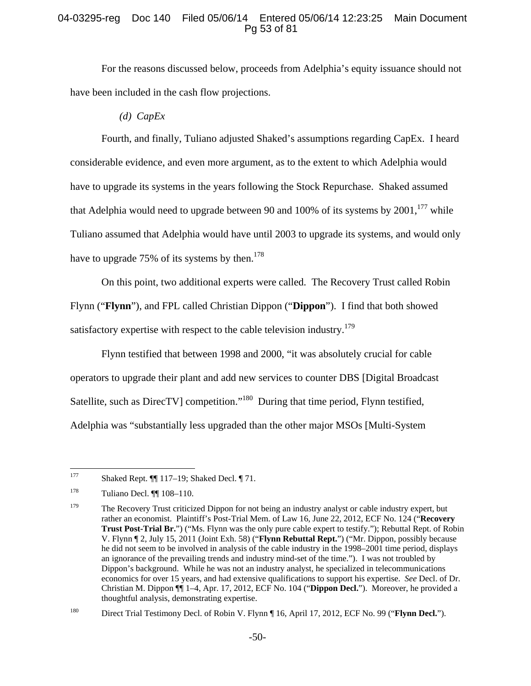# 04-03295-reg Doc 140 Filed 05/06/14 Entered 05/06/14 12:23:25 Main Document Pg 53 of 81

For the reasons discussed below, proceeds from Adelphia's equity issuance should not have been included in the cash flow projections.

*(d) CapEx* 

Fourth, and finally, Tuliano adjusted Shaked's assumptions regarding CapEx. I heard considerable evidence, and even more argument, as to the extent to which Adelphia would have to upgrade its systems in the years following the Stock Repurchase. Shaked assumed that Adelphia would need to upgrade between 90 and 100% of its systems by  $2001$ ,<sup>177</sup> while Tuliano assumed that Adelphia would have until 2003 to upgrade its systems, and would only have to upgrade 75% of its systems by then.<sup>178</sup>

On this point, two additional experts were called. The Recovery Trust called Robin Flynn ("**Flynn**"), and FPL called Christian Dippon ("**Dippon**"). I find that both showed satisfactory expertise with respect to the cable television industry.<sup>179</sup>

Flynn testified that between 1998 and 2000, "it was absolutely crucial for cable operators to upgrade their plant and add new services to counter DBS [Digital Broadcast Satellite, such as DirecTV] competition."<sup>180</sup> During that time period, Flynn testified, Adelphia was "substantially less upgraded than the other major MSOs [Multi-System

<sup>177</sup> Shaked Rept.  $\P\P$  117–19; Shaked Decl.  $\P$  71.

<sup>178</sup> Tuliano Decl. ¶¶ 108–110.

<sup>&</sup>lt;sup>179</sup> The Recovery Trust criticized Dippon for not being an industry analyst or cable industry expert, but rather an economist. Plaintiff's Post-Trial Mem. of Law 16, June 22, 2012, ECF No. 124 ("**Recovery Trust Post-Trial Br.**") ("Ms. Flynn was the only pure cable expert to testify."); Rebuttal Rept. of Robin V. Flynn ¶ 2, July 15, 2011 (Joint Exh. 58) ("**Flynn Rebuttal Rept.**") ("Mr. Dippon, possibly because he did not seem to be involved in analysis of the cable industry in the 1998–2001 time period, displays an ignorance of the prevailing trends and industry mind-set of the time."). I was not troubled by Dippon's background. While he was not an industry analyst, he specialized in telecommunications economics for over 15 years, and had extensive qualifications to support his expertise. *See* Decl. of Dr. Christian M. Dippon ¶¶ 1–4, Apr. 17, 2012, ECF No. 104 ("**Dippon Decl.**"). Moreover, he provided a thoughtful analysis, demonstrating expertise.

<sup>180</sup> Direct Trial Testimony Decl. of Robin V. Flynn ¶ 16, April 17, 2012, ECF No. 99 ("**Flynn Decl.**").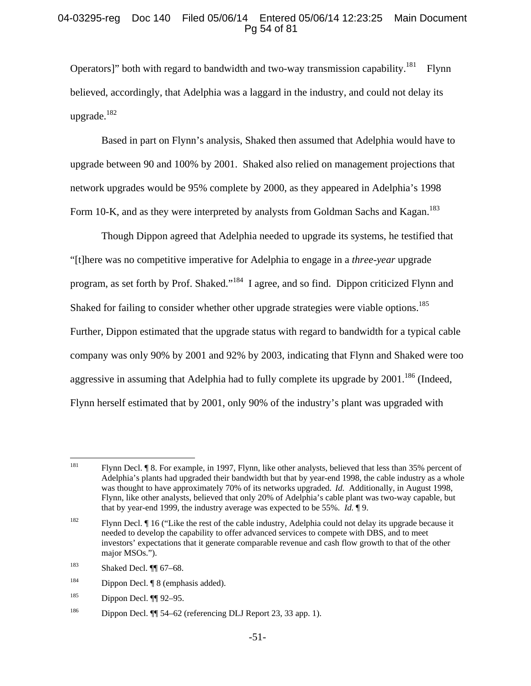# 04-03295-reg Doc 140 Filed 05/06/14 Entered 05/06/14 12:23:25 Main Document Pg 54 of 81

Operators]" both with regard to bandwidth and two-way transmission capability.<sup>181</sup> Flynn believed, accordingly, that Adelphia was a laggard in the industry, and could not delay its upgrade. $182$ 

Based in part on Flynn's analysis, Shaked then assumed that Adelphia would have to upgrade between 90 and 100% by 2001. Shaked also relied on management projections that network upgrades would be 95% complete by 2000, as they appeared in Adelphia's 1998 Form 10-K, and as they were interpreted by analysts from Goldman Sachs and Kagan.<sup>183</sup>

Though Dippon agreed that Adelphia needed to upgrade its systems, he testified that "[t]here was no competitive imperative for Adelphia to engage in a *three-year* upgrade program, as set forth by Prof. Shaked."<sup>184</sup> I agree, and so find. Dippon criticized Flynn and Shaked for failing to consider whether other upgrade strategies were viable options.<sup>185</sup> Further, Dippon estimated that the upgrade status with regard to bandwidth for a typical cable company was only 90% by 2001 and 92% by 2003, indicating that Flynn and Shaked were too aggressive in assuming that Adelphia had to fully complete its upgrade by  $2001$ .<sup>186</sup> (Indeed, Flynn herself estimated that by 2001, only 90% of the industry's plant was upgraded with

<sup>181</sup> 181 Flynn Decl. ¶ 8. For example, in 1997, Flynn, like other analysts, believed that less than 35% percent of Adelphia's plants had upgraded their bandwidth but that by year-end 1998, the cable industry as a whole was thought to have approximately 70% of its networks upgraded. *Id.* Additionally, in August 1998, Flynn, like other analysts, believed that only 20% of Adelphia's cable plant was two-way capable, but that by year-end 1999, the industry average was expected to be 55%. *Id.* ¶ 9.

<sup>&</sup>lt;sup>182</sup> Flynn Decl.  $\P$  16 ("Like the rest of the cable industry, Adelphia could not delay its upgrade because it needed to develop the capability to offer advanced services to compete with DBS, and to meet investors' expectations that it generate comparable revenue and cash flow growth to that of the other major MSOs.").

<sup>183</sup> Shaked Decl. ¶¶ 67–68.

<sup>&</sup>lt;sup>184</sup> Dippon Decl. ¶ 8 (emphasis added).

 $185$  Dippon Decl.  $\P$  92–95.

<sup>186</sup> Dippon Decl. ¶¶ 54–62 (referencing DLJ Report 23, 33 app. 1).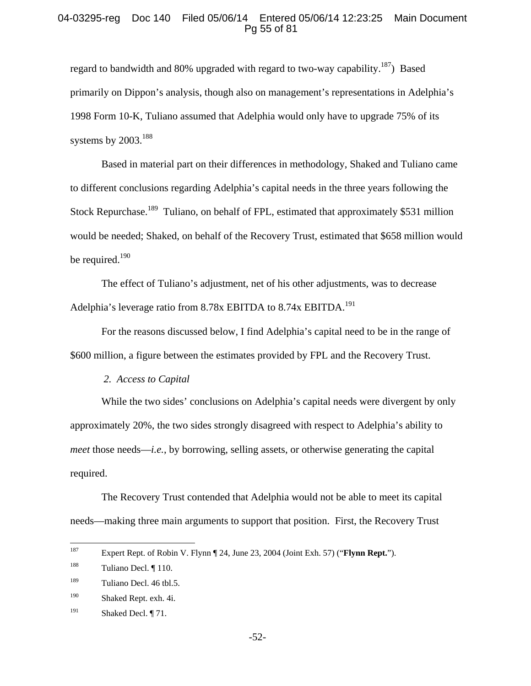#### 04-03295-reg Doc 140 Filed 05/06/14 Entered 05/06/14 12:23:25 Main Document Pg 55 of 81

regard to bandwidth and 80% upgraded with regard to two-way capability.<sup>187</sup>) Based primarily on Dippon's analysis, though also on management's representations in Adelphia's 1998 Form 10-K, Tuliano assumed that Adelphia would only have to upgrade 75% of its systems by  $2003.<sup>188</sup>$ 

Based in material part on their differences in methodology, Shaked and Tuliano came to different conclusions regarding Adelphia's capital needs in the three years following the Stock Repurchase.<sup>189</sup> Tuliano, on behalf of FPL, estimated that approximately \$531 million would be needed; Shaked, on behalf of the Recovery Trust, estimated that \$658 million would be required.<sup>190</sup>

The effect of Tuliano's adjustment, net of his other adjustments, was to decrease Adelphia's leverage ratio from 8.78x EBITDA to 8.74x EBITDA.<sup>191</sup>

For the reasons discussed below, I find Adelphia's capital need to be in the range of \$600 million, a figure between the estimates provided by FPL and the Recovery Trust.

#### *2. Access to Capital*

While the two sides' conclusions on Adelphia's capital needs were divergent by only approximately 20%, the two sides strongly disagreed with respect to Adelphia's ability to *meet* those needs—*i.e.*, by borrowing, selling assets, or otherwise generating the capital required.

The Recovery Trust contended that Adelphia would not be able to meet its capital needs—making three main arguments to support that position. First, the Recovery Trust

<sup>187</sup> Expert Rept. of Robin V. Flynn ¶ 24, June 23, 2004 (Joint Exh. 57) ("**Flynn Rept.**").

<sup>188</sup> Tuliano Decl. ¶ 110.

 $^{189}$  Tuliano Decl. 46 tbl.5.

<sup>190</sup> Shaked Rept. exh. 4i.

<sup>&</sup>lt;sup>191</sup> Shaked Decl.  $\P$  71.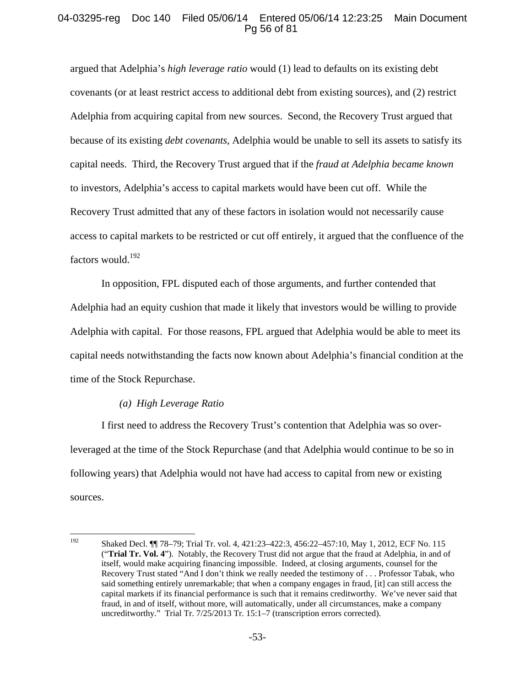## 04-03295-reg Doc 140 Filed 05/06/14 Entered 05/06/14 12:23:25 Main Document Pg 56 of 81

argued that Adelphia's *high leverage ratio* would (1) lead to defaults on its existing debt covenants (or at least restrict access to additional debt from existing sources), and (2) restrict Adelphia from acquiring capital from new sources. Second, the Recovery Trust argued that because of its existing *debt covenants*, Adelphia would be unable to sell its assets to satisfy its capital needs. Third, the Recovery Trust argued that if the *fraud at Adelphia became known* to investors, Adelphia's access to capital markets would have been cut off. While the Recovery Trust admitted that any of these factors in isolation would not necessarily cause access to capital markets to be restricted or cut off entirely, it argued that the confluence of the factors would.192

In opposition, FPL disputed each of those arguments, and further contended that Adelphia had an equity cushion that made it likely that investors would be willing to provide Adelphia with capital. For those reasons, FPL argued that Adelphia would be able to meet its capital needs notwithstanding the facts now known about Adelphia's financial condition at the time of the Stock Repurchase.

#### *(a) High Leverage Ratio*

I first need to address the Recovery Trust's contention that Adelphia was so overleveraged at the time of the Stock Repurchase (and that Adelphia would continue to be so in following years) that Adelphia would not have had access to capital from new or existing sources.

<sup>192</sup> 192 Shaked Decl. ¶¶ 78–79; Trial Tr. vol. 4, 421:23–422:3, 456:22–457:10, May 1, 2012, ECF No. 115 ("**Trial Tr. Vol. 4**"). Notably, the Recovery Trust did not argue that the fraud at Adelphia, in and of itself, would make acquiring financing impossible. Indeed, at closing arguments, counsel for the Recovery Trust stated "And I don't think we really needed the testimony of . . . Professor Tabak, who said something entirely unremarkable; that when a company engages in fraud, [it] can still access the capital markets if its financial performance is such that it remains creditworthy. We've never said that fraud, in and of itself, without more, will automatically, under all circumstances, make a company uncreditworthy." Trial Tr. 7/25/2013 Tr. 15:1–7 (transcription errors corrected).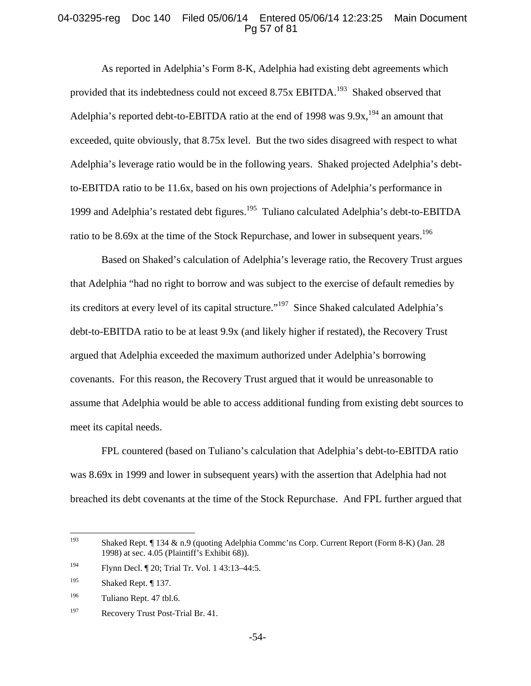#### 04-03295-reg Doc 140 Filed 05/06/14 Entered 05/06/14 12:23:25 Main Document Pg 57 of 81

As reported in Adelphia's Form 8-K, Adelphia had existing debt agreements which provided that its indebtedness could not exceed 8.75x EBITDA.<sup>193</sup> Shaked observed that Adelphia's reported debt-to-EBITDA ratio at the end of 1998 was  $9.9x<sub>1</sub><sup>194</sup>$  an amount that exceeded, quite obviously, that 8.75x level. But the two sides disagreed with respect to what Adelphia's leverage ratio would be in the following years. Shaked projected Adelphia's debtto-EBITDA ratio to be 11.6x, based on his own projections of Adelphia's performance in 1999 and Adelphia's restated debt figures.195 Tuliano calculated Adelphia's debt-to-EBITDA ratio to be 8.69x at the time of the Stock Repurchase, and lower in subsequent years.<sup>196</sup>

Based on Shaked's calculation of Adelphia's leverage ratio, the Recovery Trust argues that Adelphia "had no right to borrow and was subject to the exercise of default remedies by its creditors at every level of its capital structure."197 Since Shaked calculated Adelphia's debt-to-EBITDA ratio to be at least 9.9x (and likely higher if restated), the Recovery Trust argued that Adelphia exceeded the maximum authorized under Adelphia's borrowing covenants. For this reason, the Recovery Trust argued that it would be unreasonable to assume that Adelphia would be able to access additional funding from existing debt sources to meet its capital needs.

FPL countered (based on Tuliano's calculation that Adelphia's debt-to-EBITDA ratio was 8.69x in 1999 and lower in subsequent years) with the assertion that Adelphia had not breached its debt covenants at the time of the Stock Repurchase. And FPL further argued that

<sup>193</sup> Shaked Rept. ¶ 134 & n.9 (quoting Adelphia Commc'ns Corp. Current Report (Form 8-K) (Jan. 28 1998) at sec. 4.05 (Plaintiff's Exhibit 68)).

<sup>194</sup> Flynn Decl. ¶ 20; Trial Tr. Vol. 1 43:13–44:5.

<sup>195</sup> Shaked Rept. ¶ 137.

<sup>196</sup> Tuliano Rept. 47 tbl.6.

<sup>&</sup>lt;sup>197</sup> Recovery Trust Post-Trial Br. 41.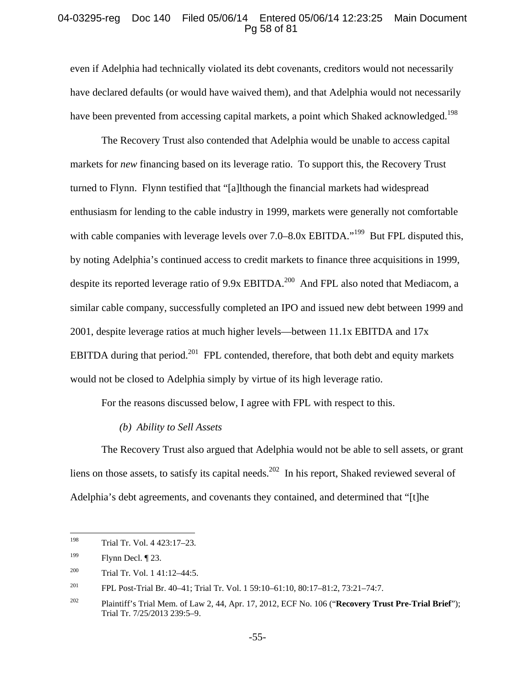#### 04-03295-reg Doc 140 Filed 05/06/14 Entered 05/06/14 12:23:25 Main Document Pg 58 of 81

even if Adelphia had technically violated its debt covenants, creditors would not necessarily have declared defaults (or would have waived them), and that Adelphia would not necessarily have been prevented from accessing capital markets, a point which Shaked acknowledged.<sup>198</sup>

The Recovery Trust also contended that Adelphia would be unable to access capital markets for *new* financing based on its leverage ratio. To support this, the Recovery Trust turned to Flynn. Flynn testified that "[a]lthough the financial markets had widespread enthusiasm for lending to the cable industry in 1999, markets were generally not comfortable with cable companies with leverage levels over  $7.0-8.0x$  EBITDA."<sup>199</sup> But FPL disputed this, by noting Adelphia's continued access to credit markets to finance three acquisitions in 1999, despite its reported leverage ratio of 9.9x EBITDA.<sup>200</sup> And FPL also noted that Mediacom, a similar cable company, successfully completed an IPO and issued new debt between 1999 and 2001, despite leverage ratios at much higher levels—between 11.1x EBITDA and 17x EBITDA during that period.<sup>201</sup> FPL contended, therefore, that both debt and equity markets would not be closed to Adelphia simply by virtue of its high leverage ratio.

For the reasons discussed below, I agree with FPL with respect to this.

#### *(b) Ability to Sell Assets*

The Recovery Trust also argued that Adelphia would not be able to sell assets, or grant liens on those assets, to satisfy its capital needs.<sup>202</sup> In his report, Shaked reviewed several of Adelphia's debt agreements, and covenants they contained, and determined that "[t]he

<sup>198</sup> Trial Tr. Vol. 4 423:17-23.

<sup>&</sup>lt;sup>199</sup> Flynn Decl.  $\P$  23.

<sup>200</sup> Trial Tr. Vol. 1 41:12–44:5.

<sup>201</sup> FPL Post-Trial Br. 40–41; Trial Tr. Vol. 1 59:10–61:10, 80:17–81:2, 73:21–74:7.

<sup>202</sup> Plaintiff's Trial Mem. of Law 2, 44, Apr. 17, 2012, ECF No. 106 ("**Recovery Trust Pre-Trial Brief**"); Trial Tr. 7/25/2013 239:5–9.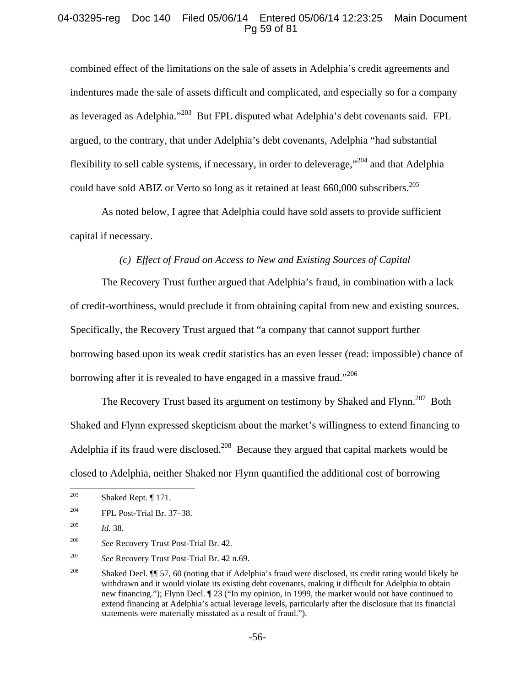# 04-03295-reg Doc 140 Filed 05/06/14 Entered 05/06/14 12:23:25 Main Document Pg 59 of 81

combined effect of the limitations on the sale of assets in Adelphia's credit agreements and indentures made the sale of assets difficult and complicated, and especially so for a company as leveraged as Adelphia."203 But FPL disputed what Adelphia's debt covenants said. FPL argued, to the contrary, that under Adelphia's debt covenants, Adelphia "had substantial flexibility to sell cable systems, if necessary, in order to deleverage,<sup> $204$ </sup> and that Adelphia could have sold ABIZ or Verto so long as it retained at least 660,000 subscribers.<sup>205</sup>

As noted below, I agree that Adelphia could have sold assets to provide sufficient capital if necessary.

#### *(c) Effect of Fraud on Access to New and Existing Sources of Capital*

The Recovery Trust further argued that Adelphia's fraud, in combination with a lack of credit-worthiness, would preclude it from obtaining capital from new and existing sources. Specifically, the Recovery Trust argued that "a company that cannot support further borrowing based upon its weak credit statistics has an even lesser (read: impossible) chance of borrowing after it is revealed to have engaged in a massive fraud."<sup>206</sup>

The Recovery Trust based its argument on testimony by Shaked and Flynn.<sup>207</sup> Both Shaked and Flynn expressed skepticism about the market's willingness to extend financing to Adelphia if its fraud were disclosed.<sup>208</sup> Because they argued that capital markets would be closed to Adelphia, neither Shaked nor Flynn quantified the additional cost of borrowing

<sup>203</sup> Shaked Rept. ¶ 171.

 $^{204}$  FPL Post-Trial Br. 37–38.

<sup>205</sup> *Id.* 38.

<sup>206</sup> *See* Recovery Trust Post-Trial Br. 42.

<sup>207</sup> *See* Recovery Trust Post-Trial Br. 42 n.69.

<sup>&</sup>lt;sup>208</sup> Shaked Decl.  $\P$  57, 60 (noting that if Adelphia's fraud were disclosed, its credit rating would likely be withdrawn and it would violate its existing debt covenants, making it difficult for Adelphia to obtain new financing."); Flynn Decl. ¶ 23 ("In my opinion, in 1999, the market would not have continued to extend financing at Adelphia's actual leverage levels, particularly after the disclosure that its financial statements were materially misstated as a result of fraud.").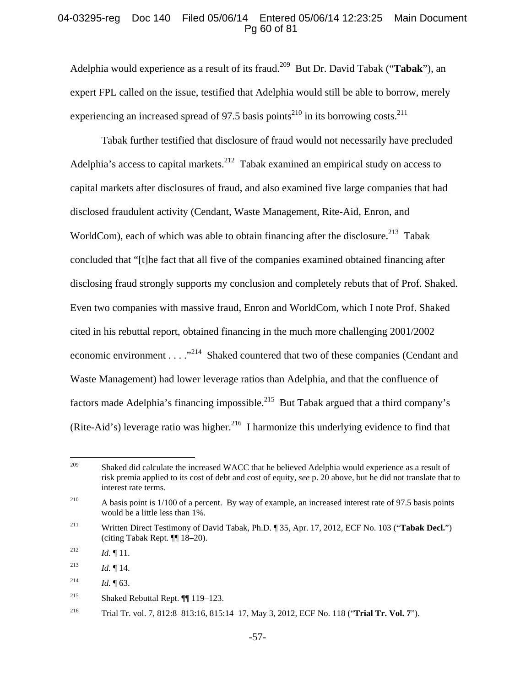## 04-03295-reg Doc 140 Filed 05/06/14 Entered 05/06/14 12:23:25 Main Document Pg 60 of 81

Adelphia would experience as a result of its fraud.209 But Dr. David Tabak ("**Tabak**"), an expert FPL called on the issue, testified that Adelphia would still be able to borrow, merely experiencing an increased spread of 97.5 basis points<sup>210</sup> in its borrowing costs.<sup>211</sup>

Tabak further testified that disclosure of fraud would not necessarily have precluded Adelphia's access to capital markets.<sup>212</sup> Tabak examined an empirical study on access to capital markets after disclosures of fraud, and also examined five large companies that had disclosed fraudulent activity (Cendant, Waste Management, Rite-Aid, Enron, and WorldCom), each of which was able to obtain financing after the disclosure.<sup>213</sup> Tabak concluded that "[t]he fact that all five of the companies examined obtained financing after disclosing fraud strongly supports my conclusion and completely rebuts that of Prof. Shaked. Even two companies with massive fraud, Enron and WorldCom, which I note Prof. Shaked cited in his rebuttal report, obtained financing in the much more challenging 2001/2002 economic environment . . . .<sup>3214</sup> Shaked countered that two of these companies (Cendant and Waste Management) had lower leverage ratios than Adelphia, and that the confluence of factors made Adelphia's financing impossible.<sup>215</sup> But Tabak argued that a third company's (Rite-Aid's) leverage ratio was higher.<sup>216</sup> I harmonize this underlying evidence to find that

<sup>209</sup> Shaked did calculate the increased WACC that he believed Adelphia would experience as a result of risk premia applied to its cost of debt and cost of equity, *see* p. 20 above, but he did not translate that to interest rate terms.

<sup>&</sup>lt;sup>210</sup> A basis point is 1/100 of a percent. By way of example, an increased interest rate of 97.5 basis points would be a little less than 1%.

<sup>211</sup> Written Direct Testimony of David Tabak, Ph.D. ¶ 35, Apr. 17, 2012, ECF No. 103 ("**Tabak Decl.**") (citing Tabak Rept. ¶¶ 18–20).

<sup>&</sup>lt;sup>212</sup> *Id.* 11.

<sup>&</sup>lt;sup>213</sup> *Id.*  $\blacksquare$  14.

<sup>&</sup>lt;sup>214</sup> *Id.*  $\P$  63.

<sup>215</sup> Shaked Rebuttal Rept. ¶¶ 119–123.

<sup>216</sup> Trial Tr. vol. 7, 812:8–813:16, 815:14–17, May 3, 2012, ECF No. 118 ("**Trial Tr. Vol. 7**").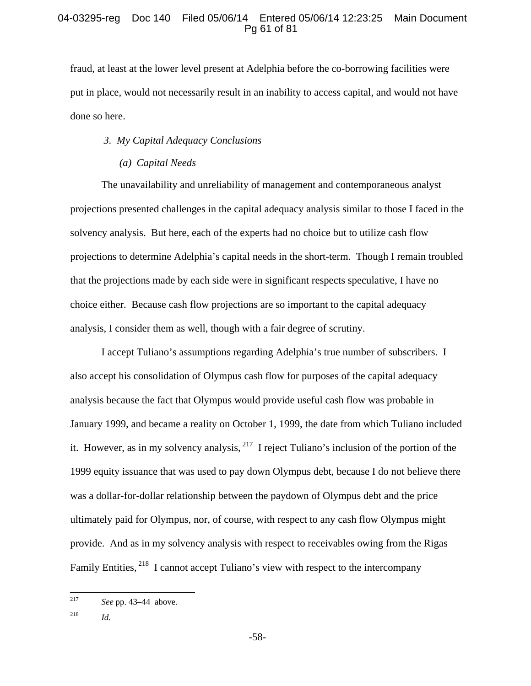# 04-03295-reg Doc 140 Filed 05/06/14 Entered 05/06/14 12:23:25 Main Document Pg 61 of 81

fraud, at least at the lower level present at Adelphia before the co-borrowing facilities were put in place, would not necessarily result in an inability to access capital, and would not have done so here.

## *3. My Capital Adequacy Conclusions*

## *(a) Capital Needs*

The unavailability and unreliability of management and contemporaneous analyst projections presented challenges in the capital adequacy analysis similar to those I faced in the solvency analysis. But here, each of the experts had no choice but to utilize cash flow projections to determine Adelphia's capital needs in the short-term. Though I remain troubled that the projections made by each side were in significant respects speculative, I have no choice either. Because cash flow projections are so important to the capital adequacy analysis, I consider them as well, though with a fair degree of scrutiny.

I accept Tuliano's assumptions regarding Adelphia's true number of subscribers. I also accept his consolidation of Olympus cash flow for purposes of the capital adequacy analysis because the fact that Olympus would provide useful cash flow was probable in January 1999, and became a reality on October 1, 1999, the date from which Tuliano included it. However, as in my solvency analysis,  $^{217}$  I reject Tuliano's inclusion of the portion of the 1999 equity issuance that was used to pay down Olympus debt, because I do not believe there was a dollar-for-dollar relationship between the paydown of Olympus debt and the price ultimately paid for Olympus, nor, of course, with respect to any cash flow Olympus might provide.And as in my solvency analysis with respect to receivables owing from the Rigas Family Entities, <sup>218</sup> I cannot accept Tuliano's view with respect to the intercompany

218 *Id.*

<sup>217</sup> See pp. 43–44 above.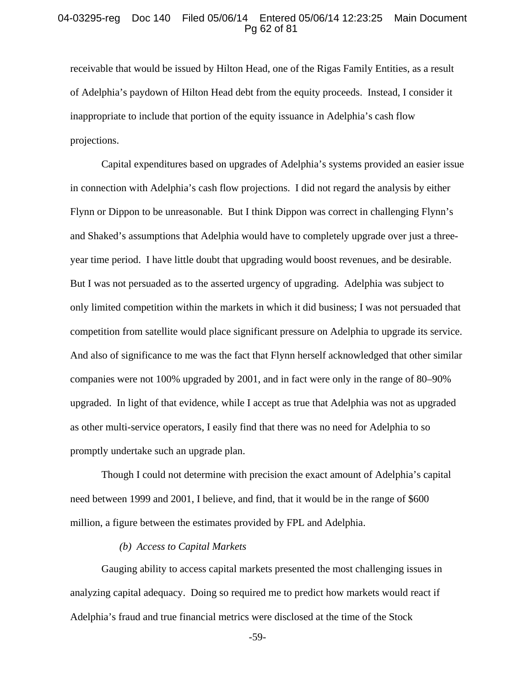#### 04-03295-reg Doc 140 Filed 05/06/14 Entered 05/06/14 12:23:25 Main Document Pg 62 of 81

receivable that would be issued by Hilton Head, one of the Rigas Family Entities, as a result of Adelphia's paydown of Hilton Head debt from the equity proceeds. Instead, I consider it inappropriate to include that portion of the equity issuance in Adelphia's cash flow projections.

Capital expenditures based on upgrades of Adelphia's systems provided an easier issue in connection with Adelphia's cash flow projections. I did not regard the analysis by either Flynn or Dippon to be unreasonable. But I think Dippon was correct in challenging Flynn's and Shaked's assumptions that Adelphia would have to completely upgrade over just a threeyear time period. I have little doubt that upgrading would boost revenues, and be desirable. But I was not persuaded as to the asserted urgency of upgrading. Adelphia was subject to only limited competition within the markets in which it did business; I was not persuaded that competition from satellite would place significant pressure on Adelphia to upgrade its service. And also of significance to me was the fact that Flynn herself acknowledged that other similar companies were not 100% upgraded by 2001, and in fact were only in the range of 80–90% upgraded. In light of that evidence, while I accept as true that Adelphia was not as upgraded as other multi-service operators, I easily find that there was no need for Adelphia to so promptly undertake such an upgrade plan.

Though I could not determine with precision the exact amount of Adelphia's capital need between 1999 and 2001, I believe, and find, that it would be in the range of \$600 million, a figure between the estimates provided by FPL and Adelphia.

#### *(b) Access to Capital Markets*

Gauging ability to access capital markets presented the most challenging issues in analyzing capital adequacy. Doing so required me to predict how markets would react if Adelphia's fraud and true financial metrics were disclosed at the time of the Stock

-59-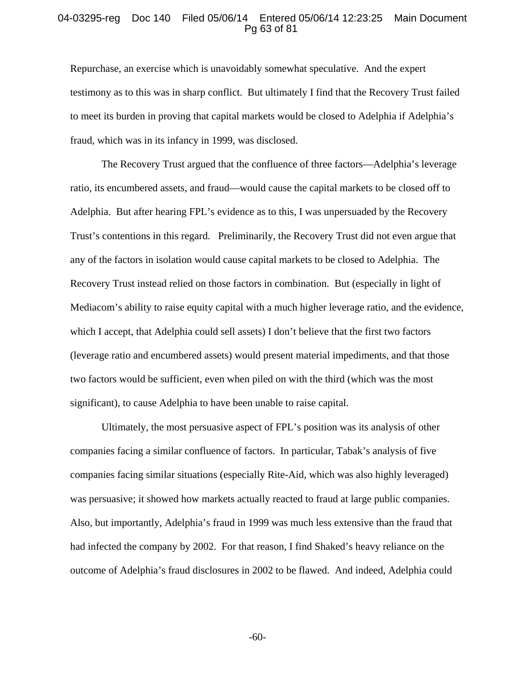#### 04-03295-reg Doc 140 Filed 05/06/14 Entered 05/06/14 12:23:25 Main Document Pg 63 of 81

Repurchase, an exercise which is unavoidably somewhat speculative. And the expert testimony as to this was in sharp conflict. But ultimately I find that the Recovery Trust failed to meet its burden in proving that capital markets would be closed to Adelphia if Adelphia's fraud, which was in its infancy in 1999, was disclosed.

The Recovery Trust argued that the confluence of three factors—Adelphia's leverage ratio, its encumbered assets, and fraud—would cause the capital markets to be closed off to Adelphia. But after hearing FPL's evidence as to this, I was unpersuaded by the Recovery Trust's contentions in this regard. Preliminarily, the Recovery Trust did not even argue that any of the factors in isolation would cause capital markets to be closed to Adelphia. The Recovery Trust instead relied on those factors in combination. But (especially in light of Mediacom's ability to raise equity capital with a much higher leverage ratio, and the evidence, which I accept, that Adelphia could sell assets) I don't believe that the first two factors (leverage ratio and encumbered assets) would present material impediments, and that those two factors would be sufficient, even when piled on with the third (which was the most significant), to cause Adelphia to have been unable to raise capital.

Ultimately, the most persuasive aspect of FPL's position was its analysis of other companies facing a similar confluence of factors. In particular, Tabak's analysis of five companies facing similar situations (especially Rite-Aid, which was also highly leveraged) was persuasive; it showed how markets actually reacted to fraud at large public companies. Also, but importantly, Adelphia's fraud in 1999 was much less extensive than the fraud that had infected the company by 2002. For that reason, I find Shaked's heavy reliance on the outcome of Adelphia's fraud disclosures in 2002 to be flawed. And indeed, Adelphia could

-60-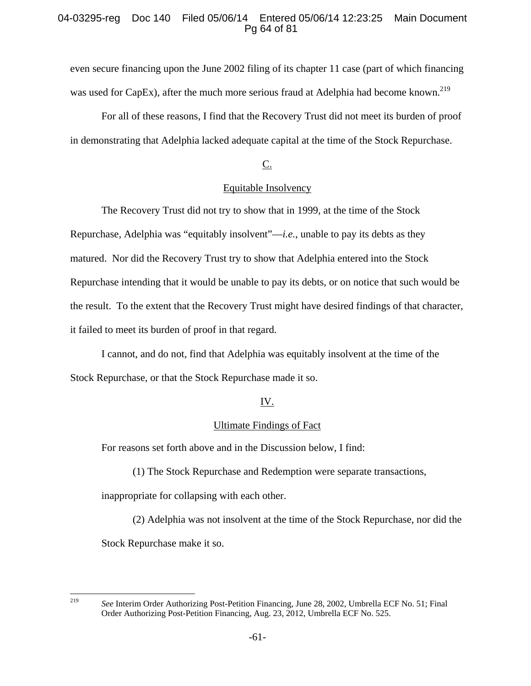# 04-03295-reg Doc 140 Filed 05/06/14 Entered 05/06/14 12:23:25 Main Document Pg 64 of 81

even secure financing upon the June 2002 filing of its chapter 11 case (part of which financing was used for CapEx), after the much more serious fraud at Adelphia had become known.<sup>219</sup>

For all of these reasons, I find that the Recovery Trust did not meet its burden of proof in demonstrating that Adelphia lacked adequate capital at the time of the Stock Repurchase.

# $C<sub>1</sub>$

# Equitable Insolvency

The Recovery Trust did not try to show that in 1999, at the time of the Stock Repurchase, Adelphia was "equitably insolvent"—*i.e.*, unable to pay its debts as they matured. Nor did the Recovery Trust try to show that Adelphia entered into the Stock Repurchase intending that it would be unable to pay its debts, or on notice that such would be the result. To the extent that the Recovery Trust might have desired findings of that character, it failed to meet its burden of proof in that regard.

I cannot, and do not, find that Adelphia was equitably insolvent at the time of the Stock Repurchase, or that the Stock Repurchase made it so.

# IV.

#### Ultimate Findings of Fact

For reasons set forth above and in the Discussion below, I find:

(1) The Stock Repurchase and Redemption were separate transactions,

inappropriate for collapsing with each other.

(2) Adelphia was not insolvent at the time of the Stock Repurchase, nor did the Stock Repurchase make it so.

<sup>219</sup> 

<sup>219</sup> *See* Interim Order Authorizing Post-Petition Financing, June 28, 2002, Umbrella ECF No. 51; Final Order Authorizing Post-Petition Financing, Aug. 23, 2012, Umbrella ECF No. 525.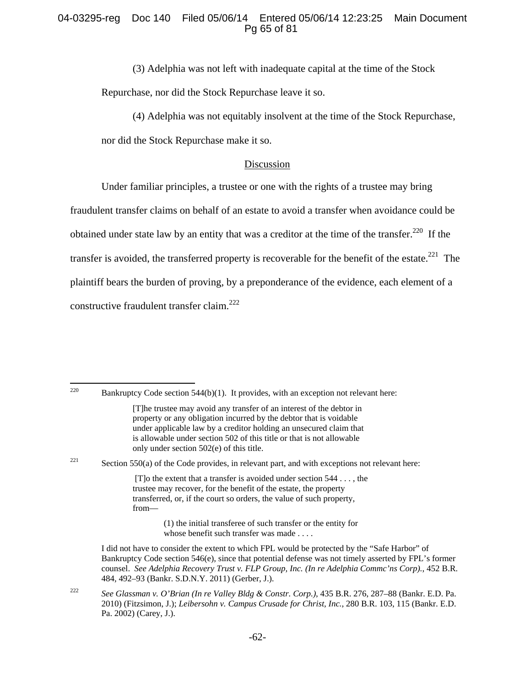# 04-03295-reg Doc 140 Filed 05/06/14 Entered 05/06/14 12:23:25 Main Document Pg 65 of 81

(3) Adelphia was not left with inadequate capital at the time of the Stock Repurchase, nor did the Stock Repurchase leave it so.

(4) Adelphia was not equitably insolvent at the time of the Stock Repurchase,

nor did the Stock Repurchase make it so.

### Discussion

Under familiar principles, a trustee or one with the rights of a trustee may bring

fraudulent transfer claims on behalf of an estate to avoid a transfer when avoidance could be obtained under state law by an entity that was a creditor at the time of the transfer.<sup>220</sup> If the transfer is avoided, the transferred property is recoverable for the benefit of the estate.<sup>221</sup> The plaintiff bears the burden of proving, by a preponderance of the evidence, each element of a constructive fraudulent transfer claim.<sup>222</sup>

220 Bankruptcy Code section  $544(b)(1)$ . It provides, with an exception not relevant here:

<sup>221</sup> Section 550(a) of the Code provides, in relevant part, and with exceptions not relevant here:

[T]o the extent that a transfer is avoided under section  $544...$ , the trustee may recover, for the benefit of the estate, the property transferred, or, if the court so orders, the value of such property, from—

> (1) the initial transferee of such transfer or the entity for whose benefit such transfer was made . . . .

<sup>[</sup>T]he trustee may avoid any transfer of an interest of the debtor in property or any obligation incurred by the debtor that is voidable under applicable law by a creditor holding an unsecured claim that is allowable under section 502 of this title or that is not allowable only under section 502(e) of this title.

I did not have to consider the extent to which FPL would be protected by the "Safe Harbor" of Bankruptcy Code section 546(e), since that potential defense was not timely asserted by FPL's former counsel. *See Adelphia Recovery Trust v. FLP Group, Inc. (In re Adelphia Commc'ns Corp).*, 452 B.R. 484, 492–93 (Bankr. S.D.N.Y. 2011) (Gerber, J.).

<sup>222</sup> *See Glassman v. O'Brian (In re Valley Bldg & Constr. Corp.)*, 435 B.R. 276, 287–88 (Bankr. E.D. Pa. 2010) (Fitzsimon, J.); *Leibersohn v. Campus Crusade for Christ, Inc.*, 280 B.R. 103, 115 (Bankr. E.D. Pa. 2002) (Carey, J.).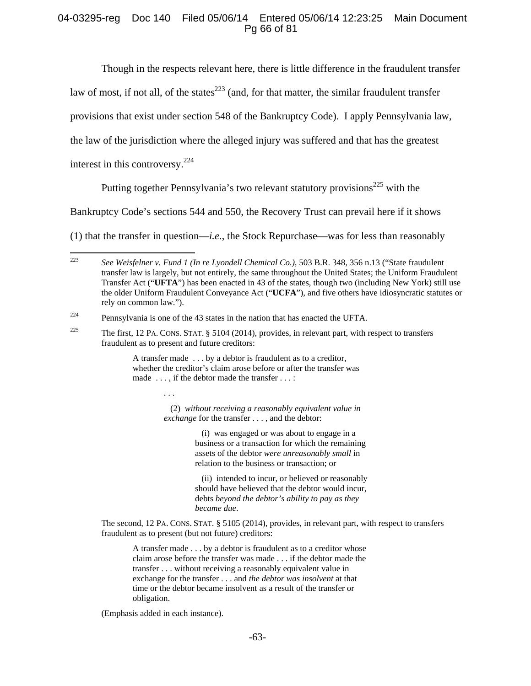# 04-03295-reg Doc 140 Filed 05/06/14 Entered 05/06/14 12:23:25 Main Document Pg 66 of 81

Though in the respects relevant here, there is little difference in the fraudulent transfer

law of most, if not all, of the states $^{223}$  (and, for that matter, the similar fraudulent transfer

provisions that exist under section 548 of the Bankruptcy Code). I apply Pennsylvania law,

the law of the jurisdiction where the alleged injury was suffered and that has the greatest

interest in this controversy.<sup>224</sup>

Putting together Pennsylvania's two relevant statutory provisions<sup>225</sup> with the

Bankruptcy Code's sections 544 and 550, the Recovery Trust can prevail here if it shows

(1) that the transfer in question—*i.e.*, the Stock Repurchase—was for less than reasonably

 $224$  Pennsylvania is one of the 43 states in the nation that has enacted the UFTA.

A transfer made . . . by a debtor is fraudulent as to a creditor, whether the creditor's claim arose before or after the transfer was made ..., if the debtor made the transfer ...:

> (2) *without receiving a reasonably equivalent value in exchange* for the transfer . . . , and the debtor:

> > (i) was engaged or was about to engage in a business or a transaction for which the remaining assets of the debtor *were unreasonably small* in relation to the business or transaction; or

 (ii) intended to incur, or believed or reasonably should have believed that the debtor would incur, debts *beyond the debtor's ability to pay as they became due*.

 The second, 12 PA. CONS. STAT. § 5105 (2014), provides, in relevant part, with respect to transfers fraudulent as to present (but not future) creditors:

A transfer made . . . by a debtor is fraudulent as to a creditor whose claim arose before the transfer was made . . . if the debtor made the transfer . . . without receiving a reasonably equivalent value in exchange for the transfer . . . and *the debtor was insolvent* at that time or the debtor became insolvent as a result of the transfer or obligation.

(Emphasis added in each instance).

 $223$ 223 *See Weisfelner v. Fund 1 (In re Lyondell Chemical Co.)*, 503 B.R. 348, 356 n.13 ("State fraudulent transfer law is largely, but not entirely, the same throughout the United States; the Uniform Fraudulent Transfer Act ("**UFTA**") has been enacted in 43 of the states, though two (including New York) still use the older Uniform Fraudulent Conveyance Act ("**UCFA**"), and five others have idiosyncratic statutes or rely on common law.").

<sup>&</sup>lt;sup>225</sup> The first, 12 PA. CONS. STAT.  $\S$  5104 (2014), provides, in relevant part, with respect to transfers fraudulent as to present and future creditors: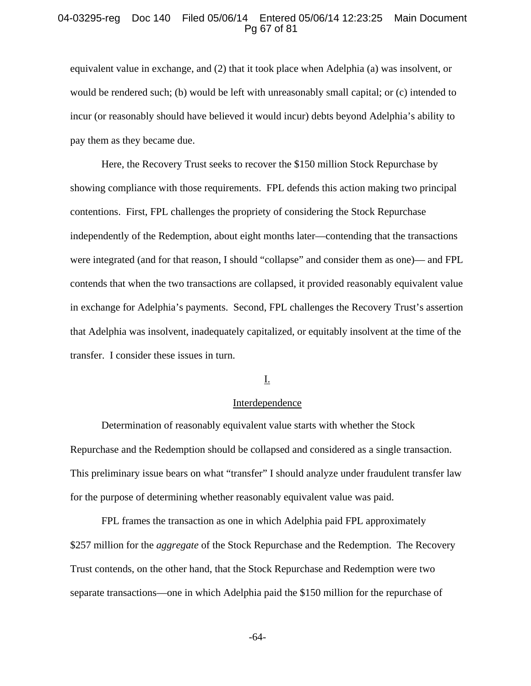#### 04-03295-reg Doc 140 Filed 05/06/14 Entered 05/06/14 12:23:25 Main Document Pg 67 of 81

equivalent value in exchange, and (2) that it took place when Adelphia (a) was insolvent, or would be rendered such; (b) would be left with unreasonably small capital; or (c) intended to incur (or reasonably should have believed it would incur) debts beyond Adelphia's ability to pay them as they became due.

Here, the Recovery Trust seeks to recover the \$150 million Stock Repurchase by showing compliance with those requirements. FPL defends this action making two principal contentions. First, FPL challenges the propriety of considering the Stock Repurchase independently of the Redemption, about eight months later—contending that the transactions were integrated (and for that reason, I should "collapse" and consider them as one)— and FPL contends that when the two transactions are collapsed, it provided reasonably equivalent value in exchange for Adelphia's payments. Second, FPL challenges the Recovery Trust's assertion that Adelphia was insolvent, inadequately capitalized, or equitably insolvent at the time of the transfer. I consider these issues in turn.

# I.

#### Interdependence

Determination of reasonably equivalent value starts with whether the Stock Repurchase and the Redemption should be collapsed and considered as a single transaction. This preliminary issue bears on what "transfer" I should analyze under fraudulent transfer law for the purpose of determining whether reasonably equivalent value was paid.

FPL frames the transaction as one in which Adelphia paid FPL approximately \$257 million for the *aggregate* of the Stock Repurchase and the Redemption. The Recovery Trust contends, on the other hand, that the Stock Repurchase and Redemption were two separate transactions—one in which Adelphia paid the \$150 million for the repurchase of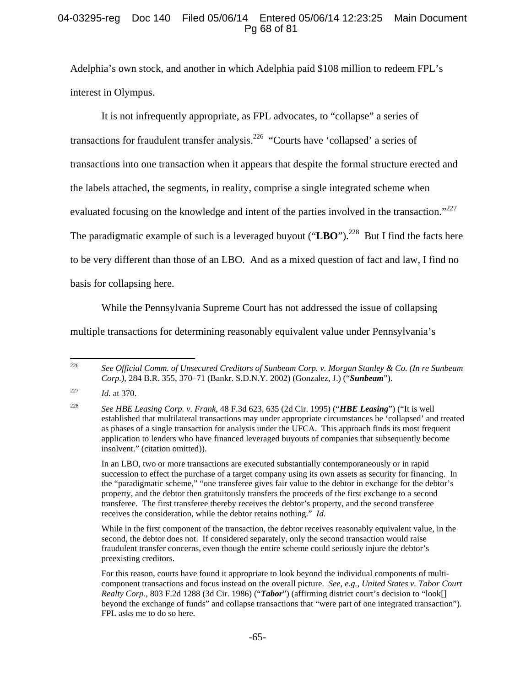# 04-03295-reg Doc 140 Filed 05/06/14 Entered 05/06/14 12:23:25 Main Document Pg 68 of 81

Adelphia's own stock, and another in which Adelphia paid \$108 million to redeem FPL's interest in Olympus.

It is not infrequently appropriate, as FPL advocates, to "collapse" a series of transactions for fraudulent transfer analysis.226 "Courts have 'collapsed' a series of transactions into one transaction when it appears that despite the formal structure erected and the labels attached, the segments, in reality, comprise a single integrated scheme when evaluated focusing on the knowledge and intent of the parties involved in the transaction."<sup>227</sup> The paradigmatic example of such is a leveraged buyout ("LBO").<sup>228</sup> But I find the facts here to be very different than those of an LBO. And as a mixed question of fact and law, I find no basis for collapsing here.

While the Pennsylvania Supreme Court has not addressed the issue of collapsing

multiple transactions for determining reasonably equivalent value under Pennsylvania's

 In an LBO, two or more transactions are executed substantially contemporaneously or in rapid succession to effect the purchase of a target company using its own assets as security for financing. In the "paradigmatic scheme," "one transferee gives fair value to the debtor in exchange for the debtor's property, and the debtor then gratuitously transfers the proceeds of the first exchange to a second transferee. The first transferee thereby receives the debtor's property, and the second transferee receives the consideration, while the debtor retains nothing." *Id*.

 While in the first component of the transaction, the debtor receives reasonably equivalent value, in the second, the debtor does not. If considered separately, only the second transaction would raise fraudulent transfer concerns, even though the entire scheme could seriously injure the debtor's preexisting creditors.

<sup>226</sup> 226 *See Official Comm. of Unsecured Creditors of Sunbeam Corp. v. Morgan Stanley & Co. (In re Sunbeam Corp.)*, 284 B.R. 355, 370–71 (Bankr. S.D.N.Y. 2002) (Gonzalez, J.) ("*Sunbeam*").

<sup>227</sup> *Id.* at 370.

<sup>228</sup> *See HBE Leasing Corp. v. Frank*, 48 F.3d 623, 635 (2d Cir. 1995) ("*HBE Leasing*") ("It is well established that multilateral transactions may under appropriate circumstances be 'collapsed' and treated as phases of a single transaction for analysis under the UFCA. This approach finds its most frequent application to lenders who have financed leveraged buyouts of companies that subsequently become insolvent." (citation omitted)).

For this reason, courts have found it appropriate to look beyond the individual components of multicomponent transactions and focus instead on the overall picture. *See, e.g.*, *United States v. Tabor Court Realty Corp.*, 803 F.2d 1288 (3d Cir. 1986) ("*Tabor*") (affirming district court's decision to "look[] beyond the exchange of funds" and collapse transactions that "were part of one integrated transaction"). FPL asks me to do so here.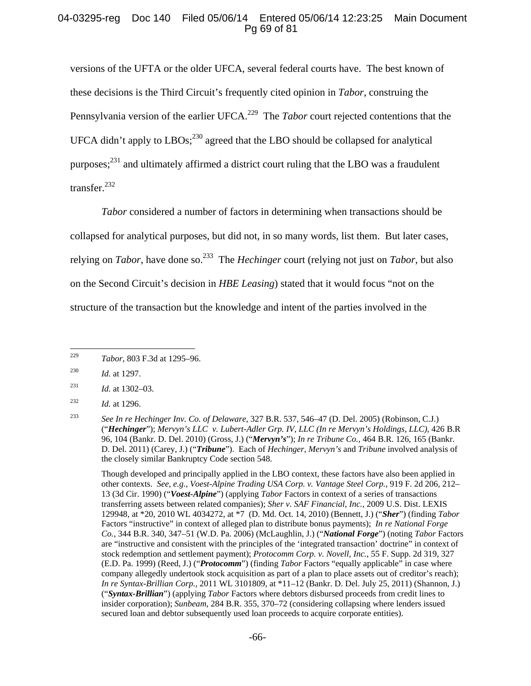# 04-03295-reg Doc 140 Filed 05/06/14 Entered 05/06/14 12:23:25 Main Document Pg 69 of 81

versions of the UFTA or the older UFCA, several federal courts have. The best known of these decisions is the Third Circuit's frequently cited opinion in *Tabor*, construing the Pennsylvania version of the earlier UFCA.<sup>229</sup> The *Tabor* court rejected contentions that the UFCA didn't apply to LBOs;<sup>230</sup> agreed that the LBO should be collapsed for analytical purposes;<sup>231</sup> and ultimately affirmed a district court ruling that the LBO was a fraudulent transfer.<sup>232</sup>

*Tabor* considered a number of factors in determining when transactions should be collapsed for analytical purposes, but did not, in so many words, list them. But later cases, relying on *Tabor*, have done so.233 The *Hechinger* court (relying not just on *Tabor*, but also on the Second Circuit's decision in *HBE Leasing*) stated that it would focus "not on the structure of the transaction but the knowledge and intent of the parties involved in the

<sup>231</sup> *Id.* at 1302–03.

<sup>229</sup> 229 *Tabor*, 803 F.3d at 1295–96.

<sup>230</sup> *Id.* at 1297.

<sup>232</sup> *Id.* at 1296.

<sup>233</sup> *See In re Hechinger Inv. Co. of Delaware*, 327 B.R. 537, 546–47 (D. Del. 2005) (Robinson, C.J.) ("*Hechinger*"); *Mervyn's LLC v. Lubert-Adler Grp. IV, LLC (In re Mervyn's Holdings, LLC)*, 426 B.R 96, 104 (Bankr. D. Del. 2010) (Gross, J.) ("*Mervyn's*"); *In re Tribune Co.*, 464 B.R. 126, 165 (Bankr. D. Del. 2011) (Carey, J.) ("*Tribune*"). Each of *Hechinger*, *Mervyn's* and *Tribune* involved analysis of the closely similar Bankruptcy Code section 548.

Though developed and principally applied in the LBO context, these factors have also been applied in other contexts. *See, e.g.*, *Voest-Alpine Trading USA Corp. v. Vantage Steel Corp.*, 919 F. 2d 206, 212– 13 (3d Cir. 1990) ("*Voest-Alpine*") (applying *Tabor* Factors in context of a series of transactions transferring assets between related companies); *Sher v. SAF Financial, Inc.*, 2009 U.S. Dist. LEXIS 129948, at \*20, 2010 WL 4034272, at \*7 (D. Md. Oct. 14, 2010) (Bennett, J.) ("*Sher*") (finding *Tabor* Factors "instructive" in context of alleged plan to distribute bonus payments); *In re National Forge Co.*, 344 B.R. 340, 347–51 (W.D. Pa. 2006) (McLaughlin, J.) ("*National Forge*") (noting *Tabor* Factors are "instructive and consistent with the principles of the 'integrated transaction' doctrine" in context of stock redemption and settlement payment); *Protocomm Corp. v. Novell, Inc.*, 55 F. Supp. 2d 319, 327 (E.D. Pa. 1999) (Reed, J.) ("*Protocomm*") (finding *Tabor* Factors "equally applicable" in case where company allegedly undertook stock acquisition as part of a plan to place assets out of creditor's reach); *In re Syntax-Brillian Corp.*, 2011 WL 3101809, at \*11–12 (Bankr. D. Del. July 25, 2011) (Shannon, J.) ("*Syntax-Brillian*") (applying *Tabor* Factors where debtors disbursed proceeds from credit lines to insider corporation); *Sunbeam*, 284 B.R. 355, 370–72 (considering collapsing where lenders issued secured loan and debtor subsequently used loan proceeds to acquire corporate entities).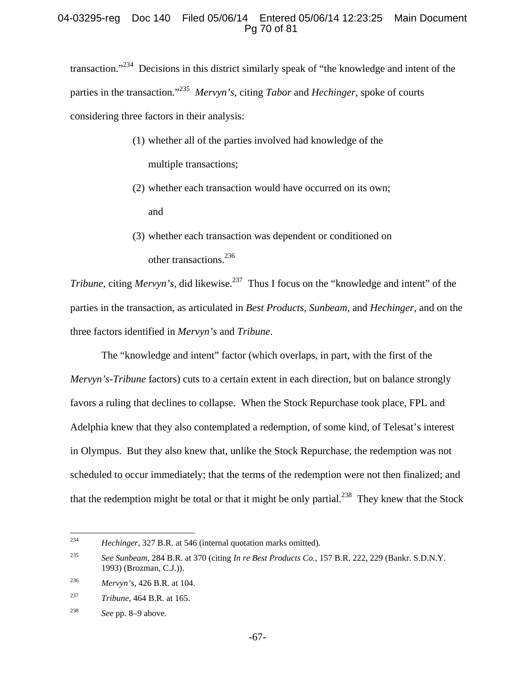# 04-03295-reg Doc 140 Filed 05/06/14 Entered 05/06/14 12:23:25 Main Document Pg 70 of 81

transaction."234 Decisions in this district similarly speak of "the knowledge and intent of the parties in the transaction."235 *Mervyn's*, citing *Tabor* and *Hechinger*, spoke of courts considering three factors in their analysis:

- (1) whether all of the parties involved had knowledge of the multiple transactions;
- (2) whether each transaction would have occurred on its own; and
- (3) whether each transaction was dependent or conditioned on other transactions.<sup>236</sup>

*Tribune*, citing *Mervyn's*, did likewise.<sup>237</sup> Thus I focus on the "knowledge and intent" of the parties in the transaction, as articulated in *Best Products*, *Sunbeam*, and *Hechinger*, and on the three factors identified in *Mervyn's* and *Tribune*.

The "knowledge and intent" factor (which overlaps, in part, with the first of the *Mervyn's-Tribune* factors) cuts to a certain extent in each direction, but on balance strongly favors a ruling that declines to collapse. When the Stock Repurchase took place, FPL and Adelphia knew that they also contemplated a redemption, of some kind, of Telesat's interest in Olympus. But they also knew that, unlike the Stock Repurchase, the redemption was not scheduled to occur immediately; that the terms of the redemption were not then finalized; and that the redemption might be total or that it might be only partial.<sup>238</sup> They knew that the Stock

<sup>234</sup> Hechinger, 327 B.R. at 546 (internal quotation marks omitted).

<sup>235</sup> *See Sunbeam*, 284 B.R. at 370 (citing *In re Best Products Co.*, 157 B.R. 222, 229 (Bankr. S.D.N.Y. 1993) (Brozman, C.J.)).

<sup>236</sup> *Mervyn's*, 426 B.R. at 104.

<sup>237</sup> *Tribune*, 464 B.R. at 165.

<sup>238</sup> *See* pp. 8–9 above.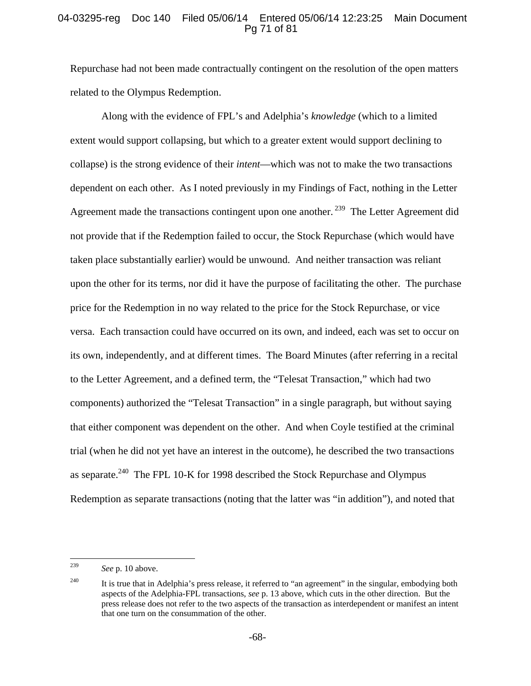# 04-03295-reg Doc 140 Filed 05/06/14 Entered 05/06/14 12:23:25 Main Document Pg 71 of 81

Repurchase had not been made contractually contingent on the resolution of the open matters related to the Olympus Redemption.

Along with the evidence of FPL's and Adelphia's *knowledge* (which to a limited extent would support collapsing, but which to a greater extent would support declining to collapse) is the strong evidence of their *intent*—which was not to make the two transactions dependent on each other. As I noted previously in my Findings of Fact, nothing in the Letter Agreement made the transactions contingent upon one another.<sup>239</sup> The Letter Agreement did not provide that if the Redemption failed to occur, the Stock Repurchase (which would have taken place substantially earlier) would be unwound. And neither transaction was reliant upon the other for its terms, nor did it have the purpose of facilitating the other. The purchase price for the Redemption in no way related to the price for the Stock Repurchase, or vice versa. Each transaction could have occurred on its own, and indeed, each was set to occur on its own, independently, and at different times. The Board Minutes (after referring in a recital to the Letter Agreement, and a defined term, the "Telesat Transaction," which had two components) authorized the "Telesat Transaction" in a single paragraph, but without saying that either component was dependent on the other. And when Coyle testified at the criminal trial (when he did not yet have an interest in the outcome), he described the two transactions as separate.<sup>240</sup> The FPL 10-K for 1998 described the Stock Repurchase and Olympus Redemption as separate transactions (noting that the latter was "in addition"), and noted that

<sup>239</sup> See p. 10 above.

<sup>&</sup>lt;sup>240</sup> It is true that in Adelphia's press release, it referred to "an agreement" in the singular, embodying both aspects of the Adelphia-FPL transactions, *see* p. 13 above, which cuts in the other direction. But the press release does not refer to the two aspects of the transaction as interdependent or manifest an intent that one turn on the consummation of the other.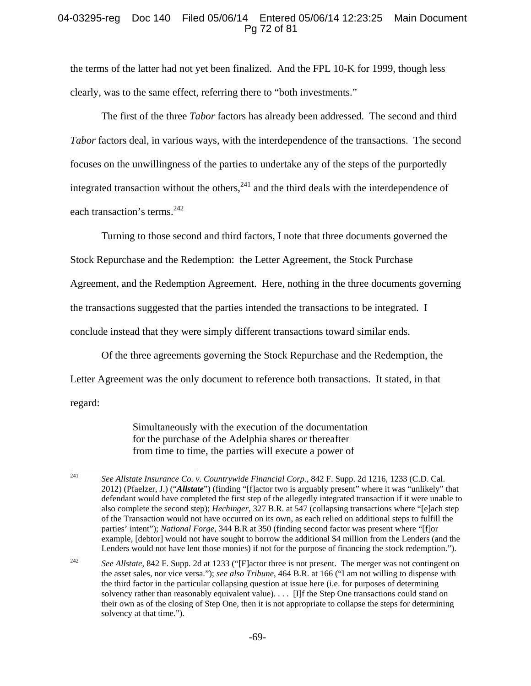# 04-03295-reg Doc 140 Filed 05/06/14 Entered 05/06/14 12:23:25 Main Document Pg 72 of 81

the terms of the latter had not yet been finalized. And the FPL 10-K for 1999, though less clearly, was to the same effect, referring there to "both investments."

The first of the three *Tabor* factors has already been addressed. The second and third *Tabor* factors deal, in various ways, with the interdependence of the transactions. The second focuses on the unwillingness of the parties to undertake any of the steps of the purportedly integrated transaction without the others,  $241$  and the third deals with the interdependence of each transaction's terms.<sup>242</sup>

Turning to those second and third factors, I note that three documents governed the Stock Repurchase and the Redemption: the Letter Agreement, the Stock Purchase Agreement, and the Redemption Agreement. Here, nothing in the three documents governing

the transactions suggested that the parties intended the transactions to be integrated. I

conclude instead that they were simply different transactions toward similar ends.

Of the three agreements governing the Stock Repurchase and the Redemption, the

Letter Agreement was the only document to reference both transactions. It stated, in that

regard:

Simultaneously with the execution of the documentation for the purchase of the Adelphia shares or thereafter from time to time, the parties will execute a power of

<sup>241</sup> 241 *See Allstate Insurance Co. v. Countrywide Financial Corp.*, 842 F. Supp. 2d 1216, 1233 (C.D. Cal. 2012) (Pfaelzer, J.) ("*Allstate*") (finding "[f]actor two is arguably present" where it was "unlikely" that defendant would have completed the first step of the allegedly integrated transaction if it were unable to also complete the second step); *Hechinger*, 327 B.R. at 547 (collapsing transactions where "[e]ach step of the Transaction would not have occurred on its own, as each relied on additional steps to fulfill the parties' intent"); *National Forge*, 344 B.R at 350 (finding second factor was present where "[f]or example, [debtor] would not have sought to borrow the additional \$4 million from the Lenders (and the Lenders would not have lent those monies) if not for the purpose of financing the stock redemption.").

<sup>&</sup>lt;sup>242</sup> *See Allstate*, 842 F. Supp. 2d at 1233 ("[F]actor three is not present. The merger was not contingent on the asset sales, nor vice versa."); *see also Tribune*, 464 B.R. at 166 ("I am not willing to dispense with the third factor in the particular collapsing question at issue here (i.e. for purposes of determining solvency rather than reasonably equivalent value). . . . [I]f the Step One transactions could stand on their own as of the closing of Step One, then it is not appropriate to collapse the steps for determining solvency at that time.").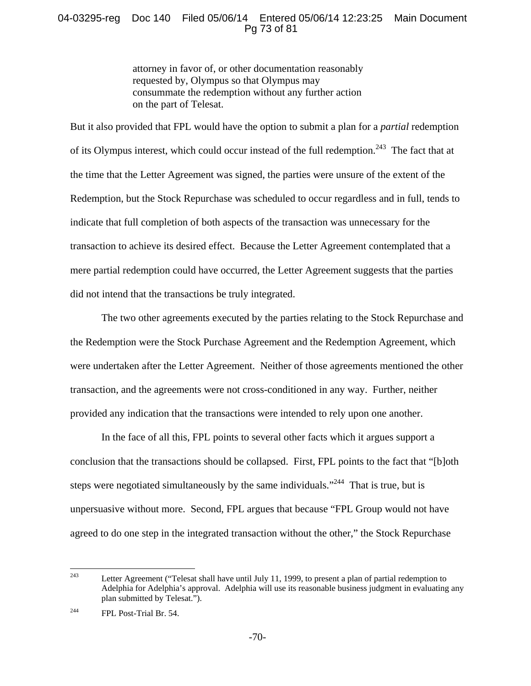# 04-03295-reg Doc 140 Filed 05/06/14 Entered 05/06/14 12:23:25 Main Document Pg 73 of 81

attorney in favor of, or other documentation reasonably requested by, Olympus so that Olympus may consummate the redemption without any further action on the part of Telesat.

But it also provided that FPL would have the option to submit a plan for a *partial* redemption of its Olympus interest, which could occur instead of the full redemption.<sup>243</sup> The fact that at the time that the Letter Agreement was signed, the parties were unsure of the extent of the Redemption, but the Stock Repurchase was scheduled to occur regardless and in full, tends to indicate that full completion of both aspects of the transaction was unnecessary for the transaction to achieve its desired effect. Because the Letter Agreement contemplated that a mere partial redemption could have occurred, the Letter Agreement suggests that the parties did not intend that the transactions be truly integrated.

The two other agreements executed by the parties relating to the Stock Repurchase and the Redemption were the Stock Purchase Agreement and the Redemption Agreement, which were undertaken after the Letter Agreement. Neither of those agreements mentioned the other transaction, and the agreements were not cross-conditioned in any way. Further, neither provided any indication that the transactions were intended to rely upon one another.

In the face of all this, FPL points to several other facts which it argues support a conclusion that the transactions should be collapsed. First, FPL points to the fact that "[b]oth steps were negotiated simultaneously by the same individuals."<sup>244</sup> That is true, but is unpersuasive without more. Second, FPL argues that because "FPL Group would not have agreed to do one step in the integrated transaction without the other," the Stock Repurchase

<sup>243</sup> Letter Agreement ("Telesat shall have until July 11, 1999, to present a plan of partial redemption to Adelphia for Adelphia's approval. Adelphia will use its reasonable business judgment in evaluating any plan submitted by Telesat.").

<sup>244</sup> FPL Post-Trial Br. 54.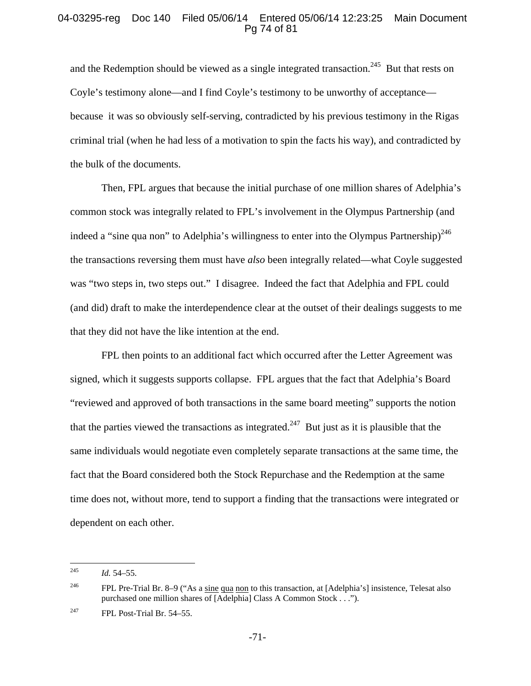## 04-03295-reg Doc 140 Filed 05/06/14 Entered 05/06/14 12:23:25 Main Document Pg 74 of 81

and the Redemption should be viewed as a single integrated transaction.<sup>245</sup> But that rests on Coyle's testimony alone—and I find Coyle's testimony to be unworthy of acceptance because it was so obviously self-serving, contradicted by his previous testimony in the Rigas criminal trial (when he had less of a motivation to spin the facts his way), and contradicted by the bulk of the documents.

Then, FPL argues that because the initial purchase of one million shares of Adelphia's common stock was integrally related to FPL's involvement in the Olympus Partnership (and indeed a "sine qua non" to Adelphia's willingness to enter into the Olympus Partnership)<sup>246</sup> the transactions reversing them must have *also* been integrally related—what Coyle suggested was "two steps in, two steps out." I disagree. Indeed the fact that Adelphia and FPL could (and did) draft to make the interdependence clear at the outset of their dealings suggests to me that they did not have the like intention at the end.

FPL then points to an additional fact which occurred after the Letter Agreement was signed, which it suggests supports collapse. FPL argues that the fact that Adelphia's Board "reviewed and approved of both transactions in the same board meeting" supports the notion that the parties viewed the transactions as integrated.<sup>247</sup> But just as it is plausible that the same individuals would negotiate even completely separate transactions at the same time, the fact that the Board considered both the Stock Repurchase and the Redemption at the same time does not, without more, tend to support a finding that the transactions were integrated or dependent on each other.

<sup>245</sup> 245 *Id.* 54–55.

<sup>246</sup> FPL Pre-Trial Br. 8–9 ("As a sine qua non to this transaction, at [Adelphia's] insistence, Telesat also purchased one million shares of [Adelphia] Class A Common Stock . . .").

<sup>&</sup>lt;sup>247</sup> FPL Post-Trial Br. 54–55.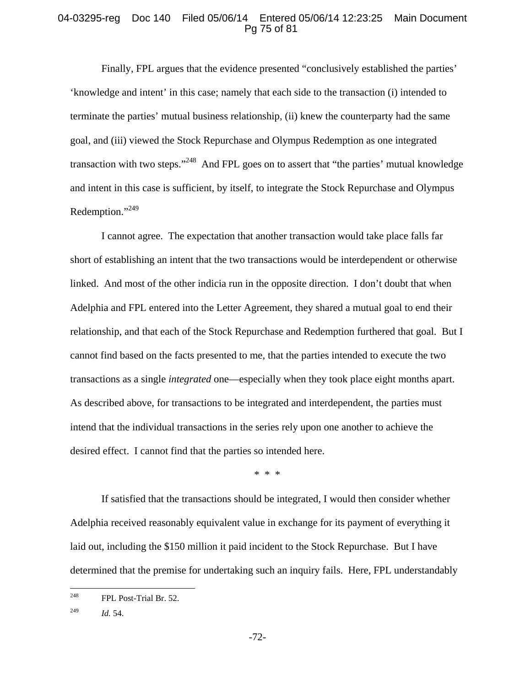### 04-03295-reg Doc 140 Filed 05/06/14 Entered 05/06/14 12:23:25 Main Document Pg 75 of 81

Finally, FPL argues that the evidence presented "conclusively established the parties' 'knowledge and intent' in this case; namely that each side to the transaction (i) intended to terminate the parties' mutual business relationship, (ii) knew the counterparty had the same goal, and (iii) viewed the Stock Repurchase and Olympus Redemption as one integrated transaction with two steps."<sup>248</sup> And FPL goes on to assert that "the parties" mutual knowledge and intent in this case is sufficient, by itself, to integrate the Stock Repurchase and Olympus Redemption."<sup>249</sup>

I cannot agree. The expectation that another transaction would take place falls far short of establishing an intent that the two transactions would be interdependent or otherwise linked. And most of the other indicia run in the opposite direction. I don't doubt that when Adelphia and FPL entered into the Letter Agreement, they shared a mutual goal to end their relationship, and that each of the Stock Repurchase and Redemption furthered that goal. But I cannot find based on the facts presented to me, that the parties intended to execute the two transactions as a single *integrated* one—especially when they took place eight months apart. As described above, for transactions to be integrated and interdependent, the parties must intend that the individual transactions in the series rely upon one another to achieve the desired effect. I cannot find that the parties so intended here.

\* \* \*

If satisfied that the transactions should be integrated, I would then consider whether Adelphia received reasonably equivalent value in exchange for its payment of everything it laid out, including the \$150 million it paid incident to the Stock Repurchase. But I have determined that the premise for undertaking such an inquiry fails. Here, FPL understandably

<sup>248</sup> FPL Post-Trial Br. 52.

<sup>249</sup> *Id.* 54.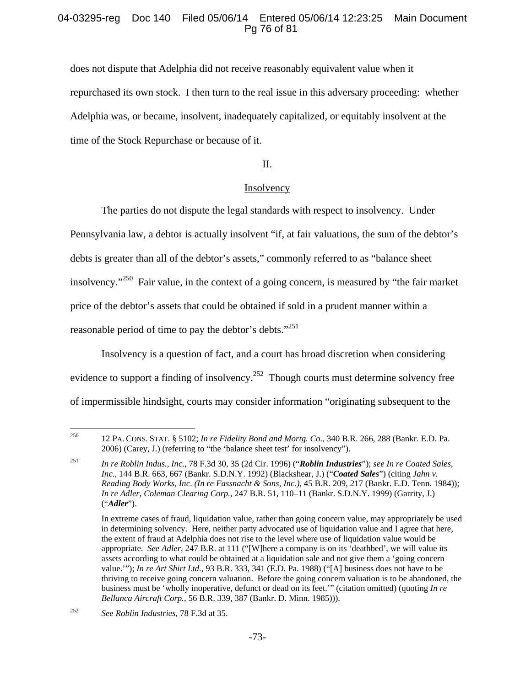## 04-03295-reg Doc 140 Filed 05/06/14 Entered 05/06/14 12:23:25 Main Document Pg 76 of 81

does not dispute that Adelphia did not receive reasonably equivalent value when it repurchased its own stock. I then turn to the real issue in this adversary proceeding: whether Adelphia was, or became, insolvent, inadequately capitalized, or equitably insolvent at the time of the Stock Repurchase or because of it.

## II.

### **Insolvency**

The parties do not dispute the legal standards with respect to insolvency. Under Pennsylvania law, a debtor is actually insolvent "if, at fair valuations, the sum of the debtor's debts is greater than all of the debtor's assets," commonly referred to as "balance sheet insolvency."<sup>250</sup> Fair value, in the context of a going concern, is measured by "the fair market price of the debtor's assets that could be obtained if sold in a prudent manner within a reasonable period of time to pay the debtor's debts."<sup>251</sup>

Insolvency is a question of fact, and a court has broad discretion when considering evidence to support a finding of insolvency.<sup>252</sup> Though courts must determine solvency free of impermissible hindsight, courts may consider information "originating subsequent to the

<sup>250</sup> 250 12 PA. CONS. STAT. § 5102; *In re Fidelity Bond and Mortg. Co.*, 340 B.R. 266, 288 (Bankr. E.D. Pa. 2006) (Carey, J.) (referring to "the 'balance sheet test' for insolvency").

<sup>251</sup> *In re Roblin Indus., Inc.*, 78 F.3d 30, 35 (2d Cir. 1996) ("*Roblin Industries*"); *see In re Coated Sales, Inc.*, 144 B.R. 663, 667 (Bankr. S.D.N.Y. 1992) (Blackshear, J.) ("*Coated Sales*") (citing *Jahn v. Reading Body Works, Inc*. *(In re Fassnacht & Sons, Inc.)*, 45 B.R. 209, 217 (Bankr. E.D. Tenn. 1984)); *In re Adler, Coleman Clearing Corp.*, 247 B.R. 51, 110–11 (Bankr. S.D.N.Y. 1999) (Garrity, J.) ("*Adler*").

In extreme cases of fraud, liquidation value, rather than going concern value, may appropriately be used in determining solvency. Here, neither party advocated use of liquidation value and I agree that here, the extent of fraud at Adelphia does not rise to the level where use of liquidation value would be appropriate. *See Adler*, 247 B.R. at 111 ("[W]here a company is on its 'deathbed', we will value its assets according to what could be obtained at a liquidation sale and not give them a 'going concern value.'"); *In re Art Shirt Ltd.*, 93 B.R. 333, 341 (E.D. Pa. 1988) ("[A] business does not have to be thriving to receive going concern valuation. Before the going concern valuation is to be abandoned, the business must be 'wholly inoperative, defunct or dead on its feet.'" (citation omitted) (quoting *In re Bellanca Aircraft Corp.*, 56 B.R. 339, 387 (Bankr. D. Minn. 1985))).

<sup>252</sup> *See Roblin Industries,* 78 F.3d at 35.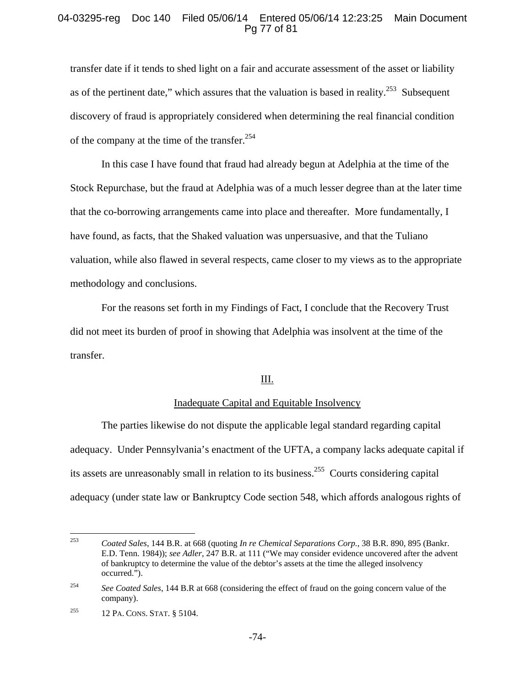### 04-03295-reg Doc 140 Filed 05/06/14 Entered 05/06/14 12:23:25 Main Document Pg 77 of 81

transfer date if it tends to shed light on a fair and accurate assessment of the asset or liability as of the pertinent date," which assures that the valuation is based in reality.<sup>253</sup> Subsequent discovery of fraud is appropriately considered when determining the real financial condition of the company at the time of the transfer.<sup>254</sup>

In this case I have found that fraud had already begun at Adelphia at the time of the Stock Repurchase, but the fraud at Adelphia was of a much lesser degree than at the later time that the co-borrowing arrangements came into place and thereafter. More fundamentally, I have found, as facts, that the Shaked valuation was unpersuasive, and that the Tuliano valuation, while also flawed in several respects, came closer to my views as to the appropriate methodology and conclusions.

For the reasons set forth in my Findings of Fact, I conclude that the Recovery Trust did not meet its burden of proof in showing that Adelphia was insolvent at the time of the transfer.

### III.

#### Inadequate Capital and Equitable Insolvency

The parties likewise do not dispute the applicable legal standard regarding capital adequacy. Under Pennsylvania's enactment of the UFTA, a company lacks adequate capital if its assets are unreasonably small in relation to its business.255 Courts considering capital adequacy (under state law or Bankruptcy Code section 548, which affords analogous rights of

<sup>253</sup> 253 *Coated Sales*, 144 B.R. at 668 (quoting *In re Chemical Separations Corp.*, 38 B.R. 890, 895 (Bankr. E.D. Tenn. 1984)); *see Adler*, 247 B.R. at 111 ("We may consider evidence uncovered after the advent of bankruptcy to determine the value of the debtor's assets at the time the alleged insolvency occurred.").

<sup>&</sup>lt;sup>254</sup> See Coated Sales, 144 B.R at 668 (considering the effect of fraud on the going concern value of the company).

<sup>255 12</sup> PA. CONS. STAT. § 5104.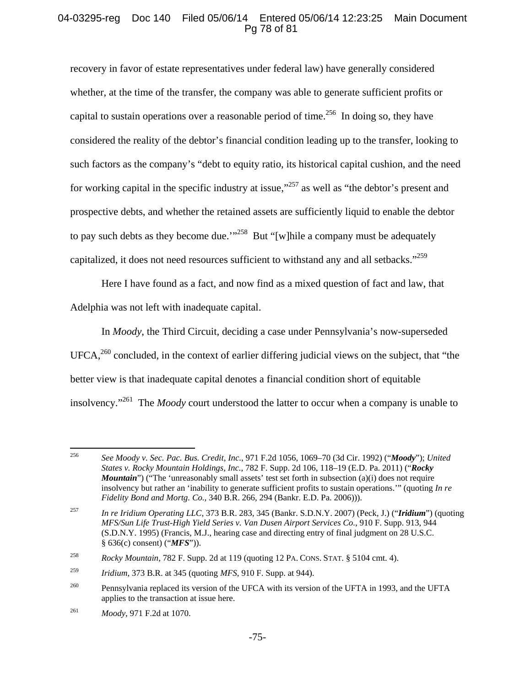# 04-03295-reg Doc 140 Filed 05/06/14 Entered 05/06/14 12:23:25 Main Document Pg 78 of 81

recovery in favor of estate representatives under federal law) have generally considered whether, at the time of the transfer, the company was able to generate sufficient profits or capital to sustain operations over a reasonable period of time.<sup>256</sup> In doing so, they have considered the reality of the debtor's financial condition leading up to the transfer, looking to such factors as the company's "debt to equity ratio, its historical capital cushion, and the need for working capital in the specific industry at issue,<sup>"257</sup> as well as "the debtor's present and prospective debts, and whether the retained assets are sufficiently liquid to enable the debtor to pay such debts as they become due.<sup>'"258</sup> But "[w] hile a company must be adequately capitalized, it does not need resources sufficient to withstand any and all setbacks."<sup>259</sup>

Here I have found as a fact, and now find as a mixed question of fact and law, that Adelphia was not left with inadequate capital.

In *Moody*, the Third Circuit, deciding a case under Pennsylvania's now-superseded  $UFCA<sub>1</sub><sup>260</sup>$  concluded, in the context of earlier differing judicial views on the subject, that "the better view is that inadequate capital denotes a financial condition short of equitable insolvency."261 The *Moody* court understood the latter to occur when a company is unable to

<sup>256</sup> 256 *See Moody v. Sec. Pac. Bus. Credit, Inc.*, 971 F.2d 1056, 1069–70 (3d Cir. 1992) ("*Moody*"); *United States v. Rocky Mountain Holdings, Inc.*, 782 F. Supp. 2d 106, 118–19 (E.D. Pa. 2011) ("*Rocky Mountain*") ("The 'unreasonably small assets' test set forth in subsection (a)(i) does not require insolvency but rather an 'inability to generate sufficient profits to sustain operations.'" (quoting *In re Fidelity Bond and Mortg. Co.*, 340 B.R. 266, 294 (Bankr. E.D. Pa. 2006))).

<sup>257</sup> *In re Iridium Operating LLC*, 373 B.R. 283, 345 (Bankr. S.D.N.Y. 2007) (Peck, J.) ("*Iridium*") (quoting *MFS/Sun Life Trust-High Yield Series v. Van Dusen Airport Services Co.*, 910 F. Supp. 913, 944 (S.D.N.Y. 1995) (Francis, M.J., hearing case and directing entry of final judgment on 28 U.S.C. § 636(c) consent) ("*MFS*")).

<sup>258</sup> *Rocky Mountain*, 782 F. Supp. 2d at 119 (quoting 12 PA. CONS. STAT. § 5104 cmt. 4).

<sup>259</sup> *Iridium*, 373 B.R. at 345 (quoting *MFS*, 910 F. Supp. at 944).

<sup>&</sup>lt;sup>260</sup> Pennsylvania replaced its version of the UFCA with its version of the UFTA in 1993, and the UFTA applies to the transaction at issue here.

<sup>261</sup> *Moody*, 971 F.2d at 1070.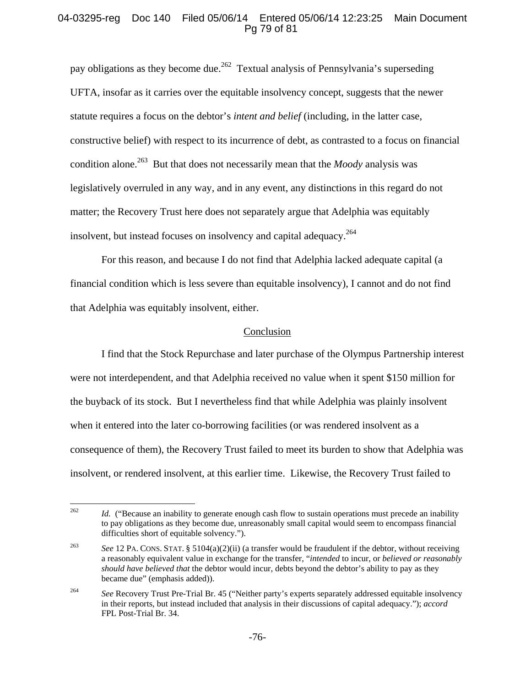# 04-03295-reg Doc 140 Filed 05/06/14 Entered 05/06/14 12:23:25 Main Document Pg 79 of 81

pay obligations as they become due.<sup>262</sup> Textual analysis of Pennsylvania's superseding UFTA, insofar as it carries over the equitable insolvency concept, suggests that the newer statute requires a focus on the debtor's *intent and belief* (including, in the latter case, constructive belief) with respect to its incurrence of debt, as contrasted to a focus on financial condition alone.<sup>263</sup> But that does not necessarily mean that the *Moody* analysis was legislatively overruled in any way, and in any event, any distinctions in this regard do not matter; the Recovery Trust here does not separately argue that Adelphia was equitably insolvent, but instead focuses on insolvency and capital adequacy.<sup>264</sup>

For this reason, and because I do not find that Adelphia lacked adequate capital (a financial condition which is less severe than equitable insolvency), I cannot and do not find that Adelphia was equitably insolvent, either.

### Conclusion

I find that the Stock Repurchase and later purchase of the Olympus Partnership interest were not interdependent, and that Adelphia received no value when it spent \$150 million for the buyback of its stock. But I nevertheless find that while Adelphia was plainly insolvent when it entered into the later co-borrowing facilities (or was rendered insolvent as a consequence of them), the Recovery Trust failed to meet its burden to show that Adelphia was insolvent, or rendered insolvent, at this earlier time. Likewise, the Recovery Trust failed to

<sup>262</sup> Id. ("Because an inability to generate enough cash flow to sustain operations must precede an inability to pay obligations as they become due, unreasonably small capital would seem to encompass financial difficulties short of equitable solvency.").

<sup>&</sup>lt;sup>263</sup> See 12 PA. CONS. STAT. § 5104(a)(2)(ii) (a transfer would be fraudulent if the debtor, without receiving a reasonably equivalent value in exchange for the transfer, "*intended* to incur, or *believed or reasonably should have believed that* the debtor would incur, debts beyond the debtor's ability to pay as they became due" (emphasis added)).

<sup>&</sup>lt;sup>264</sup> See Recovery Trust Pre-Trial Br. 45 ("Neither party's experts separately addressed equitable insolvency in their reports, but instead included that analysis in their discussions of capital adequacy."); *accord* FPL Post-Trial Br. 34.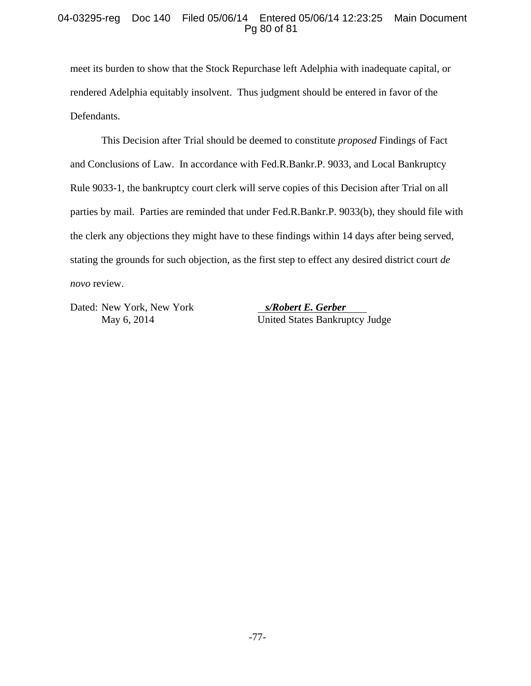# 04-03295-reg Doc 140 Filed 05/06/14 Entered 05/06/14 12:23:25 Main Document Pg 80 of 81

meet its burden to show that the Stock Repurchase left Adelphia with inadequate capital, or rendered Adelphia equitably insolvent. Thus judgment should be entered in favor of the Defendants.

This Decision after Trial should be deemed to constitute *proposed* Findings of Fact and Conclusions of Law. In accordance with Fed.R.Bankr.P. 9033, and Local Bankruptcy Rule 9033-1, the bankruptcy court clerk will serve copies of this Decision after Trial on all parties by mail. Parties are reminded that under Fed.R.Bankr.P. 9033(b), they should file with the clerk any objections they might have to these findings within 14 days after being served, stating the grounds for such objection, as the first step to effect any desired district court *de novo* review.

Dated: New York, New York *s/Robert E. Gerber* 

May 6, 2014 United States Bankruptcy Judge